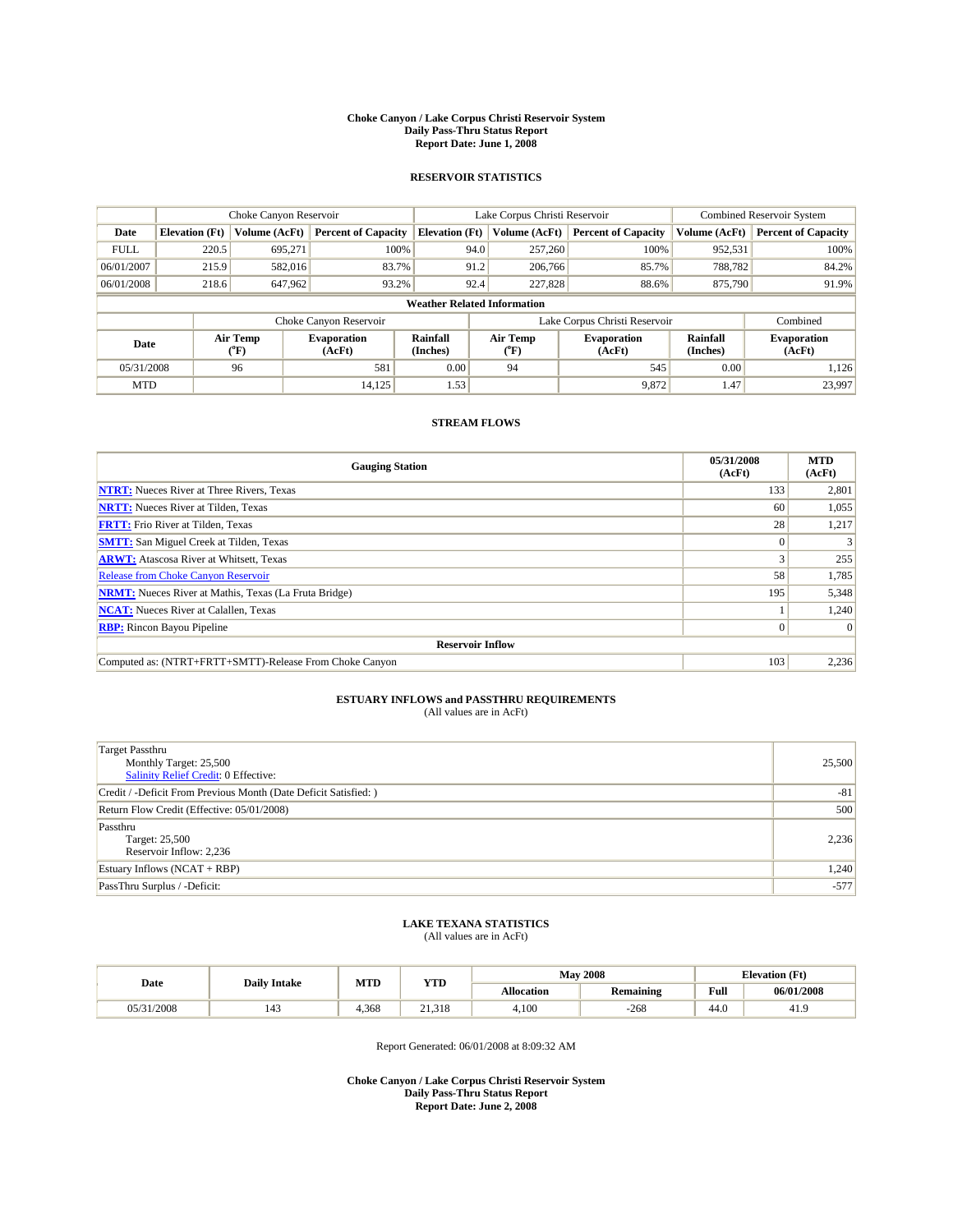#### **Choke Canyon / Lake Corpus Christi Reservoir System Daily Pass-Thru Status Report Report Date: June 1, 2008**

### **RESERVOIR STATISTICS**

|             | Choke Canyon Reservoir             |                          |                              |                       | Lake Corpus Christi Reservoir | <b>Combined Reservoir System</b> |                      |                              |  |
|-------------|------------------------------------|--------------------------|------------------------------|-----------------------|-------------------------------|----------------------------------|----------------------|------------------------------|--|
| Date        | <b>Elevation</b> (Ft)              | Volume (AcFt)            | <b>Percent of Capacity</b>   | <b>Elevation (Ft)</b> | Volume (AcFt)                 | <b>Percent of Capacity</b>       | Volume (AcFt)        | <b>Percent of Capacity</b>   |  |
| <b>FULL</b> | 220.5                              | 695,271                  | 100%                         |                       | 257,260<br>94.0               | 100%                             | 952,531              | 100%                         |  |
| 06/01/2007  | 215.9                              | 582,016                  | 83.7%                        |                       | 91.2<br>206,766               | 85.7%                            | 788,782              | 84.2%                        |  |
| 06/01/2008  | 218.6                              | 647,962                  | 93.2%                        |                       | 92.4<br>227,828               | 88.6%                            | 875,790              | 91.9%                        |  |
|             | <b>Weather Related Information</b> |                          |                              |                       |                               |                                  |                      |                              |  |
|             |                                    |                          | Choke Canyon Reservoir       |                       | Lake Corpus Christi Reservoir |                                  | Combined             |                              |  |
| Date        |                                    | Air Temp<br>$\rm ^{o}F)$ | <b>Evaporation</b><br>(AcFt) | Rainfall<br>(Inches)  | Air Temp<br>("F)              | <b>Evaporation</b><br>(AcFt)     | Rainfall<br>(Inches) | <b>Evaporation</b><br>(AcFt) |  |
| 05/31/2008  |                                    | 96                       | 581                          | 0.00                  | 94                            | 545                              | 0.00                 | 1,126                        |  |
| <b>MTD</b>  |                                    |                          | 14,125                       | 1.53                  |                               | 9,872                            | 1.47                 | 23,997                       |  |

### **STREAM FLOWS**

| <b>Gauging Station</b>                                       | 05/31/2008<br>(AcFt) | <b>MTD</b><br>(AcFt) |  |  |  |  |
|--------------------------------------------------------------|----------------------|----------------------|--|--|--|--|
| <b>NTRT:</b> Nueces River at Three Rivers, Texas             | 133                  | 2,801                |  |  |  |  |
| <b>NRTT:</b> Nueces River at Tilden, Texas                   | 60                   | 1,055                |  |  |  |  |
| <b>FRTT:</b> Frio River at Tilden, Texas                     | 28                   | 1,217                |  |  |  |  |
| <b>SMTT:</b> San Miguel Creek at Tilden, Texas               | $\Omega$             |                      |  |  |  |  |
| <b>ARWT:</b> Atascosa River at Whitsett, Texas               |                      | 255                  |  |  |  |  |
| <b>Release from Choke Canyon Reservoir</b>                   | 58                   | 1,785                |  |  |  |  |
| <b>NRMT:</b> Nueces River at Mathis, Texas (La Fruta Bridge) | 195                  | 5,348                |  |  |  |  |
| <b>NCAT:</b> Nueces River at Calallen, Texas                 |                      | 1,240                |  |  |  |  |
| <b>RBP:</b> Rincon Bayou Pipeline                            | $\overline{0}$       | $\Omega$             |  |  |  |  |
| <b>Reservoir Inflow</b>                                      |                      |                      |  |  |  |  |
| Computed as: (NTRT+FRTT+SMTT)-Release From Choke Canyon      | 103                  | 2,236                |  |  |  |  |

# **ESTUARY INFLOWS and PASSTHRU REQUIREMENTS**<br>(All values are in AcFt)

| <b>Target Passthru</b>                                           |        |
|------------------------------------------------------------------|--------|
| Monthly Target: 25,500                                           | 25,500 |
| <b>Salinity Relief Credit: 0 Effective:</b>                      |        |
| Credit / -Deficit From Previous Month (Date Deficit Satisfied: ) | -81    |
| Return Flow Credit (Effective: 05/01/2008)                       | 500    |
| Passthru                                                         |        |
| Target: 25,500                                                   | 2,236  |
| Reservoir Inflow: 2,236                                          |        |
| Estuary Inflows (NCAT + RBP)                                     | 1,240  |
| PassThru Surplus / -Deficit:                                     | $-577$ |
|                                                                  |        |

# **LAKE TEXANA STATISTICS** (All values are in AcFt)

| Date  | <b>Daily Intake</b> | MTD   | YTD                  |            | <b>May 2008</b>  | <b>Elevation</b> (Ft) |            |
|-------|---------------------|-------|----------------------|------------|------------------|-----------------------|------------|
|       |                     |       |                      | Allocation | <b>Remaining</b> | Full                  | 06/01/2008 |
| /2008 | 143                 | 1,368 | 21.318<br>$^{\circ}$ | 4.100      | $-268$           | 44.0                  | 41.        |

Report Generated: 06/01/2008 at 8:09:32 AM

**Choke Canyon / Lake Corpus Christi Reservoir System Daily Pass-Thru Status Report Report Date: June 2, 2008**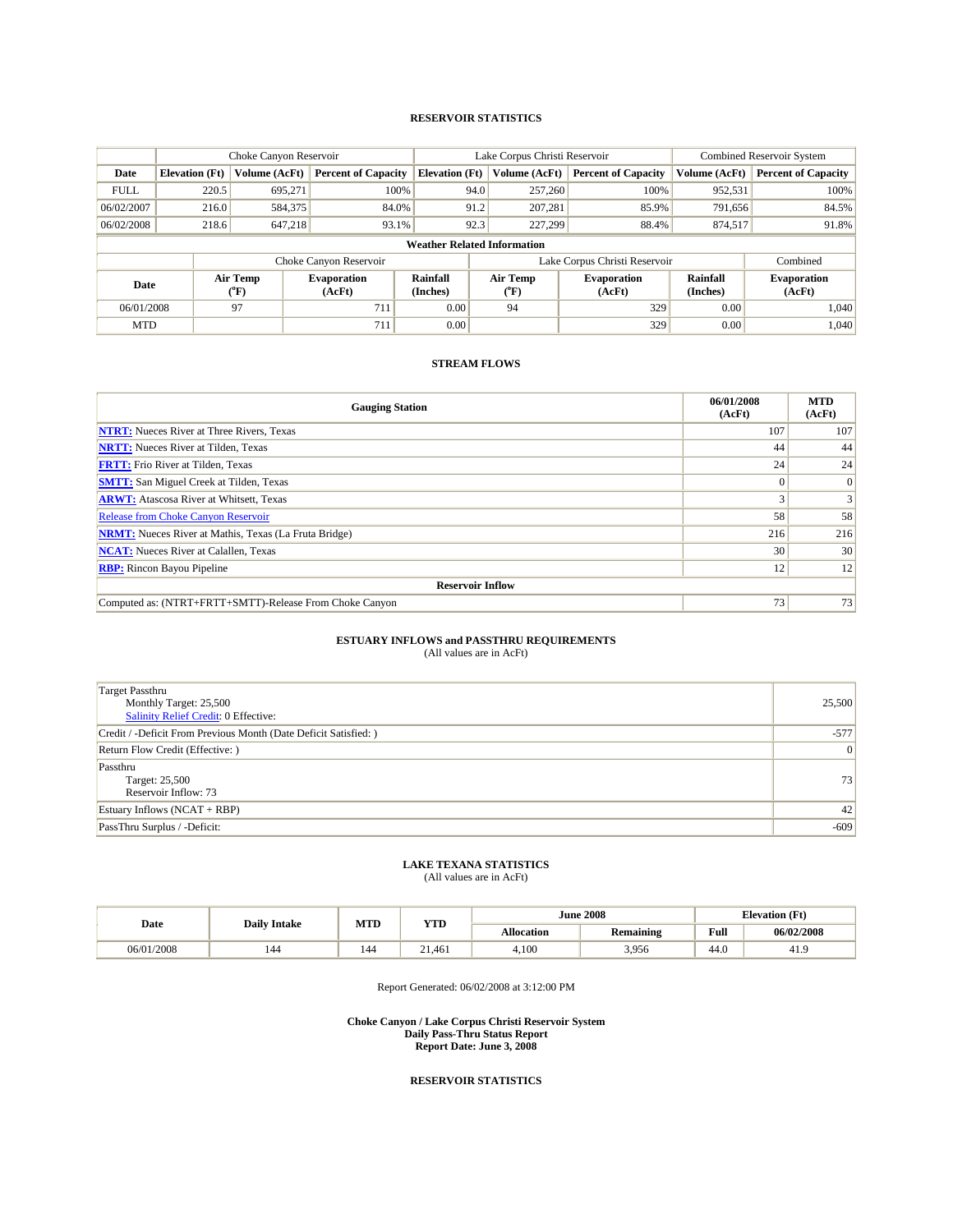### **RESERVOIR STATISTICS**

|             |                                    | Choke Canyon Reservoir |                              |                       | Lake Corpus Christi Reservoir           | <b>Combined Reservoir System</b> |                      |                              |  |
|-------------|------------------------------------|------------------------|------------------------------|-----------------------|-----------------------------------------|----------------------------------|----------------------|------------------------------|--|
| Date        | <b>Elevation</b> (Ft)              | Volume (AcFt)          | <b>Percent of Capacity</b>   | <b>Elevation (Ft)</b> | Volume (AcFt)                           | <b>Percent of Capacity</b>       | Volume (AcFt)        | <b>Percent of Capacity</b>   |  |
| <b>FULL</b> | 220.5                              | 695.271                | 100%                         | 94.0                  | 257,260                                 | 100%                             | 952,531              | 100%                         |  |
| 06/02/2007  | 216.0                              | 584,375                | 84.0%                        | 91.2                  | 207,281                                 | 85.9%                            | 791,656              | 84.5%                        |  |
| 06/02/2008  | 218.6                              | 647.218                | 93.1%                        | 92.3                  | 227,299                                 | 88.4%                            | 874,517              | 91.8%                        |  |
|             | <b>Weather Related Information</b> |                        |                              |                       |                                         |                                  |                      |                              |  |
|             |                                    |                        | Choke Canyon Reservoir       |                       | Lake Corpus Christi Reservoir           |                                  |                      | Combined                     |  |
| Date        |                                    | Air Temp<br>(°F)       | <b>Evaporation</b><br>(AcFt) | Rainfall<br>(Inches)  | Air Temp<br>$(^{\mathrm{o}}\mathrm{F})$ | <b>Evaporation</b><br>(AcFt)     | Rainfall<br>(Inches) | <b>Evaporation</b><br>(AcFt) |  |
| 06/01/2008  |                                    | 97                     | 711                          | 0.00                  | 94                                      | 329                              | 0.00                 | 1,040                        |  |
| <b>MTD</b>  |                                    |                        | 711                          | 0.00                  |                                         | 329                              | 0.00                 | 1,040                        |  |

## **STREAM FLOWS**

| <b>Gauging Station</b>                                       | 06/01/2008<br>(AcFt) | <b>MTD</b><br>(AcFt) |  |  |  |
|--------------------------------------------------------------|----------------------|----------------------|--|--|--|
| <b>NTRT:</b> Nueces River at Three Rivers, Texas             | 107                  | 107                  |  |  |  |
| <b>NRTT:</b> Nueces River at Tilden, Texas                   | 44                   | 44                   |  |  |  |
| <b>FRTT:</b> Frio River at Tilden, Texas                     | 24                   | 24                   |  |  |  |
| <b>SMTT:</b> San Miguel Creek at Tilden, Texas               |                      | $\overline{0}$       |  |  |  |
| <b>ARWT:</b> Atascosa River at Whitsett, Texas               |                      | 3                    |  |  |  |
| <b>Release from Choke Canyon Reservoir</b>                   | 58                   | 58                   |  |  |  |
| <b>NRMT:</b> Nueces River at Mathis, Texas (La Fruta Bridge) | 216                  | 216                  |  |  |  |
| <b>NCAT:</b> Nueces River at Calallen, Texas                 | 30                   | 30                   |  |  |  |
| <b>RBP:</b> Rincon Bayou Pipeline                            | 12                   | 12                   |  |  |  |
| <b>Reservoir Inflow</b>                                      |                      |                      |  |  |  |
| Computed as: (NTRT+FRTT+SMTT)-Release From Choke Canyon      | 73                   | 73                   |  |  |  |

### **ESTUARY INFLOWS and PASSTHRU REQUIREMENTS**

(All values are in AcFt)

| <b>Target Passthru</b><br>Monthly Target: 25,500<br><b>Salinity Relief Credit: 0 Effective:</b> | 25,500 |
|-------------------------------------------------------------------------------------------------|--------|
| Credit / -Deficit From Previous Month (Date Deficit Satisfied: )                                | $-577$ |
| Return Flow Credit (Effective: )                                                                | 0      |
| Passthru<br>Target: 25,500<br>Reservoir Inflow: 73                                              | 73     |
| Estuary Inflows (NCAT + RBP)                                                                    | 42     |
| PassThru Surplus / -Deficit:                                                                    | $-609$ |

## **LAKE TEXANA STATISTICS**

(All values are in AcFt)

|            | <b>Daily Intake</b> | MTD | <b>YTD</b> |                   | <b>June 2008</b> | <b>Elevation</b> (Ft)                       |            |
|------------|---------------------|-----|------------|-------------------|------------------|---------------------------------------------|------------|
| Date       |                     |     |            | <b>Allocation</b> | <b>Remaining</b> | Full<br>the contract of the contract of the | 06/02/2008 |
| 06/01/2008 | 144                 | 144 | 21.461     | 4.100             | 3.956            | 44.0                                        | 41.9       |

Report Generated: 06/02/2008 at 3:12:00 PM

**Choke Canyon / Lake Corpus Christi Reservoir System Daily Pass-Thru Status Report Report Date: June 3, 2008**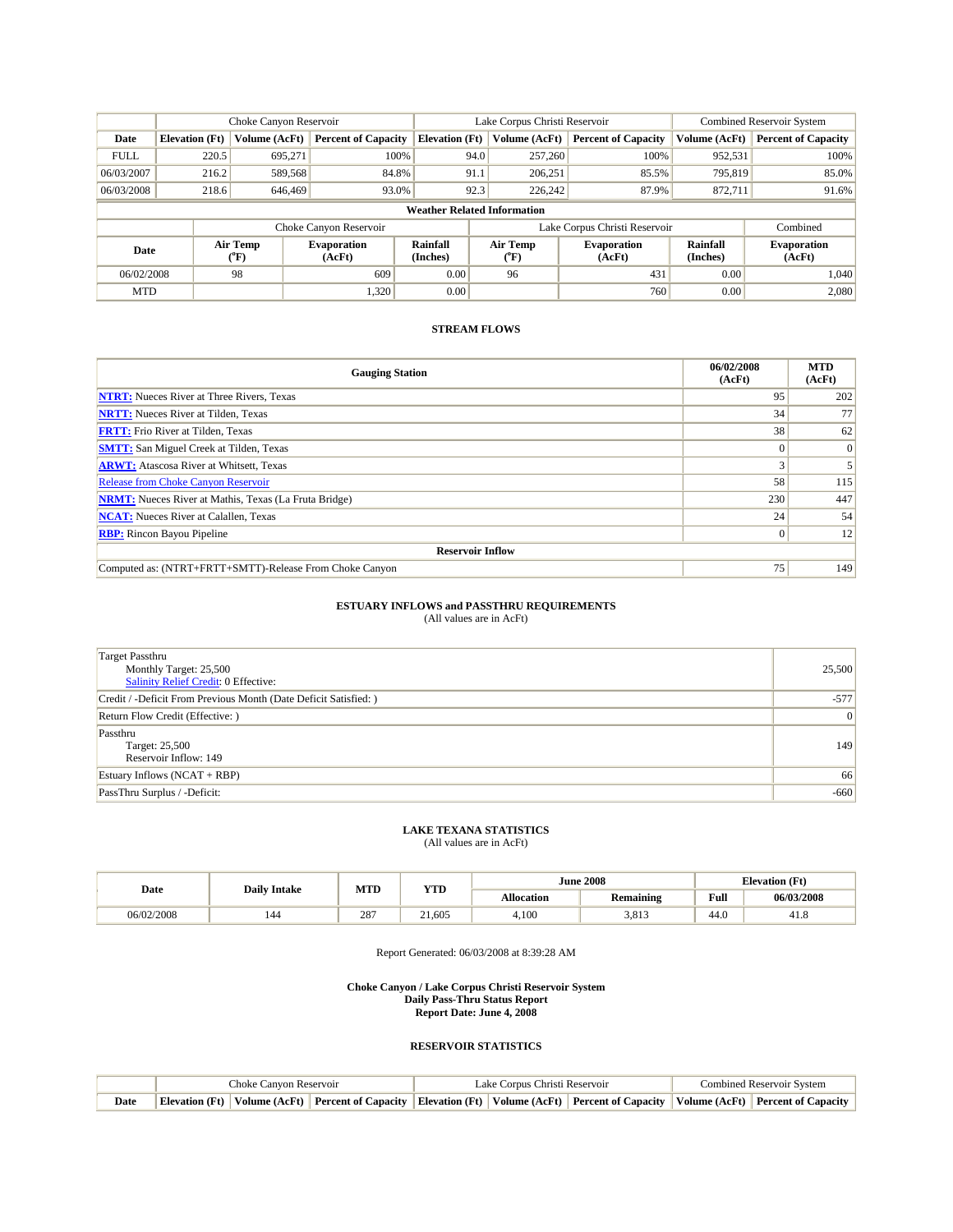|                                    | Choke Canyon Reservoir |                  | Lake Corpus Christi Reservoir |                       |                               |                  | <b>Combined Reservoir System</b> |                      |                              |
|------------------------------------|------------------------|------------------|-------------------------------|-----------------------|-------------------------------|------------------|----------------------------------|----------------------|------------------------------|
| Date                               | <b>Elevation</b> (Ft)  | Volume (AcFt)    | <b>Percent of Capacity</b>    | <b>Elevation</b> (Ft) |                               | Volume (AcFt)    | <b>Percent of Capacity</b>       | Volume (AcFt)        | <b>Percent of Capacity</b>   |
| <b>FULL</b>                        | 220.5                  | 695.271          | 100%                          |                       | 94.0                          | 257,260          | 100%                             | 952,531              | 100%                         |
| 06/03/2007                         | 216.2                  | 589,568          | 84.8%                         |                       | 91.1                          | 206,251          | 85.5%                            | 795,819              | 85.0%                        |
| 06/03/2008                         | 218.6                  | 646,469          | 93.0%                         |                       | 92.3                          | 226.242          | 87.9%                            | 872.711              | 91.6%                        |
| <b>Weather Related Information</b> |                        |                  |                               |                       |                               |                  |                                  |                      |                              |
|                                    |                        |                  | Choke Canyon Reservoir        |                       | Lake Corpus Christi Reservoir |                  |                                  |                      | Combined                     |
| Date                               |                        | Air Temp<br>(°F) | <b>Evaporation</b><br>(AcFt)  | Rainfall<br>(Inches)  |                               | Air Temp<br>(°F) | <b>Evaporation</b><br>(AcFt)     | Rainfall<br>(Inches) | <b>Evaporation</b><br>(AcFt) |
| 06/02/2008                         |                        | 98               | 609                           | 0.00                  |                               | 96               | 431                              | 0.00                 | 1.040                        |
| <b>MTD</b>                         |                        |                  | 1,320                         | 0.00                  |                               |                  | 760                              | 0.00                 | 2,080                        |

| <b>Gauging Station</b>                                       | 06/02/2008<br>(AcFt) | <b>MTD</b><br>(AcFt) |  |  |  |  |
|--------------------------------------------------------------|----------------------|----------------------|--|--|--|--|
| <b>NTRT:</b> Nueces River at Three Rivers, Texas             | 95                   | 202                  |  |  |  |  |
| <b>NRTT:</b> Nueces River at Tilden, Texas                   | 34                   | 77                   |  |  |  |  |
| <b>FRTT:</b> Frio River at Tilden, Texas                     | 38                   | 62                   |  |  |  |  |
| <b>SMTT:</b> San Miguel Creek at Tilden, Texas               |                      | $\vert 0 \vert$      |  |  |  |  |
| <b>ARWT:</b> Atascosa River at Whitsett, Texas               |                      |                      |  |  |  |  |
| <b>Release from Choke Canyon Reservoir</b>                   | 58                   | 115                  |  |  |  |  |
| <b>NRMT:</b> Nueces River at Mathis, Texas (La Fruta Bridge) | 230                  | 447                  |  |  |  |  |
| <b>NCAT:</b> Nueces River at Calallen, Texas                 | 24                   | 54                   |  |  |  |  |
| <b>RBP:</b> Rincon Bayou Pipeline                            | $\Omega$             | 12                   |  |  |  |  |
| <b>Reservoir Inflow</b>                                      |                      |                      |  |  |  |  |
| Computed as: (NTRT+FRTT+SMTT)-Release From Choke Canyon      | 75                   | 149                  |  |  |  |  |

## **ESTUARY INFLOWS and PASSTHRU REQUIREMENTS**

(All values are in AcFt)

| Target Passthru<br>Monthly Target: 25,500<br><b>Salinity Relief Credit: 0 Effective:</b> | 25,500          |
|------------------------------------------------------------------------------------------|-----------------|
| Credit / -Deficit From Previous Month (Date Deficit Satisfied: )                         | $-577$          |
| Return Flow Credit (Effective: )                                                         | $\vert 0 \vert$ |
| Passthru<br>Target: 25,500<br>Reservoir Inflow: 149                                      | 149             |
| Estuary Inflows $(NCAT + RBP)$                                                           | 66              |
| PassThru Surplus / -Deficit:                                                             | $-660$          |

### **LAKE TEXANA STATISTICS** (All values are in AcFt)

| Date       | <b>Daily Intake</b> | MTD | <b>YTD</b> |            | <b>June 2008</b> | <b>Elevation</b> (Ft) |            |
|------------|---------------------|-----|------------|------------|------------------|-----------------------|------------|
|            |                     |     |            | Allocation | <b>Remaining</b> | Full                  | 06/03/2008 |
| 06/02/2008 | 144                 | 287 | 21.605     | 4.100      | 3,813            | 44.0                  | 41.8       |

Report Generated: 06/03/2008 at 8:39:28 AM

#### **Choke Canyon / Lake Corpus Christi Reservoir System Daily Pass-Thru Status Report Report Date: June 4, 2008**

|      | Choke Canvon Reservoir                                                                                                                            |  |  | Lake Corpus Christi Reservoir | <b>Combined Reservoir System</b> |  |
|------|---------------------------------------------------------------------------------------------------------------------------------------------------|--|--|-------------------------------|----------------------------------|--|
| Date | Elevation (Ft)   Volume (AcFt)   Percent of Capacity   Elevation (Ft)   Volume (AcFt)   Percent of Capacity   Volume (AcFt)   Percent of Capacity |  |  |                               |                                  |  |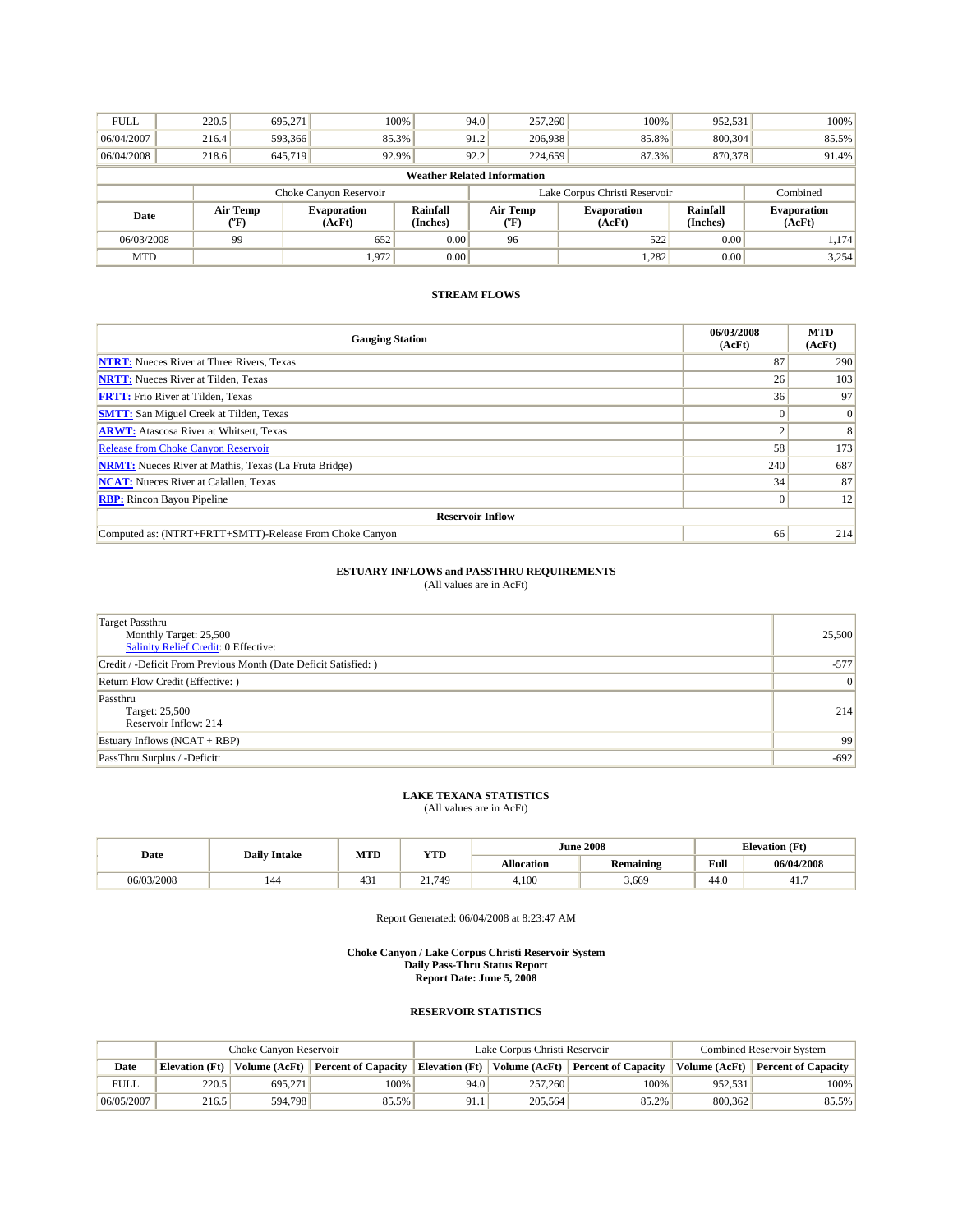| <b>FULL</b>                        | 220.5                                                                    | 695,271 |                        | 100% | 94.0 | 257,260                       | 100%                         | 952,531                     | 100%                         |
|------------------------------------|--------------------------------------------------------------------------|---------|------------------------|------|------|-------------------------------|------------------------------|-----------------------------|------------------------------|
| 06/04/2007                         | 216.4                                                                    | 593,366 | 85.3%                  |      | 91.2 | 206,938                       | 85.8%                        | 800,304                     | 85.5%                        |
| 06/04/2008                         | 218.6                                                                    | 645,719 | 92.9%                  |      | 92.2 | 224,659                       | 87.3%                        | 870,378                     | 91.4%                        |
| <b>Weather Related Information</b> |                                                                          |         |                        |      |      |                               |                              |                             |                              |
|                                    |                                                                          |         | Choke Canyon Reservoir |      |      | Lake Corpus Christi Reservoir |                              | Combined                    |                              |
| Date                               | Rainfall<br>Air Temp<br><b>Evaporation</b><br>(AcFt)<br>(Inches)<br>(°F) |         |                        |      |      | Air Temp<br>$(^oF)$           | <b>Evaporation</b><br>(AcFt) | <b>Rainfall</b><br>(Inches) | <b>Evaporation</b><br>(AcFt) |
| 06/03/2008                         |                                                                          | 99      | 652                    | 0.00 |      | 96                            | 522                          | 0.00                        | 1,174                        |
| <b>MTD</b>                         |                                                                          |         | 1,972                  | 0.00 |      |                               | 1.282                        | 0.00                        | 3,254                        |

| <b>Gauging Station</b>                                       | 06/03/2008<br>(AcFt) | <b>MTD</b><br>(AcFt) |
|--------------------------------------------------------------|----------------------|----------------------|
| <b>NTRT:</b> Nueces River at Three Rivers, Texas             | 87                   | 290                  |
| <b>NRTT:</b> Nueces River at Tilden, Texas                   | 26                   | 103                  |
| <b>FRTT:</b> Frio River at Tilden, Texas                     | 36                   | 97                   |
| <b>SMTT:</b> San Miguel Creek at Tilden, Texas               |                      | $\vert 0 \vert$      |
| <b>ARWT:</b> Atascosa River at Whitsett, Texas               |                      | 8                    |
| <b>Release from Choke Canyon Reservoir</b>                   | 58                   | 173                  |
| <b>NRMT:</b> Nueces River at Mathis, Texas (La Fruta Bridge) | 240                  | 687                  |
| <b>NCAT:</b> Nueces River at Calallen, Texas                 | 34                   | 87                   |
| <b>RBP:</b> Rincon Bayou Pipeline                            |                      | 12                   |
| <b>Reservoir Inflow</b>                                      |                      |                      |
| Computed as: (NTRT+FRTT+SMTT)-Release From Choke Canyon      | 66                   | 214                  |

# **ESTUARY INFLOWS and PASSTHRU REQUIREMENTS**<br>(All values are in AcFt)

| <b>Target Passthru</b><br>Monthly Target: 25,500<br><b>Salinity Relief Credit: 0 Effective:</b> | 25,500 |
|-------------------------------------------------------------------------------------------------|--------|
| Credit / -Deficit From Previous Month (Date Deficit Satisfied: )                                | $-577$ |
| Return Flow Credit (Effective: )                                                                | 0      |
| Passthru<br>Target: 25,500<br>Reservoir Inflow: 214                                             | 214    |
| Estuary Inflows $(NCAT + RBP)$                                                                  | 99     |
| PassThru Surplus / -Deficit:                                                                    | $-692$ |

# **LAKE TEXANA STATISTICS** (All values are in AcFt)

|            | <b>Daily Intake</b> | MTD           | <b>YTD</b>              |                   | <b>June 2008</b> | <b>Elevation</b> (Ft) |            |
|------------|---------------------|---------------|-------------------------|-------------------|------------------|-----------------------|------------|
| Date       |                     |               |                         | <b>Allocation</b> | Remaining        | Full                  | 06/04/2008 |
| 06/03/2008 | 144                 | $\sim$<br>451 | $\sim$ 1<br>.749<br>41. | 4.100             | 3,669            | 44.0                  | 41.        |

Report Generated: 06/04/2008 at 8:23:47 AM

**Choke Canyon / Lake Corpus Christi Reservoir System Daily Pass-Thru Status Report Report Date: June 5, 2008** 

|             | Choke Canvon Reservoir |                        |                            |                       | Lake Corpus Christi Reservoir | <b>Combined Reservoir System</b>  |               |                            |
|-------------|------------------------|------------------------|----------------------------|-----------------------|-------------------------------|-----------------------------------|---------------|----------------------------|
| Date        | Elevation (Ft)         | $\forall$ olume (AcFt) | <b>Percent of Capacity</b> | <b>Elevation</b> (Ft) |                               | Volume (AcFt) Percent of Capacity | Volume (AcFt) | <b>Percent of Capacity</b> |
| <b>FULL</b> | 220.5                  | 695.271                | 100%                       | 94.0                  | 257,260                       | 100%                              | 952.531       | 100%                       |
| 06/05/2007  | 216.5                  | 594.798                | 85.5%                      | 91.1                  | 205,564                       | 85.2%                             | 800.362       | 85.5%                      |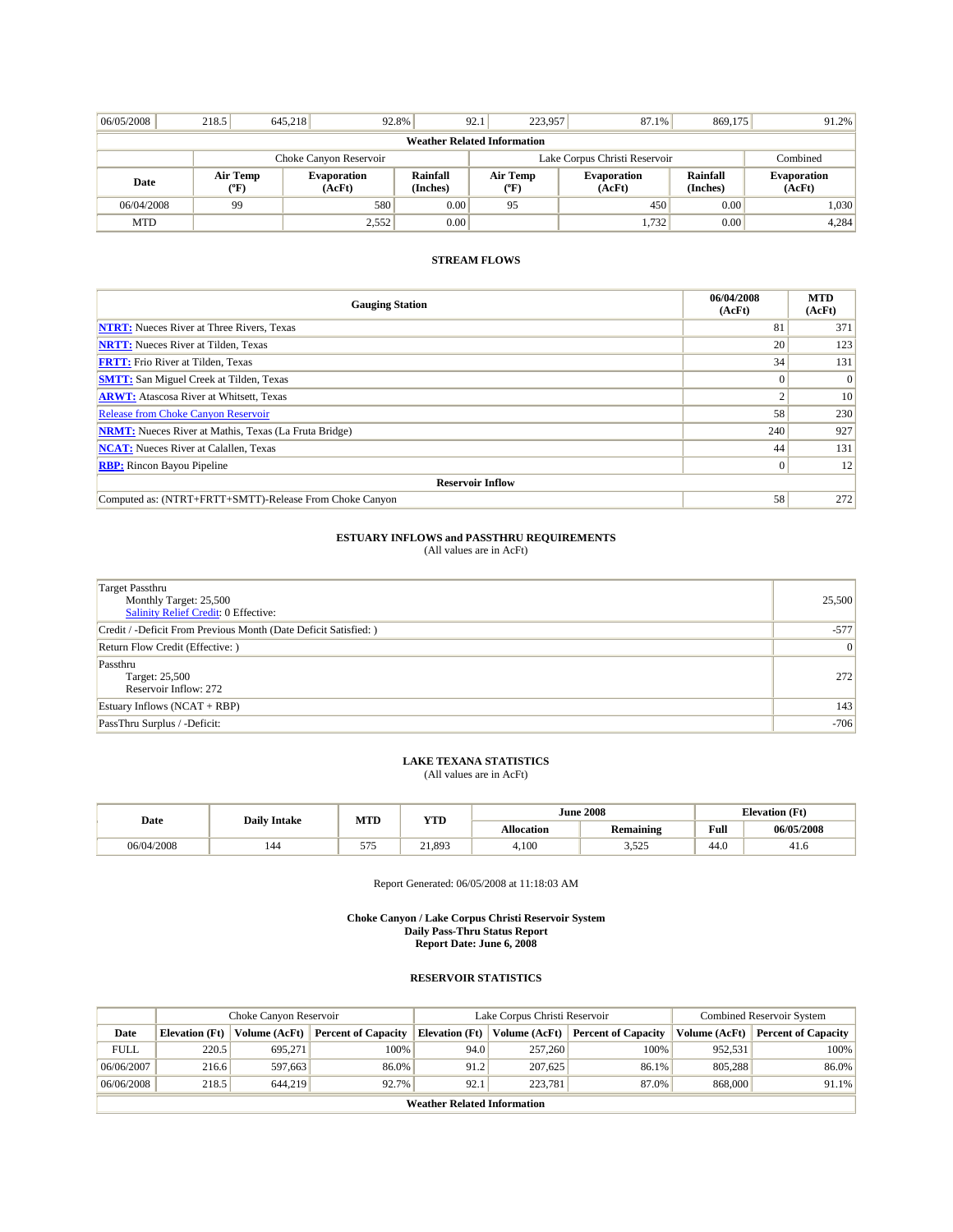| 06/05/2008                         | 218.5                  | 645.218 | 92.8%                        |                      | 223,957<br>92.1  | 87.1%                         | 869,175              | 91.2%                        |  |
|------------------------------------|------------------------|---------|------------------------------|----------------------|------------------|-------------------------------|----------------------|------------------------------|--|
| <b>Weather Related Information</b> |                        |         |                              |                      |                  |                               |                      |                              |  |
|                                    | Choke Canyon Reservoir |         |                              |                      |                  | Lake Corpus Christi Reservoir |                      |                              |  |
| Date                               | Air Temp<br>("F)       |         | <b>Evaporation</b><br>(AcFt) | Rainfall<br>(Inches) | Air Temp<br>("F) | <b>Evaporation</b><br>(AcFt)  | Rainfall<br>(Inches) | <b>Evaporation</b><br>(AcFt) |  |
| 06/04/2008                         | 99                     |         | 580                          | 0.00                 | 95               | 450                           | 0.00                 | 1,030                        |  |
| <b>MTD</b>                         |                        |         | 2,552                        | 0.00                 |                  | 1,732                         | 0.00                 | 4,284                        |  |

| <b>Gauging Station</b>                                       | 06/04/2008<br>(AcFt) | <b>MTD</b><br>(AcFt) |
|--------------------------------------------------------------|----------------------|----------------------|
| <b>NTRT:</b> Nueces River at Three Rivers, Texas             | 81                   | 371                  |
| <b>NRTT:</b> Nueces River at Tilden, Texas                   | 20                   | 123                  |
| <b>FRTT:</b> Frio River at Tilden, Texas                     | 34                   | 131                  |
| <b>SMTT:</b> San Miguel Creek at Tilden, Texas               |                      | $\theta$             |
| <b>ARWT:</b> Atascosa River at Whitsett, Texas               |                      | 10                   |
| <b>Release from Choke Canyon Reservoir</b>                   | 58                   | 230                  |
| <b>NRMT:</b> Nueces River at Mathis, Texas (La Fruta Bridge) | 240                  | 927                  |
| <b>NCAT:</b> Nueces River at Calallen, Texas                 | 44                   | 131                  |
| <b>RBP:</b> Rincon Bayou Pipeline                            | $\Omega$             | 12                   |
| <b>Reservoir Inflow</b>                                      |                      |                      |
| Computed as: (NTRT+FRTT+SMTT)-Release From Choke Canyon      | 58                   | 272                  |

# **ESTUARY INFLOWS and PASSTHRU REQUIREMENTS**<br>(All values are in AcFt)

| <b>Target Passthru</b><br>Monthly Target: 25,500<br>Salinity Relief Credit: 0 Effective: | 25,500         |
|------------------------------------------------------------------------------------------|----------------|
| Credit / -Deficit From Previous Month (Date Deficit Satisfied: )                         | $-577$         |
| Return Flow Credit (Effective: )                                                         | $\overline{0}$ |
| Passthru<br>Target: 25,500<br>Reservoir Inflow: 272                                      | 272            |
| Estuary Inflows $(NCAT + RBP)$                                                           | 143            |
| PassThru Surplus / -Deficit:                                                             | $-706$         |

# **LAKE TEXANA STATISTICS** (All values are in AcFt)

| Date       | <b>Daily Intake</b> | MTD     | <b>YTD</b> |                   | <b>June 2008</b> | <b>Elevation</b> (Ft) |            |
|------------|---------------------|---------|------------|-------------------|------------------|-----------------------|------------|
|            |                     |         |            | <b>Allocation</b> | <b>Remaining</b> | Full                  | 06/05/2008 |
| 06/04/2008 | 144                 | $- - -$ | 21,893     | 4,100             | 505<br>ن نے بہ ب | 44.0                  | 41.6       |

Report Generated: 06/05/2008 at 11:18:03 AM

#### **Choke Canyon / Lake Corpus Christi Reservoir System Daily Pass-Thru Status Report Report Date: June 6, 2008**

|             | Choke Canyon Reservoir             |               |                            |                       | Lake Corpus Christi Reservoir | <b>Combined Reservoir System</b> |               |                            |  |  |
|-------------|------------------------------------|---------------|----------------------------|-----------------------|-------------------------------|----------------------------------|---------------|----------------------------|--|--|
| Date        | <b>Elevation</b> (Ft)              | Volume (AcFt) | <b>Percent of Capacity</b> | <b>Elevation (Ft)</b> | Volume (AcFt)                 | <b>Percent of Capacity</b>       | Volume (AcFt) | <b>Percent of Capacity</b> |  |  |
| <b>FULL</b> | 220.5                              | 695,271       | 100%                       | 94.0                  | 257,260                       | 100%                             | 952.531       | 100%                       |  |  |
| 06/06/2007  | 216.6                              | 597.663       | 86.0%                      | 91.2                  | 207,625                       | 86.1%                            | 805.288       | 86.0%                      |  |  |
| 06/06/2008  | 218.5                              | 644,219       | 92.7%                      | 92.1                  | 223,781                       | 87.0%                            | 868,000       | 91.1%                      |  |  |
|             | <b>Weather Related Information</b> |               |                            |                       |                               |                                  |               |                            |  |  |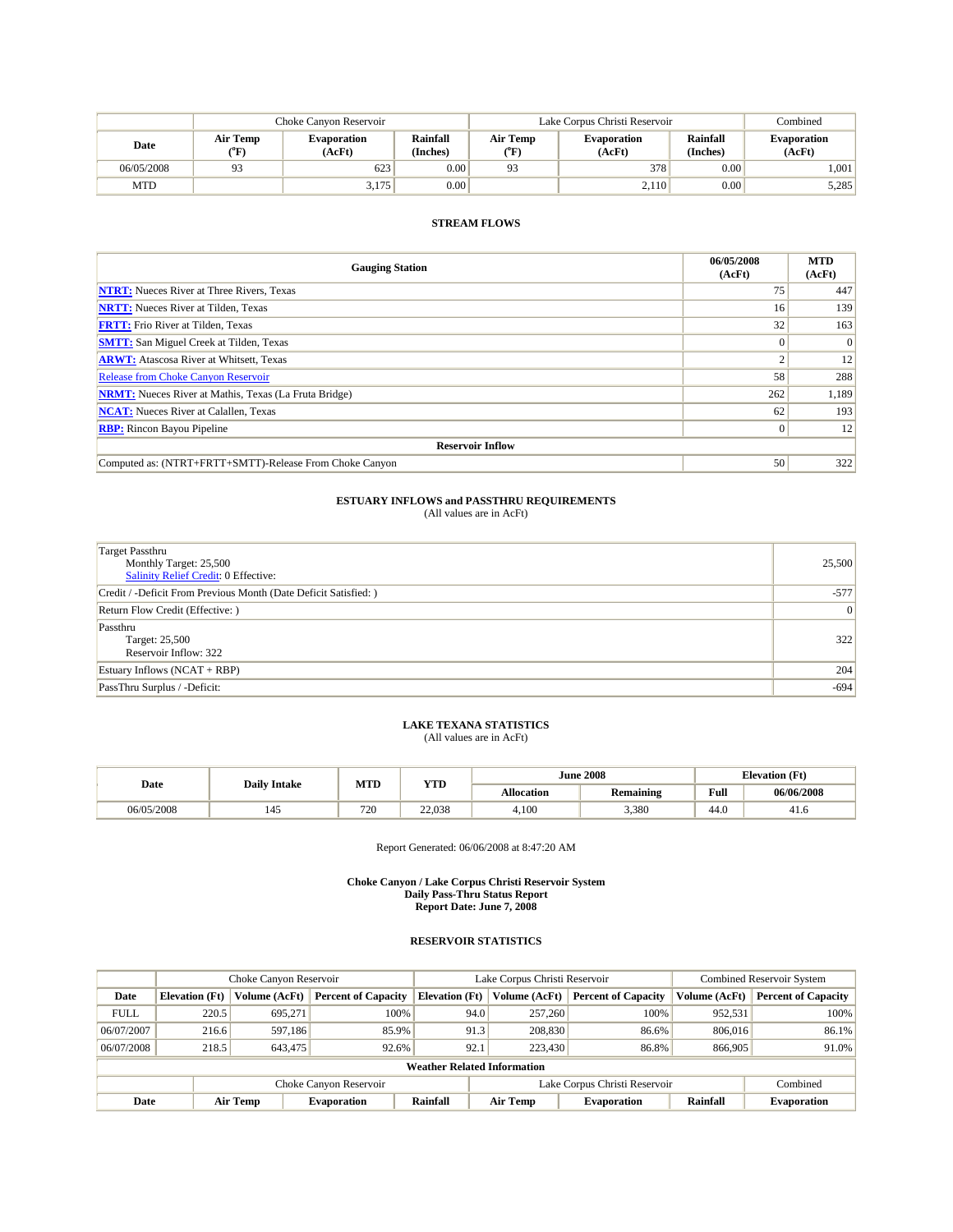|            |                  | Choke Canvon Reservoir       |                      | Lake Corpus Christi Reservoir |                              | Combined             |                              |
|------------|------------------|------------------------------|----------------------|-------------------------------|------------------------------|----------------------|------------------------------|
| Date       | Air Temp<br>(°F) | <b>Evaporation</b><br>(AcFt) | Rainfall<br>(Inches) | Air Temp<br>(°F)              | <b>Evaporation</b><br>(AcFt) | Rainfall<br>(Inches) | <b>Evaporation</b><br>(AcFt) |
| 06/05/2008 | 93               | 623                          | 0.00                 | 0 <sup>2</sup>                | 378                          | 0.00                 | 1,001                        |
| <b>MTD</b> |                  | 3,175                        | 0.00                 |                               | 2,110                        | 0.00                 | 5,285                        |

| <b>Gauging Station</b>                                       | 06/05/2008<br>(AcFt) | <b>MTD</b><br>(AcFt) |  |  |  |  |  |
|--------------------------------------------------------------|----------------------|----------------------|--|--|--|--|--|
| <b>NTRT:</b> Nueces River at Three Rivers, Texas             | 75                   | 447                  |  |  |  |  |  |
| <b>NRTT:</b> Nueces River at Tilden, Texas                   | 16                   | 139                  |  |  |  |  |  |
| <b>FRTT:</b> Frio River at Tilden, Texas                     | 32                   | 163                  |  |  |  |  |  |
| <b>SMTT:</b> San Miguel Creek at Tilden, Texas               |                      | $\overline{0}$       |  |  |  |  |  |
| <b>ARWT:</b> Atascosa River at Whitsett, Texas               |                      | 12                   |  |  |  |  |  |
| <b>Release from Choke Canyon Reservoir</b>                   | 58                   | 288                  |  |  |  |  |  |
| <b>NRMT:</b> Nueces River at Mathis, Texas (La Fruta Bridge) | 262                  | 1,189                |  |  |  |  |  |
| <b>NCAT:</b> Nueces River at Calallen, Texas                 | 62                   | 193                  |  |  |  |  |  |
| <b>RBP:</b> Rincon Bayou Pipeline                            | $\overline{0}$       | 12                   |  |  |  |  |  |
| <b>Reservoir Inflow</b>                                      |                      |                      |  |  |  |  |  |
| Computed as: (NTRT+FRTT+SMTT)-Release From Choke Canyon      | 50                   | 322                  |  |  |  |  |  |

## **ESTUARY INFLOWS and PASSTHRU REQUIREMENTS**<br>(All values are in AcFt)

| <b>Target Passthru</b><br>Monthly Target: 25,500<br>Salinity Relief Credit: 0 Effective: | 25,500         |
|------------------------------------------------------------------------------------------|----------------|
| Credit / -Deficit From Previous Month (Date Deficit Satisfied: )                         | $-577$         |
| Return Flow Credit (Effective: )                                                         | $\overline{0}$ |
| Passthru<br>Target: 25,500<br>Reservoir Inflow: 322                                      | 322            |
| Estuary Inflows (NCAT + RBP)                                                             | 204            |
| PassThru Surplus / -Deficit:                                                             | $-694$         |

# **LAKE TEXANA STATISTICS** (All values are in AcFt)

| Date       | <b>Daily Intake</b> | MTD | YTD    | <b>June 2008</b> |                  |      | <b>Elevation</b> (Ft) |
|------------|---------------------|-----|--------|------------------|------------------|------|-----------------------|
|            |                     |     |        | Allocation       | <b>Remaining</b> | Full | 06/06/2008            |
| 06/05/2008 | 145                 | 720 | 22,038 | 4,100            | 3,380            | 44.0 | 41.6                  |

Report Generated: 06/06/2008 at 8:47:20 AM

**Choke Canyon / Lake Corpus Christi Reservoir System Daily Pass-Thru Status Report Report Date: June 7, 2008** 

| Choke Canyon Reservoir                                  |                       |               |                            | Lake Corpus Christi Reservoir      |                 |                            | <b>Combined Reservoir System</b> |                            |
|---------------------------------------------------------|-----------------------|---------------|----------------------------|------------------------------------|-----------------|----------------------------|----------------------------------|----------------------------|
| Date                                                    | <b>Elevation (Ft)</b> | Volume (AcFt) | <b>Percent of Capacity</b> | <b>Elevation</b> (Ft)              | Volume (AcFt)   | <b>Percent of Capacity</b> | Volume (AcFt)                    | <b>Percent of Capacity</b> |
| <b>FULL</b>                                             | 220.5                 | 695.271       | 100%                       | 94.0                               | 257,260         | 100%                       | 952,531                          | 100%                       |
| 06/07/2007                                              | 216.6                 | 597.186       | 85.9%                      | 91.3                               | 208,830         | 86.6%                      | 806,016                          | 86.1%                      |
| 06/07/2008                                              | 218.5                 | 643.475       | 92.6%                      | 92.1                               | 223,430         | 86.8%                      | 866,905                          | 91.0%                      |
|                                                         |                       |               |                            | <b>Weather Related Information</b> |                 |                            |                                  |                            |
| Lake Corpus Christi Reservoir<br>Choke Canyon Reservoir |                       |               |                            |                                    | Combined        |                            |                                  |                            |
| Date                                                    |                       | Air Temp      | <b>Evaporation</b>         | Rainfall                           | <b>Air Temp</b> | <b>Evaporation</b>         | Rainfall                         | <b>Evaporation</b>         |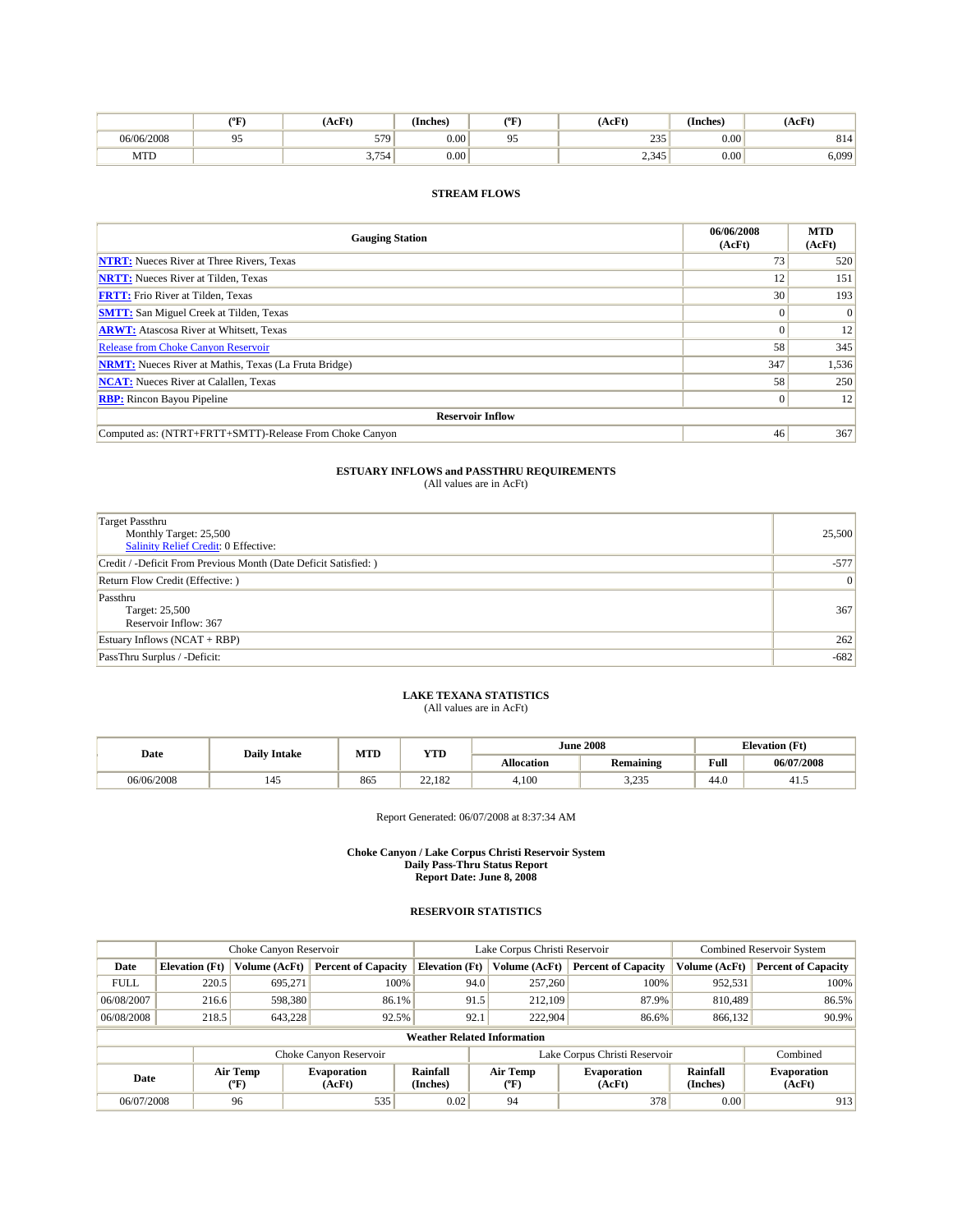|            | (°F           | AcFt)                | $\sim$<br>(Inches) | $(^oF$ | (AcFt)     | (Inches) | (AcFt) |
|------------|---------------|----------------------|--------------------|--------|------------|----------|--------|
| 06/06/2008 | $\sim$ $\sim$ | 579<br>$\sim$ $\sim$ | 0.00               | 05     | 235<br>___ | 0.00     | 814    |
| MTD        |               | 3.754'               | 0.00               |        | 2,345      | 0.00     | 6,099' |

| <b>Gauging Station</b>                                       | 06/06/2008<br>(AcFt) | <b>MTD</b><br>(AcFt) |  |  |  |  |
|--------------------------------------------------------------|----------------------|----------------------|--|--|--|--|
| <b>NTRT:</b> Nueces River at Three Rivers, Texas             | 73                   | 520                  |  |  |  |  |
| <b>NRTT:</b> Nueces River at Tilden, Texas                   | 12                   | 151                  |  |  |  |  |
| <b>FRTT:</b> Frio River at Tilden, Texas                     | 30                   | 193                  |  |  |  |  |
| <b>SMTT:</b> San Miguel Creek at Tilden, Texas               |                      | $\overline{0}$       |  |  |  |  |
| <b>ARWT:</b> Atascosa River at Whitsett, Texas               |                      | 12                   |  |  |  |  |
| <b>Release from Choke Canyon Reservoir</b>                   | 58                   | 345                  |  |  |  |  |
| <b>NRMT:</b> Nueces River at Mathis, Texas (La Fruta Bridge) | 347                  | 1,536                |  |  |  |  |
| <b>NCAT:</b> Nueces River at Calallen, Texas                 | 58                   | 250                  |  |  |  |  |
| <b>RBP:</b> Rincon Bayou Pipeline                            |                      | 12                   |  |  |  |  |
| <b>Reservoir Inflow</b>                                      |                      |                      |  |  |  |  |
| Computed as: (NTRT+FRTT+SMTT)-Release From Choke Canyon      | 46                   | 367                  |  |  |  |  |

# **ESTUARY INFLOWS and PASSTHRU REQUIREMENTS**<br>(All values are in AcFt)

| <b>Target Passthru</b><br>Monthly Target: 25,500<br><b>Salinity Relief Credit: 0 Effective:</b> | 25,500 |
|-------------------------------------------------------------------------------------------------|--------|
| Credit / -Deficit From Previous Month (Date Deficit Satisfied: )                                | $-577$ |
| Return Flow Credit (Effective: )                                                                | 0      |
| Passthru<br>Target: 25,500<br>Reservoir Inflow: 367                                             | 367    |
| Estuary Inflows $(NCAT + RBP)$                                                                  | 262    |
| PassThru Surplus / -Deficit:                                                                    | $-682$ |

## **LAKE TEXANA STATISTICS** (All values are in AcFt)

| Date       | <b>Daily Intake</b> | MTD | <b>YTD</b> |                   | <b>June 2008</b> |      | <b>Elevation</b> (Ft) |  |
|------------|---------------------|-----|------------|-------------------|------------------|------|-----------------------|--|
|            |                     |     |            | <b>Allocation</b> | <b>Remaining</b> | Full | 06/07/2008            |  |
| 06/06/2008 | 145                 | 865 | 22.182     | 4.100             | 225<br>ر رے د    | 44.0 | 41.3                  |  |

Report Generated: 06/07/2008 at 8:37:34 AM

#### **Choke Canyon / Lake Corpus Christi Reservoir System Daily Pass-Thru Status Report Report Date: June 8, 2008**

| Choke Canyon Reservoir |                       |                  |                              | Lake Corpus Christi Reservoir      | <b>Combined Reservoir System</b> |                               |                      |                              |
|------------------------|-----------------------|------------------|------------------------------|------------------------------------|----------------------------------|-------------------------------|----------------------|------------------------------|
| Date                   | <b>Elevation</b> (Ft) | Volume (AcFt)    | <b>Percent of Capacity</b>   | <b>Elevation</b> (Ft)              | Volume (AcFt)                    | <b>Percent of Capacity</b>    | Volume (AcFt)        | <b>Percent of Capacity</b>   |
| <b>FULL</b>            | 220.5                 | 695,271          | 100%                         | 94.0                               | 257,260                          | 100%                          | 952,531              | 100%                         |
| 06/08/2007             | 216.6                 | 598,380          | 86.1%                        | 91.5                               | 212,109                          | 87.9%                         | 810,489              | 86.5%                        |
| 06/08/2008             | 218.5                 | 643,228          | 92.5%                        | 92.1                               | 222,904                          | 86.6%                         | 866,132              | 90.9%                        |
|                        |                       |                  |                              | <b>Weather Related Information</b> |                                  |                               |                      |                              |
|                        |                       |                  | Choke Canyon Reservoir       |                                    |                                  | Lake Corpus Christi Reservoir |                      | Combined                     |
| Date                   |                       | Air Temp<br>(°F) | <b>Evaporation</b><br>(AcFt) | Rainfall<br>(Inches)               | Air Temp<br>$(^{\circ}F)$        | <b>Evaporation</b><br>(AcFt)  | Rainfall<br>(Inches) | <b>Evaporation</b><br>(AcFt) |
| 06/07/2008             |                       | 96               | 535                          | 0.02                               | 94                               | 378                           | 0.00                 | 913                          |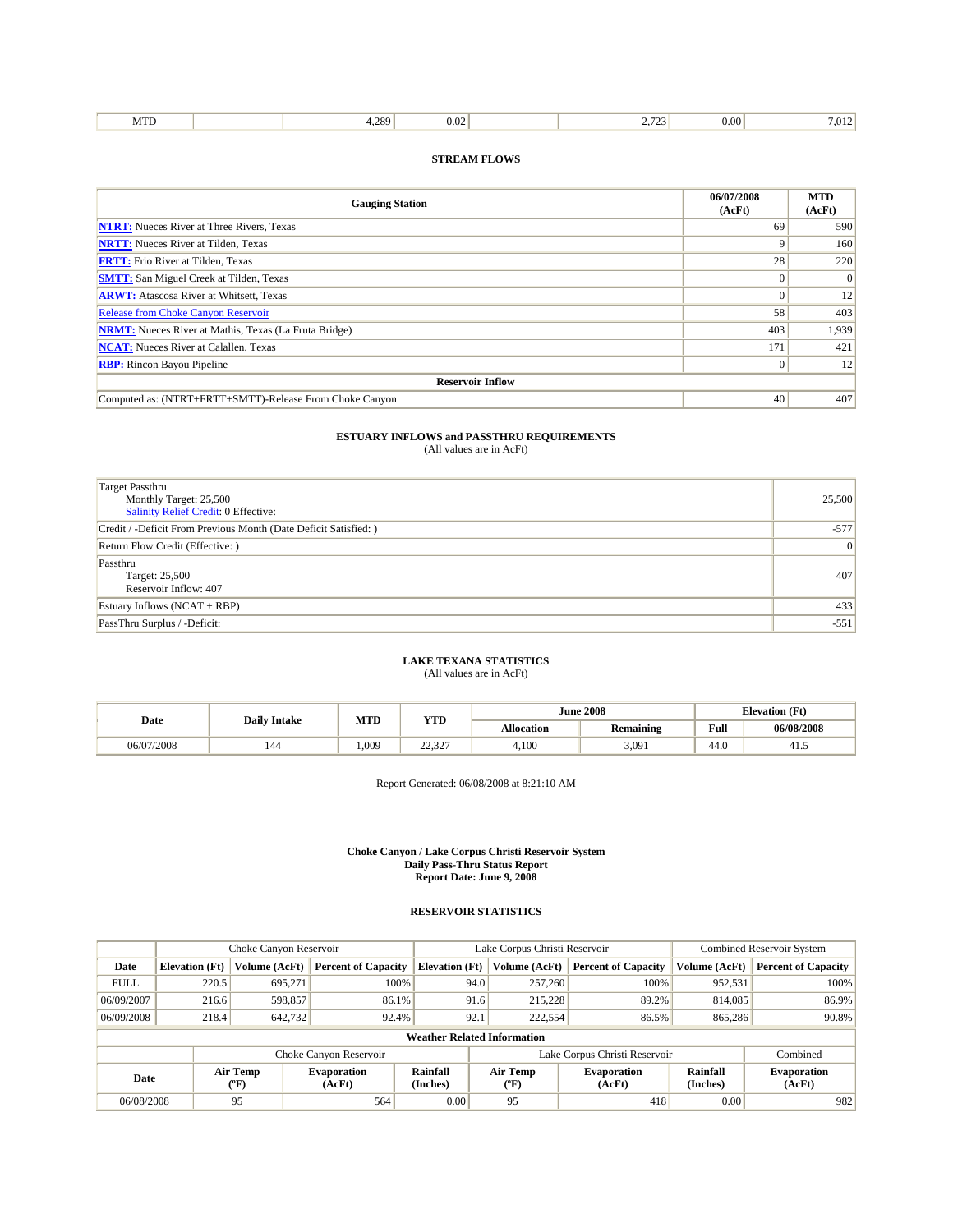| 289<br><b>CONTRACTOR</b><br>$\Omega$<br>.vı<br>$\ldots$<br>1.117<br> |  |
|----------------------------------------------------------------------|--|
|----------------------------------------------------------------------|--|

| <b>Gauging Station</b>                                       | 06/07/2008<br>(AcFt) | <b>MTD</b><br>(AcFt) |  |  |  |  |
|--------------------------------------------------------------|----------------------|----------------------|--|--|--|--|
| <b>NTRT:</b> Nueces River at Three Rivers, Texas             | 69                   | 590                  |  |  |  |  |
| <b>NRTT:</b> Nueces River at Tilden, Texas                   |                      | 160                  |  |  |  |  |
| <b>FRTT:</b> Frio River at Tilden, Texas                     | 28                   | 220                  |  |  |  |  |
| <b>SMTT:</b> San Miguel Creek at Tilden, Texas               |                      | $\overline{0}$       |  |  |  |  |
| <b>ARWT:</b> Atascosa River at Whitsett, Texas               | $\Omega$             | 12                   |  |  |  |  |
| <b>Release from Choke Canyon Reservoir</b>                   | 58                   | 403                  |  |  |  |  |
| <b>NRMT:</b> Nueces River at Mathis, Texas (La Fruta Bridge) | 403                  | 1,939                |  |  |  |  |
| <b>NCAT:</b> Nueces River at Calallen, Texas                 | 171                  | 421                  |  |  |  |  |
| <b>RBP:</b> Rincon Bayou Pipeline                            | $\Omega$             | 12                   |  |  |  |  |
| <b>Reservoir Inflow</b>                                      |                      |                      |  |  |  |  |
| Computed as: (NTRT+FRTT+SMTT)-Release From Choke Canyon      | 40                   | 407                  |  |  |  |  |

# **ESTUARY INFLOWS and PASSTHRU REQUIREMENTS**<br>(All values are in AcFt)

| Target Passthru                                                  |        |
|------------------------------------------------------------------|--------|
| Monthly Target: 25,500                                           | 25,500 |
| <b>Salinity Relief Credit: 0 Effective:</b>                      |        |
| Credit / -Deficit From Previous Month (Date Deficit Satisfied: ) | $-577$ |
| Return Flow Credit (Effective: )                                 | 0      |
| Passthru                                                         |        |
| Target: 25,500                                                   | 407    |
| Reservoir Inflow: 407                                            |        |
| Estuary Inflows $(NCAT + RBP)$                                   | 433    |
| PassThru Surplus / -Deficit:                                     | $-551$ |

## **LAKE TEXANA STATISTICS** (All values are in AcFt)

| Date       | <b>Daily Intake</b> | MTD  | <b>YTD</b>       |                   | <b>June 2008</b> | <b>Elevation</b> (Ft) |            |
|------------|---------------------|------|------------------|-------------------|------------------|-----------------------|------------|
|            |                     |      |                  | <b>Allocation</b> | Remaining        | Full                  | 06/08/2008 |
| 06/07/2008 | 144                 | .009 | 22.22<br>ے کہ کہ | 4,100             | 3,091            | 44.0                  | 41.        |

Report Generated: 06/08/2008 at 8:21:10 AM

#### **Choke Canyon / Lake Corpus Christi Reservoir System Daily Pass-Thru Status Report Report Date: June 9, 2008**

|             |                       | Choke Canyon Reservoir |                              |                                                                                   | Lake Corpus Christi Reservoir | <b>Combined Reservoir System</b> |                              |                            |
|-------------|-----------------------|------------------------|------------------------------|-----------------------------------------------------------------------------------|-------------------------------|----------------------------------|------------------------------|----------------------------|
| Date        | <b>Elevation</b> (Ft) | Volume (AcFt)          | <b>Percent of Capacity</b>   | <b>Elevation</b> (Ft)                                                             | Volume (AcFt)                 | <b>Percent of Capacity</b>       | Volume (AcFt)                | <b>Percent of Capacity</b> |
| <b>FULL</b> | 220.5                 | 695,271                | 100%                         | 94.0                                                                              | 257,260                       | 100%                             | 952,531                      | 100%                       |
| 06/09/2007  | 216.6                 | 598,857                | 86.1%                        | 91.6                                                                              | 215.228                       | 89.2%                            | 814,085                      | 86.9%                      |
| 06/09/2008  | 218.4                 | 642,732                | 92.4%                        | 92.1                                                                              | 222,554                       | 86.5%                            | 865,286                      | 90.8%                      |
|             |                       |                        |                              | <b>Weather Related Information</b>                                                |                               |                                  |                              |                            |
|             |                       |                        | Choke Canyon Reservoir       |                                                                                   | Lake Corpus Christi Reservoir |                                  |                              | Combined                   |
| Date        |                       | Air Temp<br>(°F)       | <b>Evaporation</b><br>(AcFt) | Rainfall<br>Air Temp<br><b>Evaporation</b><br>(Inches)<br>(AcFt)<br>$(^{\circ}F)$ |                               | Rainfall<br>(Inches)             | <b>Evaporation</b><br>(AcFt) |                            |
| 06/08/2008  |                       | 95                     | 564                          | 0.00                                                                              | 95                            | 418                              | 0.00                         | 982                        |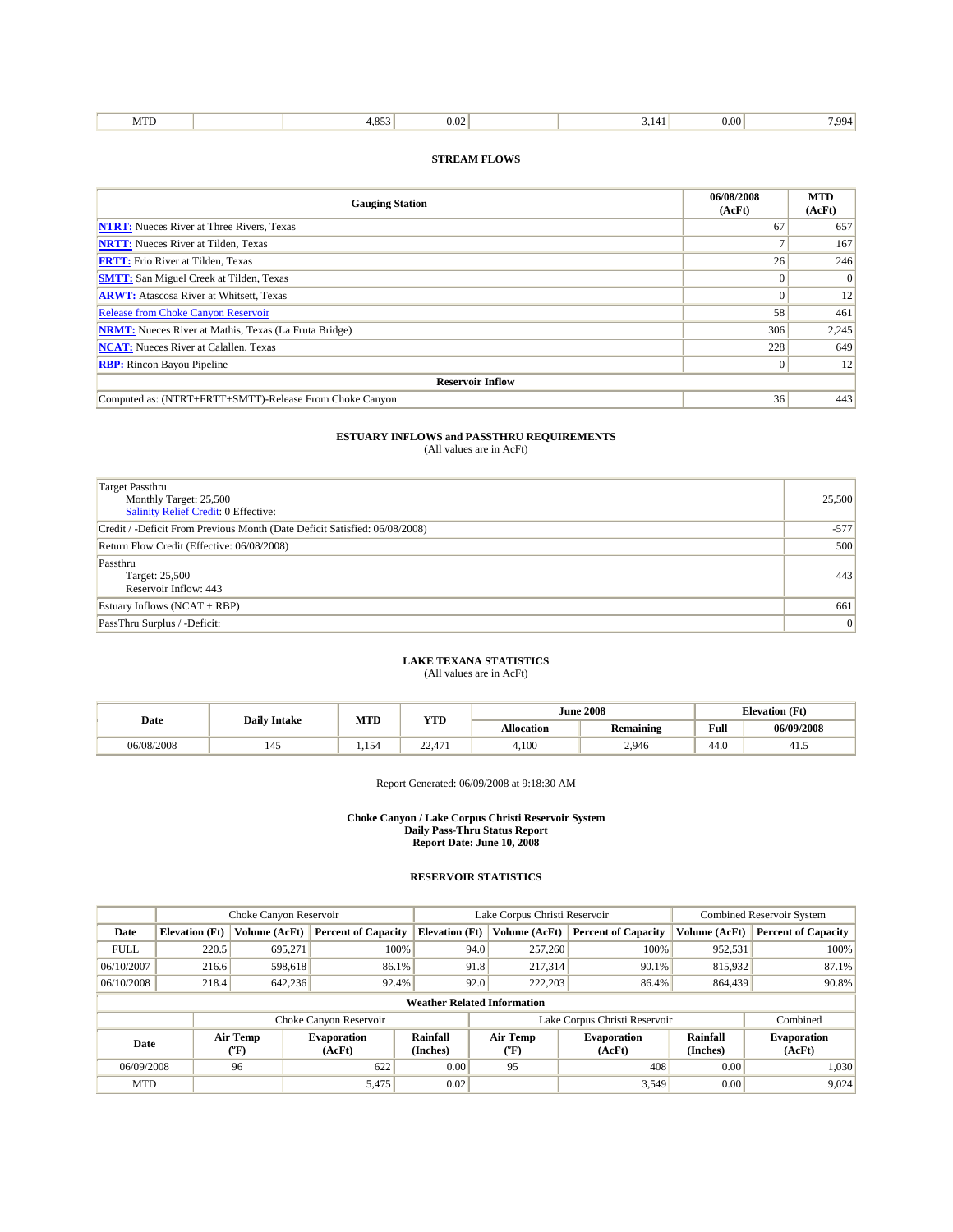| <b>COUNTY</b><br>$\sim$ $ \sim$<br>$\alpha$<br>QQ4<br>.vı<br>,,,,<br>$\ldots$<br>.<br> |
|----------------------------------------------------------------------------------------|
|----------------------------------------------------------------------------------------|

| <b>Gauging Station</b>                                       | 06/08/2008<br>(AcFt) | <b>MTD</b><br>(AcFt) |  |  |  |  |  |  |
|--------------------------------------------------------------|----------------------|----------------------|--|--|--|--|--|--|
| <b>NTRT:</b> Nueces River at Three Rivers, Texas             | 67                   | 657                  |  |  |  |  |  |  |
| <b>NRTT:</b> Nueces River at Tilden, Texas                   |                      | 167                  |  |  |  |  |  |  |
| <b>FRTT:</b> Frio River at Tilden, Texas                     | 26                   | 246                  |  |  |  |  |  |  |
| <b>SMTT:</b> San Miguel Creek at Tilden, Texas               | $\Omega$             | $\overline{0}$       |  |  |  |  |  |  |
| <b>ARWT:</b> Atascosa River at Whitsett, Texas               | $\Omega$             | 12                   |  |  |  |  |  |  |
| <b>Release from Choke Canyon Reservoir</b>                   | 58                   | 461                  |  |  |  |  |  |  |
| <b>NRMT:</b> Nueces River at Mathis, Texas (La Fruta Bridge) | 306                  | 2,245                |  |  |  |  |  |  |
| <b>NCAT:</b> Nueces River at Calallen, Texas                 | 228                  | 649                  |  |  |  |  |  |  |
| <b>RBP:</b> Rincon Bayou Pipeline                            | $\Omega$             | 12                   |  |  |  |  |  |  |
| <b>Reservoir Inflow</b>                                      |                      |                      |  |  |  |  |  |  |
| Computed as: (NTRT+FRTT+SMTT)-Release From Choke Canyon      | 36                   | 443                  |  |  |  |  |  |  |

# **ESTUARY INFLOWS and PASSTHRU REQUIREMENTS**<br>(All values are in AcFt)

| Target Passthru                                                            |        |
|----------------------------------------------------------------------------|--------|
| Monthly Target: 25,500                                                     | 25,500 |
| <b>Salinity Relief Credit: 0 Effective:</b>                                |        |
| Credit / -Deficit From Previous Month (Date Deficit Satisfied: 06/08/2008) | $-577$ |
| Return Flow Credit (Effective: 06/08/2008)                                 | 500    |
| Passthru                                                                   |        |
| Target: 25,500                                                             | 443    |
| Reservoir Inflow: 443                                                      |        |
| Estuary Inflows $(NCAT + RBP)$                                             | 661    |
| PassThru Surplus / -Deficit:                                               | 0      |

## **LAKE TEXANA STATISTICS** (All values are in AcFt)

| Date       | <b>Daily Intake</b> | MTD   | YTD              |                   | <b>June 2008</b> | <b>Elevation</b> (Ft) |            |
|------------|---------------------|-------|------------------|-------------------|------------------|-----------------------|------------|
|            |                     |       |                  | <b>Allocation</b> | Remaining        | Full                  | 06/09/2008 |
| 06/08/2008 | 145                 | 1,154 | 22.471<br>22,411 | 4,100             | 2,946            | 44.0                  | 41.5       |

Report Generated: 06/09/2008 at 9:18:30 AM

#### **Choke Canyon / Lake Corpus Christi Reservoir System Daily Pass-Thru Status Report Report Date: June 10, 2008**

|                                    |                          | Choke Canyon Reservoir |                              |                       | Lake Corpus Christi Reservoir |                              | <b>Combined Reservoir System</b> |                              |  |
|------------------------------------|--------------------------|------------------------|------------------------------|-----------------------|-------------------------------|------------------------------|----------------------------------|------------------------------|--|
| Date                               | <b>Elevation (Ft)</b>    | <b>Volume (AcFt)</b>   | <b>Percent of Capacity</b>   | <b>Elevation</b> (Ft) | Volume (AcFt)                 | <b>Percent of Capacity</b>   | Volume (AcFt)                    | <b>Percent of Capacity</b>   |  |
| <b>FULL</b>                        | 220.5                    | 695.271                | 100%                         | 94.0                  | 257,260                       | 100%                         | 952,531                          | 100%                         |  |
| 06/10/2007                         | 216.6                    | 598,618                | 86.1%                        | 91.8                  | 217,314                       | 90.1%                        | 815,932                          | 87.1%                        |  |
| 06/10/2008                         | 218.4                    | 642,236                | 92.4%                        | 92.0                  | 222,203                       | 86.4%                        | 864,439                          | 90.8%                        |  |
| <b>Weather Related Information</b> |                          |                        |                              |                       |                               |                              |                                  |                              |  |
|                                    |                          |                        | Choke Canyon Reservoir       |                       | Lake Corpus Christi Reservoir |                              |                                  | Combined                     |  |
|                                    | Air Temp<br>Date<br>(°F) |                        | <b>Evaporation</b><br>(AcFt) | Rainfall<br>(Inches)  | Air Temp<br>$(^{\circ}F)$     | <b>Evaporation</b><br>(AcFt) | Rainfall<br>(Inches)             | <b>Evaporation</b><br>(AcFt) |  |
| 06/09/2008                         |                          | 96                     | 622                          | 0.00                  | 95                            | 408                          | 0.00                             | 1,030                        |  |
| <b>MTD</b>                         |                          |                        | 5,475                        | 0.02                  |                               | 3,549                        | 0.00                             | 9,024                        |  |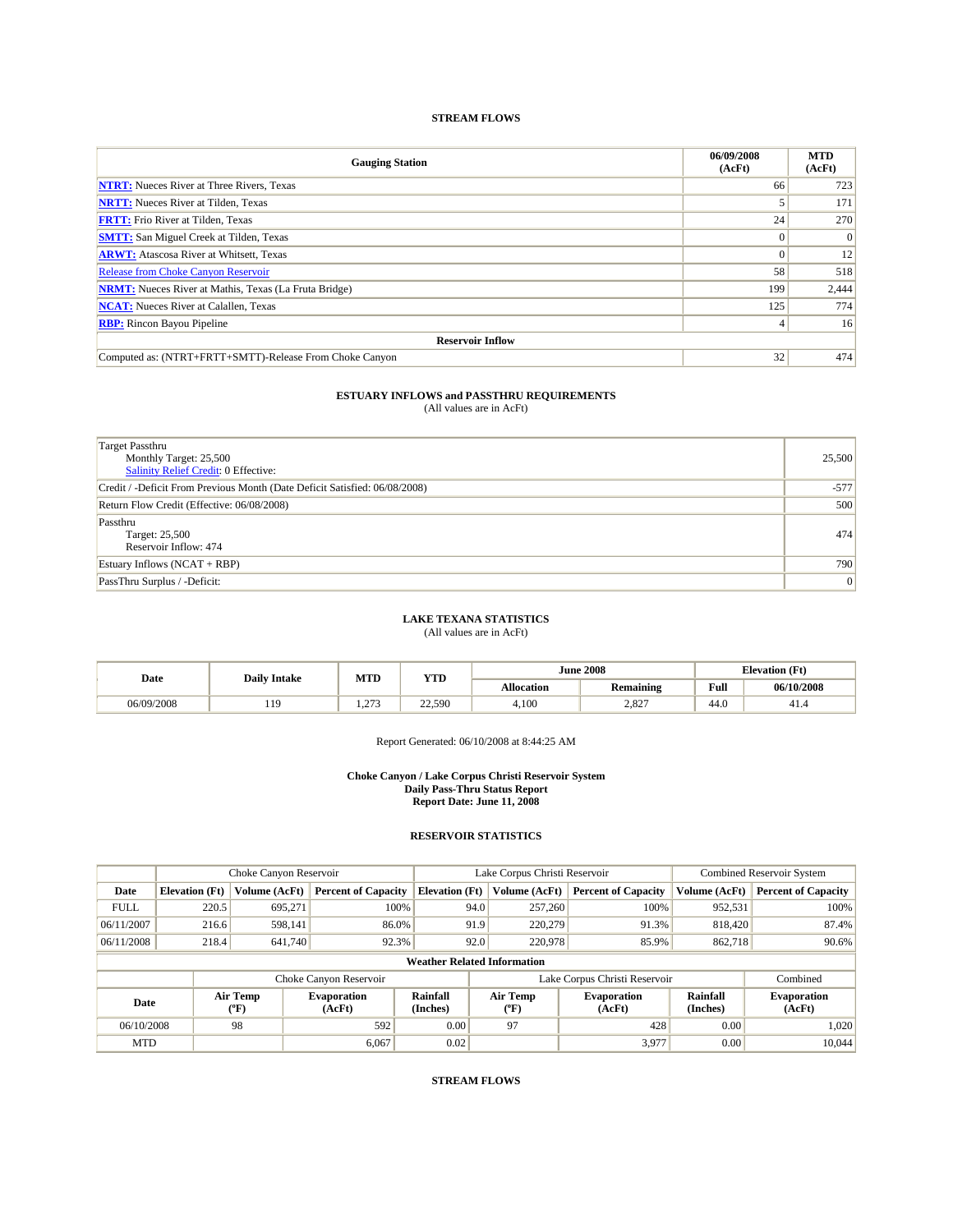| <b>Gauging Station</b>                                       | 06/09/2008<br>(AcFt) | <b>MTD</b><br>(AcFt) |  |  |  |  |  |  |
|--------------------------------------------------------------|----------------------|----------------------|--|--|--|--|--|--|
| <b>NTRT:</b> Nueces River at Three Rivers, Texas             | 66                   | 723                  |  |  |  |  |  |  |
| <b>NRTT:</b> Nueces River at Tilden, Texas                   |                      | 171                  |  |  |  |  |  |  |
| <b>FRTT:</b> Frio River at Tilden, Texas                     | 24                   | 270                  |  |  |  |  |  |  |
| <b>SMTT:</b> San Miguel Creek at Tilden, Texas               |                      | $\Omega$             |  |  |  |  |  |  |
| <b>ARWT:</b> Atascosa River at Whitsett, Texas               |                      | 12                   |  |  |  |  |  |  |
| <b>Release from Choke Canyon Reservoir</b>                   | 58                   | 518                  |  |  |  |  |  |  |
| <b>NRMT:</b> Nueces River at Mathis, Texas (La Fruta Bridge) | 199                  | 2,444                |  |  |  |  |  |  |
| <b>NCAT:</b> Nueces River at Calallen, Texas                 | 125                  | 774                  |  |  |  |  |  |  |
| <b>RBP:</b> Rincon Bayou Pipeline                            |                      | 16                   |  |  |  |  |  |  |
| <b>Reservoir Inflow</b>                                      |                      |                      |  |  |  |  |  |  |
| Computed as: (NTRT+FRTT+SMTT)-Release From Choke Canyon      | 32                   | 474                  |  |  |  |  |  |  |

# **ESTUARY INFLOWS and PASSTHRU REQUIREMENTS**<br>(All values are in AcFt)

| <b>Target Passthru</b><br>Monthly Target: 25,500<br><b>Salinity Relief Credit: 0 Effective:</b> | 25,500 |
|-------------------------------------------------------------------------------------------------|--------|
| Credit / -Deficit From Previous Month (Date Deficit Satisfied: 06/08/2008)                      | $-577$ |
| Return Flow Credit (Effective: 06/08/2008)                                                      | 500    |
| Passthru<br>Target: 25,500<br>Reservoir Inflow: 474                                             | 474    |
| Estuary Inflows $(NCAT + RBP)$                                                                  | 790    |
| PassThru Surplus / -Deficit:                                                                    | 0      |

## **LAKE TEXANA STATISTICS**

(All values are in AcFt)

|            | <b>Daily Intake</b> | MTD     | YTD    |            | <b>June 2008</b> | <b>Elevation</b> (Ft)                       |            |
|------------|---------------------|---------|--------|------------|------------------|---------------------------------------------|------------|
| Date       |                     |         |        | Allocation | <b>Remaining</b> | Full<br>the contract of the contract of the | 06/10/2008 |
| 06/09/2008 | 119                 | 27<br>. | 22,590 | 4,100      | 2.827            | 44.0                                        | 41.4       |

Report Generated: 06/10/2008 at 8:44:25 AM

#### **Choke Canyon / Lake Corpus Christi Reservoir System Daily Pass-Thru Status Report Report Date: June 11, 2008**

## **RESERVOIR STATISTICS**

|             | Choke Canyon Reservoir             |                      | Lake Corpus Christi Reservoir |                       |                               |                     | Combined Reservoir System    |                      |                              |         |       |
|-------------|------------------------------------|----------------------|-------------------------------|-----------------------|-------------------------------|---------------------|------------------------------|----------------------|------------------------------|---------|-------|
| Date        | <b>Elevation</b> (Ft)              | <b>Volume (AcFt)</b> | <b>Percent of Capacity</b>    | <b>Elevation</b> (Ft) |                               | Volume (AcFt)       | <b>Percent of Capacity</b>   | Volume (AcFt)        | <b>Percent of Capacity</b>   |         |       |
| <b>FULL</b> | 220.5                              | 695.271              |                               | 100%                  | 94.0                          | 257,260             | 100%                         | 952,531              | 100%                         |         |       |
| 06/11/2007  | 216.6                              | 598,141              | 86.0%                         |                       | 91.9                          | 220,279             | 91.3%                        | 818,420              | 87.4%                        |         |       |
| 06/11/2008  | 218.4                              | 641,740              | 92.3%                         |                       | 92.0                          |                     |                              |                      | 220,978<br>85.9%             | 862,718 | 90.6% |
|             | <b>Weather Related Information</b> |                      |                               |                       |                               |                     |                              |                      |                              |         |       |
|             |                                    |                      | Choke Canyon Reservoir        |                       | Lake Corpus Christi Reservoir |                     |                              | Combined             |                              |         |       |
| Date        |                                    | Air Temp<br>$(^oF)$  | <b>Evaporation</b><br>(AcFt)  | Rainfall<br>(Inches)  |                               | Air Temp<br>$(^oF)$ | <b>Evaporation</b><br>(AcFt) | Rainfall<br>(Inches) | <b>Evaporation</b><br>(AcFt) |         |       |
| 06/10/2008  |                                    | 98                   | 592                           | 0.00                  |                               | 97                  | 428                          | 0.00                 | 1,020                        |         |       |
| <b>MTD</b>  |                                    |                      | 6.067                         | 0.02                  |                               |                     | 3,977                        | 0.00                 | 10.044                       |         |       |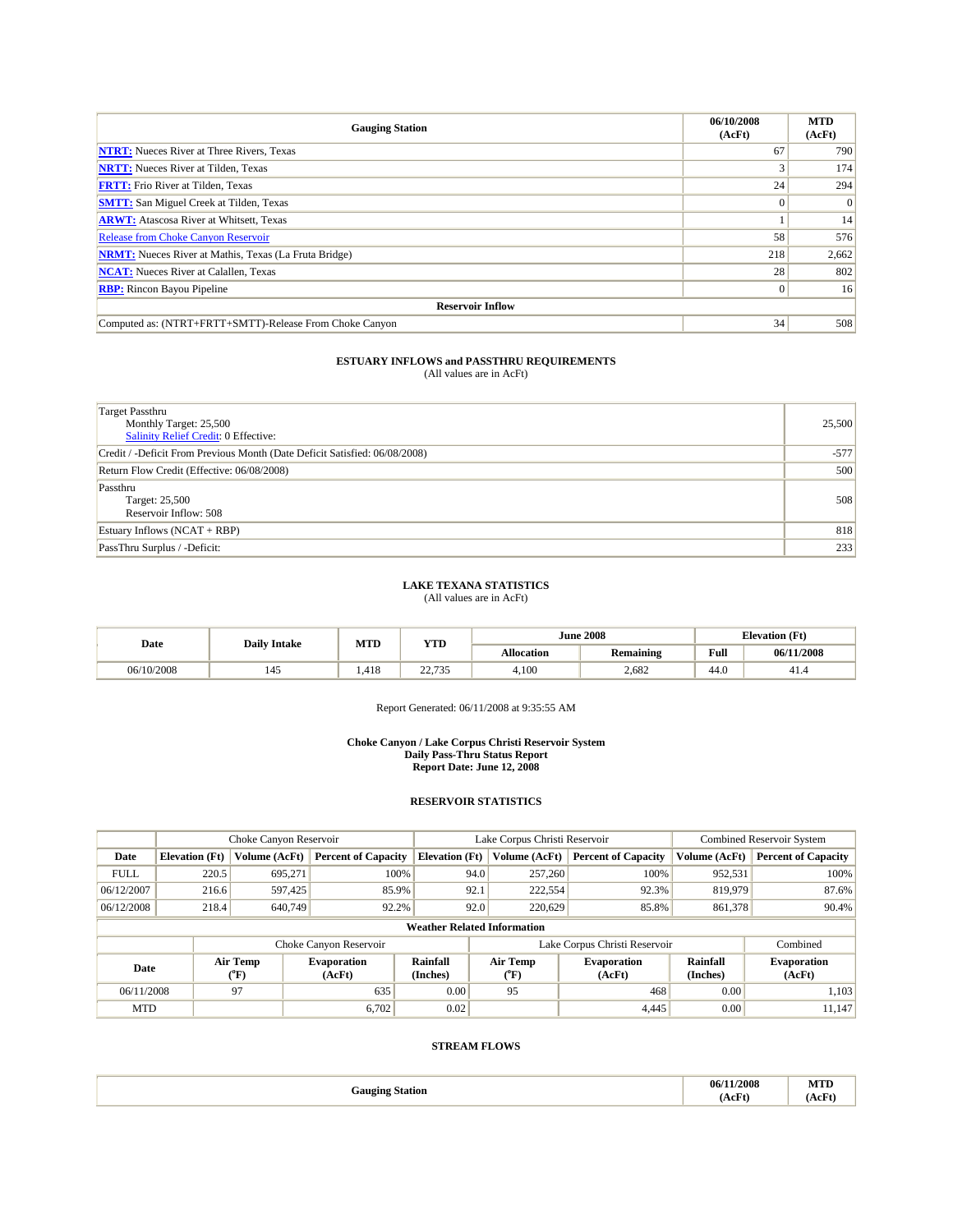| <b>Gauging Station</b>                                       | 06/10/2008<br>(AcFt) | <b>MTD</b><br>(AcFt) |  |  |  |  |  |  |
|--------------------------------------------------------------|----------------------|----------------------|--|--|--|--|--|--|
| <b>NTRT:</b> Nueces River at Three Rivers, Texas             | 67                   | 790                  |  |  |  |  |  |  |
| <b>NRTT:</b> Nueces River at Tilden, Texas                   |                      | 174                  |  |  |  |  |  |  |
| <b>FRTT:</b> Frio River at Tilden, Texas                     | 24                   | 294                  |  |  |  |  |  |  |
| <b>SMTT:</b> San Miguel Creek at Tilden, Texas               |                      | $\Omega$             |  |  |  |  |  |  |
| <b>ARWT:</b> Atascosa River at Whitsett, Texas               |                      | 14                   |  |  |  |  |  |  |
| <b>Release from Choke Canyon Reservoir</b>                   | 58                   | 576                  |  |  |  |  |  |  |
| <b>NRMT:</b> Nueces River at Mathis, Texas (La Fruta Bridge) | 218                  | 2,662                |  |  |  |  |  |  |
| <b>NCAT:</b> Nueces River at Calallen, Texas                 | 28                   | 802                  |  |  |  |  |  |  |
| <b>RBP:</b> Rincon Bayou Pipeline                            | $\Omega$             | 16                   |  |  |  |  |  |  |
| <b>Reservoir Inflow</b>                                      |                      |                      |  |  |  |  |  |  |
| Computed as: (NTRT+FRTT+SMTT)-Release From Choke Canyon      | 34                   | 508                  |  |  |  |  |  |  |

| <b>Target Passthru</b><br>Monthly Target: 25,500<br>Salinity Relief Credit: 0 Effective: | 25,500 |
|------------------------------------------------------------------------------------------|--------|
| Credit / -Deficit From Previous Month (Date Deficit Satisfied: 06/08/2008)               | $-577$ |
| Return Flow Credit (Effective: 06/08/2008)                                               | 500    |
| Passthru<br>Target: 25,500<br>Reservoir Inflow: 508                                      | 508    |
| Estuary Inflows (NCAT + RBP)                                                             | 818    |
| PassThru Surplus / -Deficit:                                                             | 233    |

## **LAKE TEXANA STATISTICS**

(All values are in AcFt)

| Date       | <b>Daily Intake</b> |       | YTD<br>MTD                |                   | <b>June 2008</b> | <b>Elevation</b> (Ft) |            |
|------------|---------------------|-------|---------------------------|-------------------|------------------|-----------------------|------------|
|            |                     |       |                           | <b>Allocation</b> | <b>Remaining</b> | Full                  | 06/11/2008 |
| 06/10/2008 | 145                 | 1.418 | 22.725<br><u>.</u><br>ر ر | 4.100             | 2.682            | 44.0                  | 41.4       |

Report Generated: 06/11/2008 at 9:35:55 AM

#### **Choke Canyon / Lake Corpus Christi Reservoir System Daily Pass-Thru Status Report Report Date: June 12, 2008**

### **RESERVOIR STATISTICS**

|                                    | Choke Canyon Reservoir |                  |                              |                             | Lake Corpus Christi Reservoir |                  |                               |                             | <b>Combined Reservoir System</b> |  |
|------------------------------------|------------------------|------------------|------------------------------|-----------------------------|-------------------------------|------------------|-------------------------------|-----------------------------|----------------------------------|--|
| Date                               | <b>Elevation</b> (Ft)  | Volume (AcFt)    | <b>Percent of Capacity</b>   | <b>Elevation</b> (Ft)       |                               | Volume (AcFt)    | <b>Percent of Capacity</b>    | Volume (AcFt)               | <b>Percent of Capacity</b>       |  |
| <b>FULL</b>                        | 220.5                  | 695.271          | 100%                         |                             | 94.0                          | 257,260          | 100%                          | 952,531                     | 100%                             |  |
| 06/12/2007                         | 216.6                  | 597,425          | 85.9%                        |                             | 92.1                          | 222,554          | 92.3%                         | 819,979                     | 87.6%                            |  |
| 06/12/2008                         | 218.4                  | 640,749          | 92.2%                        |                             | 92.0                          | 220,629          | 85.8%                         | 861,378                     | 90.4%                            |  |
| <b>Weather Related Information</b> |                        |                  |                              |                             |                               |                  |                               |                             |                                  |  |
|                                    |                        |                  | Choke Canyon Reservoir       |                             |                               |                  | Lake Corpus Christi Reservoir |                             | Combined                         |  |
| Date                               |                        | Air Temp<br>(°F) | <b>Evaporation</b><br>(AcFt) | <b>Rainfall</b><br>(Inches) |                               | Air Temp<br>(°F) | <b>Evaporation</b><br>(AcFt)  | <b>Rainfall</b><br>(Inches) | <b>Evaporation</b><br>(AcFt)     |  |
| 06/11/2008                         |                        | 97               | 635                          | 0.00                        |                               | 95               | 468                           | 0.00                        | 1.103                            |  |
| <b>MTD</b>                         |                        |                  | 6,702                        | 0.02                        |                               |                  | 4,445                         | 0.00                        | 11.147                           |  |

| anoino:<br>Station<br>$\cdots$<br>$\bullet$ | 1/2008<br>06/7<br>.<br>$\sim$ $\Gamma$ <sup>.</sup> | <b>STATE</b><br>MID<br>$A \circ F^{\mu^*}$<br>$\sim$<br>and the contract of the con- |
|---------------------------------------------|-----------------------------------------------------|--------------------------------------------------------------------------------------|
|---------------------------------------------|-----------------------------------------------------|--------------------------------------------------------------------------------------|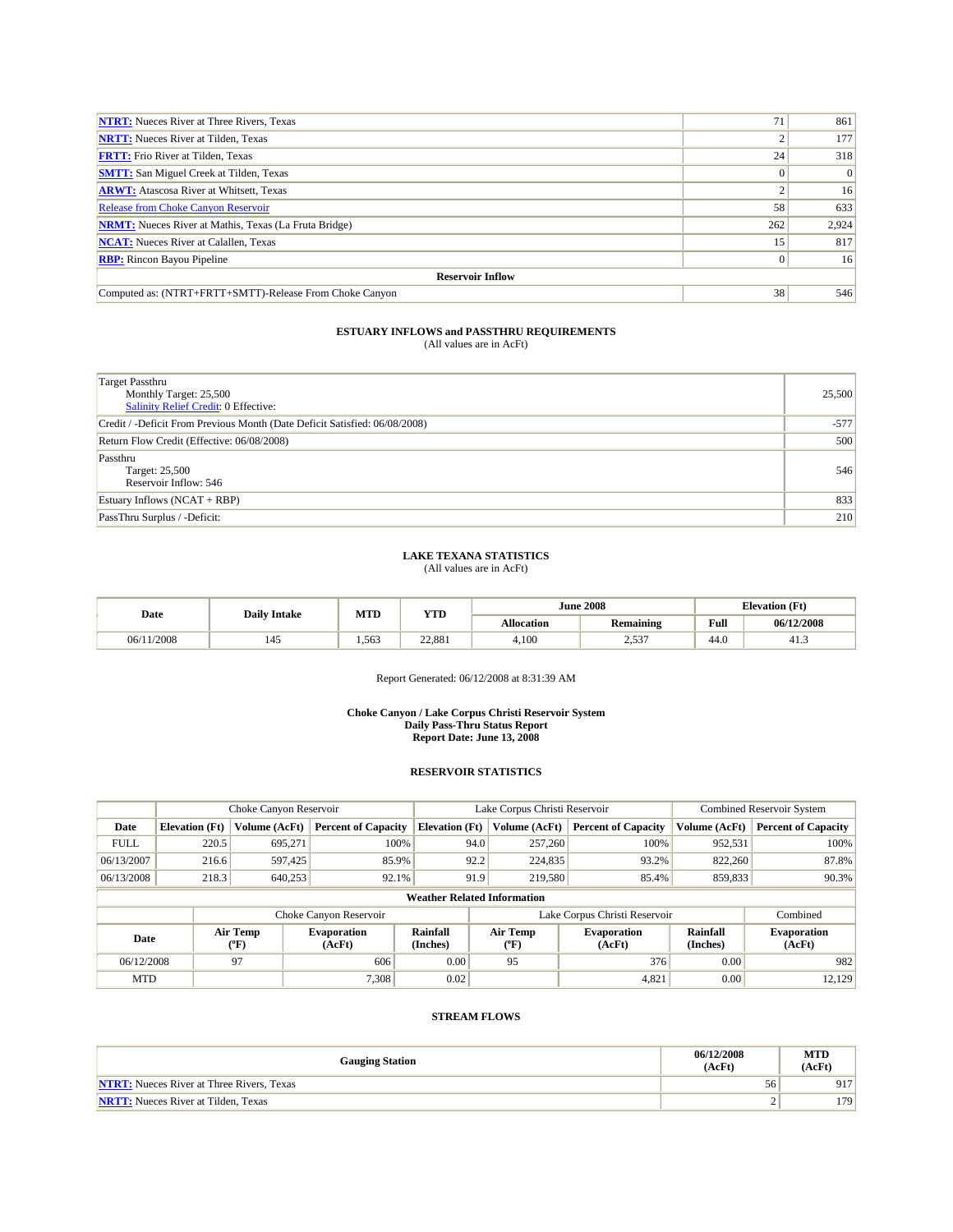| <b>NTRT:</b> Nueces River at Three Rivers, Texas             |     | 861            |  |  |  |  |  |
|--------------------------------------------------------------|-----|----------------|--|--|--|--|--|
| <b>NRTT:</b> Nueces River at Tilden, Texas                   |     | 177            |  |  |  |  |  |
| <b>FRTT:</b> Frio River at Tilden, Texas                     | 24  | 318            |  |  |  |  |  |
| <b>SMTT:</b> San Miguel Creek at Tilden, Texas               |     | $\overline{0}$ |  |  |  |  |  |
| <b>ARWT:</b> Atascosa River at Whitsett, Texas               |     | 16             |  |  |  |  |  |
| <b>Release from Choke Canyon Reservoir</b>                   | 58  | 633            |  |  |  |  |  |
| <b>NRMT:</b> Nueces River at Mathis, Texas (La Fruta Bridge) | 262 | 2,924          |  |  |  |  |  |
| <b>NCAT:</b> Nueces River at Calallen, Texas                 | 15  | 817            |  |  |  |  |  |
| <b>RBP:</b> Rincon Bayou Pipeline                            |     | 16             |  |  |  |  |  |
| <b>Reservoir Inflow</b>                                      |     |                |  |  |  |  |  |
| Computed as: (NTRT+FRTT+SMTT)-Release From Choke Canyon      | 38  | 546            |  |  |  |  |  |

| Target Passthru<br>Monthly Target: 25,500<br>Salinity Relief Credit: 0 Effective: | 25,500 |
|-----------------------------------------------------------------------------------|--------|
| Credit / -Deficit From Previous Month (Date Deficit Satisfied: 06/08/2008)        | $-577$ |
| Return Flow Credit (Effective: 06/08/2008)                                        | 500    |
| Passthru<br>Target: 25,500<br>Reservoir Inflow: 546                               | 546    |
| Estuary Inflows $(NCAT + RBP)$                                                    | 833    |
| PassThru Surplus / -Deficit:                                                      | 210    |

### **LAKE TEXANA STATISTICS**

(All values are in AcFt)

| Date       | <b>Daily Intake</b> |       | MTD<br>YTD |                   | <b>June 2008</b> | <b>Elevation</b> (Ft) |            |
|------------|---------------------|-------|------------|-------------------|------------------|-----------------------|------------|
|            |                     |       |            | <b>Allocation</b> | Remaining        | Full                  | 06/12/2008 |
| 06/11/2008 | 145                 | 1.563 | 22.881     | 4.100             | 527<br>ر ر. ے    | 44.0                  | 41.3       |

Report Generated: 06/12/2008 at 8:31:39 AM

#### **Choke Canyon / Lake Corpus Christi Reservoir System Daily Pass-Thru Status Report Report Date: June 13, 2008**

## **RESERVOIR STATISTICS**

|                                    | Choke Canyon Reservoir                                   |               |                            |                       | Lake Corpus Christi Reservoir |                              |                               |                              | <b>Combined Reservoir System</b> |  |  |
|------------------------------------|----------------------------------------------------------|---------------|----------------------------|-----------------------|-------------------------------|------------------------------|-------------------------------|------------------------------|----------------------------------|--|--|
| Date                               | <b>Elevation</b> (Ft)                                    | Volume (AcFt) | <b>Percent of Capacity</b> | <b>Elevation</b> (Ft) |                               | Volume (AcFt)                | <b>Percent of Capacity</b>    | Volume (AcFt)                | <b>Percent of Capacity</b>       |  |  |
| <b>FULL</b>                        | 220.5                                                    | 695.271       | 100%                       |                       | 94.0                          | 257,260                      | 100%                          | 952,531                      | 100%                             |  |  |
| 06/13/2007                         | 216.6                                                    | 597,425       | 85.9%                      |                       | 92.2                          | 224,835                      | 93.2%                         | 822,260                      | 87.8%                            |  |  |
| 06/13/2008                         | 218.3                                                    | 640,253       | 92.1%                      |                       | 91.9                          | 219,580                      | 85.4%                         | 859,833                      | $90.3\%$                         |  |  |
| <b>Weather Related Information</b> |                                                          |               |                            |                       |                               |                              |                               |                              |                                  |  |  |
|                                    |                                                          |               | Choke Canyon Reservoir     |                       |                               |                              | Lake Corpus Christi Reservoir |                              | Combined                         |  |  |
|                                    | Air Temp<br><b>Evaporation</b><br>Date<br>(AcFt)<br>(°F) |               | Rainfall<br>(Inches)       |                       | Air Temp<br>("F)              | <b>Evaporation</b><br>(AcFt) | Rainfall<br>(Inches)          | <b>Evaporation</b><br>(AcFt) |                                  |  |  |
| 06/12/2008                         |                                                          | 97            | 606                        | 0.00                  |                               | 95                           | 376                           | 0.00                         | 982                              |  |  |
| <b>MTD</b>                         |                                                          |               | 7,308                      | 0.02                  |                               |                              | 4,821                         | 0.00                         | 12,129                           |  |  |

| <b>Gauging Station</b>                           | 06/12/2008<br>(AcFt) | <b>MTD</b><br>(AcFt) |
|--------------------------------------------------|----------------------|----------------------|
| <b>NTRT:</b> Nueces River at Three Rivers. Texas | 56                   | 917                  |
| <b>NRTT:</b> Nueces River at Tilden. Texas       | ∸                    | 179                  |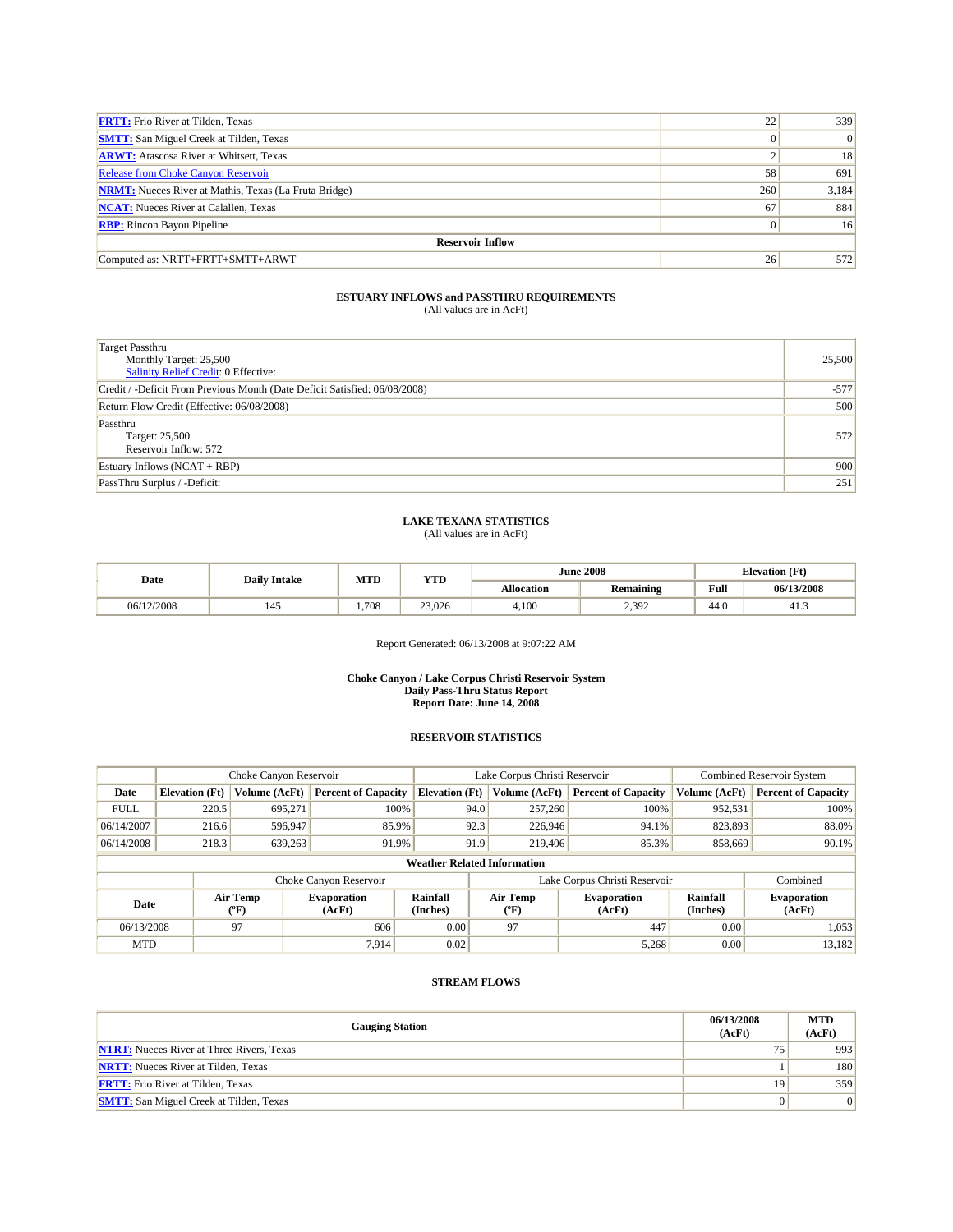| <b>FRTT:</b> Frio River at Tilden, Texas                     | 22           | 339             |  |  |  |  |  |  |
|--------------------------------------------------------------|--------------|-----------------|--|--|--|--|--|--|
| <b>SMTT:</b> San Miguel Creek at Tilden, Texas               | $\mathbf{0}$ | 0               |  |  |  |  |  |  |
| <b>ARWT:</b> Atascosa River at Whitsett, Texas               |              | 18              |  |  |  |  |  |  |
| <b>Release from Choke Canyon Reservoir</b>                   | 58           | 691             |  |  |  |  |  |  |
| <b>NRMT:</b> Nueces River at Mathis, Texas (La Fruta Bridge) | 260          | 3,184           |  |  |  |  |  |  |
| <b>NCAT:</b> Nueces River at Calallen, Texas                 | 67           | 884             |  |  |  |  |  |  |
| <b>RBP:</b> Rincon Bayou Pipeline                            | $\mathbf{0}$ | 16 <sup>1</sup> |  |  |  |  |  |  |
| <b>Reservoir Inflow</b>                                      |              |                 |  |  |  |  |  |  |
| Computed as: NRTT+FRTT+SMTT+ARWT                             | 26           | 572             |  |  |  |  |  |  |

| <b>Target Passthru</b><br>Monthly Target: 25,500<br><b>Salinity Relief Credit: 0 Effective:</b> | 25,500 |
|-------------------------------------------------------------------------------------------------|--------|
| Credit / -Deficit From Previous Month (Date Deficit Satisfied: 06/08/2008)                      | $-577$ |
| Return Flow Credit (Effective: 06/08/2008)                                                      | 500    |
| Passthru<br>Target: 25,500<br>Reservoir Inflow: 572                                             | 572    |
| Estuary Inflows $(NCAT + RBP)$                                                                  | 900    |
| PassThru Surplus / -Deficit:                                                                    | 251    |

# **LAKE TEXANA STATISTICS** (All values are in AcFt)

| Date       | <b>Daily Intake</b> | MTD   | <b>YTD</b> |                   | <b>June 2008</b> | <b>Elevation</b> (Ft) |            |
|------------|---------------------|-------|------------|-------------------|------------------|-----------------------|------------|
|            |                     |       |            | <b>Allocation</b> | <b>Remaining</b> | <b>Full</b>           | 06/13/2008 |
| 06/12/2008 | 145                 | 1.708 | 23,026     | 4.100             | 2.392            | 44.0                  | 41.3       |

Report Generated: 06/13/2008 at 9:07:22 AM

#### **Choke Canyon / Lake Corpus Christi Reservoir System Daily Pass-Thru Status Report Report Date: June 14, 2008**

## **RESERVOIR STATISTICS**

|             | Choke Canyon Reservoir             |                  | Lake Corpus Christi Reservoir |                       |                               |                  | <b>Combined Reservoir System</b> |                      |                              |
|-------------|------------------------------------|------------------|-------------------------------|-----------------------|-------------------------------|------------------|----------------------------------|----------------------|------------------------------|
| Date        | <b>Elevation</b> (Ft)              | Volume (AcFt)    | <b>Percent of Capacity</b>    | <b>Elevation</b> (Ft) |                               | Volume (AcFt)    | <b>Percent of Capacity</b>       | Volume (AcFt)        | <b>Percent of Capacity</b>   |
| <b>FULL</b> | 220.5                              | 695.271          |                               | 100%                  | 94.0                          | 257,260          | 100%                             | 952,531              | 100%                         |
| 06/14/2007  | 216.6                              | 596,947          | 85.9%                         |                       | 92.3                          | 226,946          | 94.1%                            | 823,893              | 88.0%                        |
| 06/14/2008  | 218.3                              | 639,263          | 91.9%                         |                       | 91.9                          | 219,406          | 85.3%                            | 858,669              | 90.1%                        |
|             | <b>Weather Related Information</b> |                  |                               |                       |                               |                  |                                  |                      |                              |
|             |                                    |                  | Choke Canyon Reservoir        |                       | Lake Corpus Christi Reservoir |                  |                                  |                      | Combined                     |
| Date        |                                    | Air Temp<br>(°F) | <b>Evaporation</b><br>(AcFt)  | Rainfall<br>(Inches)  |                               | Air Temp<br>("F) | <b>Evaporation</b><br>(AcFt)     | Rainfall<br>(Inches) | <b>Evaporation</b><br>(AcFt) |
| 06/13/2008  |                                    | 97               | 606                           | 0.00                  |                               | 97               | 447                              | 0.00                 | 1,053                        |
| <b>MTD</b>  |                                    |                  | 7.914                         | 0.02                  |                               |                  | 5,268                            | 0.00                 | 13.182                       |

| <b>Gauging Station</b>                           | 06/13/2008<br>(AcFt) | <b>MTD</b><br>(AcFt) |
|--------------------------------------------------|----------------------|----------------------|
| <b>NTRT:</b> Nueces River at Three Rivers, Texas |                      | 993                  |
| <b>NRTT:</b> Nueces River at Tilden, Texas       |                      | 180                  |
| <b>FRTT:</b> Frio River at Tilden, Texas         | 19                   | 359                  |
| <b>SMTT:</b> San Miguel Creek at Tilden, Texas   |                      | 0                    |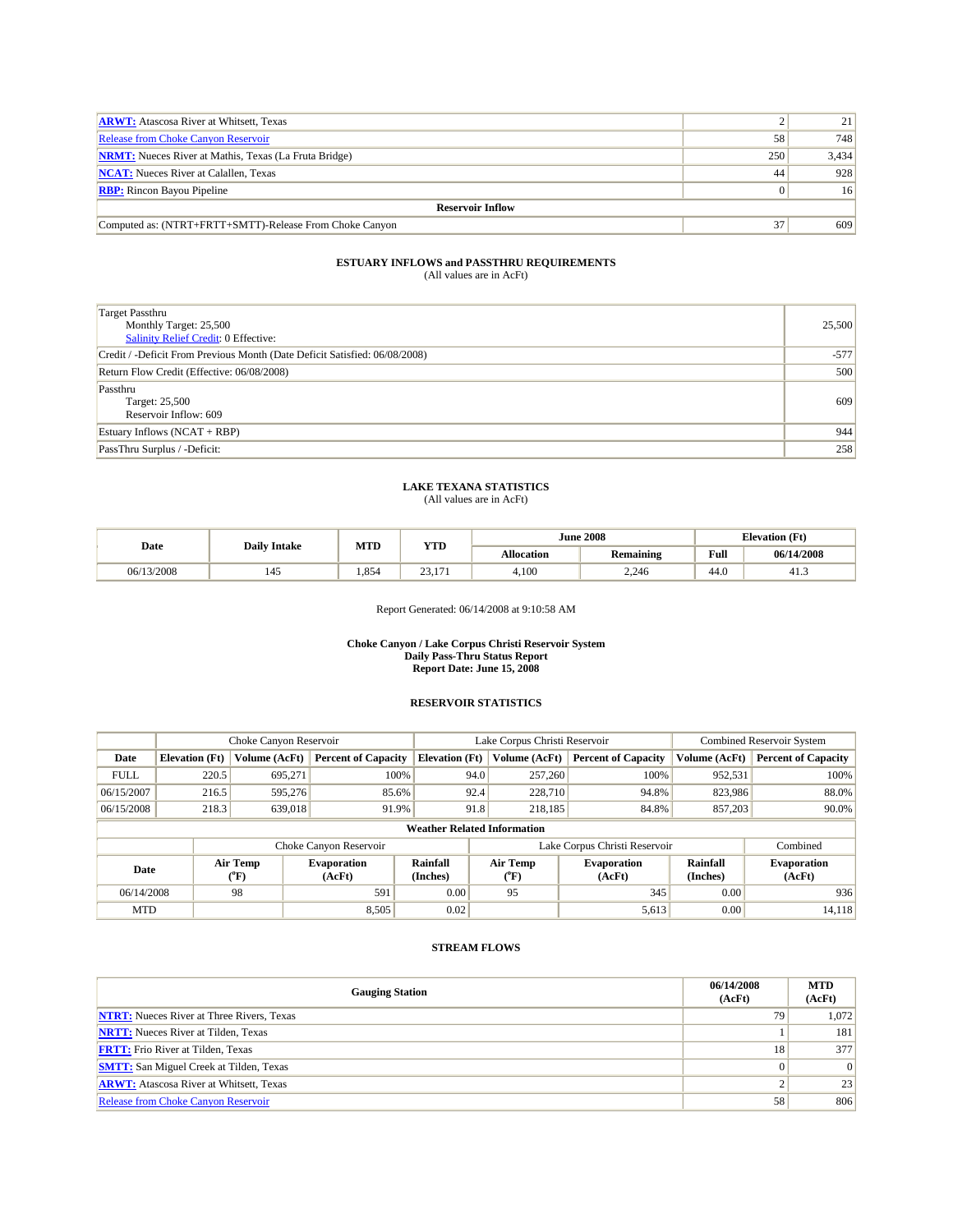| <b>ARWT:</b> Atascosa River at Whitsett, Texas               |     | 21    |  |  |  |  |  |
|--------------------------------------------------------------|-----|-------|--|--|--|--|--|
| Release from Choke Canyon Reservoir                          | 58  | 748   |  |  |  |  |  |
| <b>NRMT:</b> Nueces River at Mathis, Texas (La Fruta Bridge) | 250 | 3,434 |  |  |  |  |  |
| <b>NCAT:</b> Nueces River at Calallen, Texas                 | 44  | 928   |  |  |  |  |  |
| <b>RBP:</b> Rincon Bayou Pipeline                            |     | 16    |  |  |  |  |  |
| <b>Reservoir Inflow</b>                                      |     |       |  |  |  |  |  |
| Computed as: (NTRT+FRTT+SMTT)-Release From Choke Canyon      | 37  | 609   |  |  |  |  |  |

| Target Passthru<br>Monthly Target: 25,500<br>Salinity Relief Credit: 0 Effective: | 25,500 |
|-----------------------------------------------------------------------------------|--------|
| Credit / -Deficit From Previous Month (Date Deficit Satisfied: 06/08/2008)        | $-577$ |
| Return Flow Credit (Effective: 06/08/2008)                                        | 500    |
| Passthru<br>Target: 25,500<br>Reservoir Inflow: 609                               | 609    |
| Estuary Inflows (NCAT + RBP)                                                      | 944    |
| PassThru Surplus / -Deficit:                                                      | 258    |

### **LAKE TEXANA STATISTICS** (All values are in AcFt)

| Date       | <b>Daily Intake</b> | MTD<br>$\frac{1}{2}$ |                                                 |                   | <b>June 2008</b> | <b>Elevation</b> (Ft) |            |
|------------|---------------------|----------------------|-------------------------------------------------|-------------------|------------------|-----------------------|------------|
|            |                     |                      | 1 I.D                                           | <b>Allocation</b> | <b>Remaining</b> |                       | 06/14/2008 |
| 06/13/2008 | 145                 | .854                 | $\sim$<br>1 <sub>7</sub><br>23.I<br>$^{\prime}$ | 4,100             | 2.246            | 44.0                  | دُ.41      |

## Report Generated: 06/14/2008 at 9:10:58 AM

#### **Choke Canyon / Lake Corpus Christi Reservoir System Daily Pass-Thru Status Report Report Date: June 15, 2008**

## **RESERVOIR STATISTICS**

|             | Choke Canyon Reservoir             |                  |                              | Lake Corpus Christi Reservoir | <b>Combined Reservoir System</b> |                               |                              |                             |                              |  |
|-------------|------------------------------------|------------------|------------------------------|-------------------------------|----------------------------------|-------------------------------|------------------------------|-----------------------------|------------------------------|--|
| Date        | <b>Elevation</b> (Ft)              | Volume (AcFt)    | <b>Percent of Capacity</b>   | <b>Elevation</b> (Ft)         |                                  | Volume (AcFt)                 | <b>Percent of Capacity</b>   | Volume (AcFt)               | <b>Percent of Capacity</b>   |  |
| <b>FULL</b> | 220.5                              | 695.271          | 100%                         |                               | 94.0                             | 257,260                       | 100%                         | 952,531                     | 100%                         |  |
| 06/15/2007  | 216.5                              | 595.276          | 85.6%                        |                               | 92.4                             | 228,710                       | 94.8%                        | 823,986                     | 88.0%                        |  |
| 06/15/2008  | 218.3                              | 639,018          | 91.9%                        |                               | 91.8                             | 218,185                       | 84.8%                        | 857,203                     | $90.0\%$                     |  |
|             | <b>Weather Related Information</b> |                  |                              |                               |                                  |                               |                              |                             |                              |  |
|             |                                    |                  | Choke Canyon Reservoir       |                               |                                  | Lake Corpus Christi Reservoir | Combined                     |                             |                              |  |
| Date        |                                    | Air Temp<br>("F) | <b>Evaporation</b><br>(AcFt) | Rainfall<br>(Inches)          |                                  | Air Temp<br>("F)              | <b>Evaporation</b><br>(AcFt) | <b>Rainfall</b><br>(Inches) | <b>Evaporation</b><br>(AcFt) |  |
| 06/14/2008  |                                    | 98               | 591                          | 0.00                          |                                  | 95                            | 345                          | 0.00                        | 936                          |  |
| <b>MTD</b>  |                                    |                  | 8,505                        | 0.02                          |                                  |                               | 5,613                        | 0.00                        | 14,118                       |  |

| <b>Gauging Station</b>                           | 06/14/2008<br>(AcFt) | <b>MTD</b><br>(AcFt) |
|--------------------------------------------------|----------------------|----------------------|
| <b>NTRT:</b> Nueces River at Three Rivers, Texas | 79                   | 1,072                |
| <b>NRTT:</b> Nueces River at Tilden, Texas       |                      | 181                  |
| <b>FRTT:</b> Frio River at Tilden, Texas         | 18                   | 377                  |
| <b>SMTT:</b> San Miguel Creek at Tilden, Texas   | $\Omega$             | 0                    |
| <b>ARWT:</b> Atascosa River at Whitsett, Texas   |                      | 23                   |
| <b>Release from Choke Canyon Reservoir</b>       | 58                   | 806                  |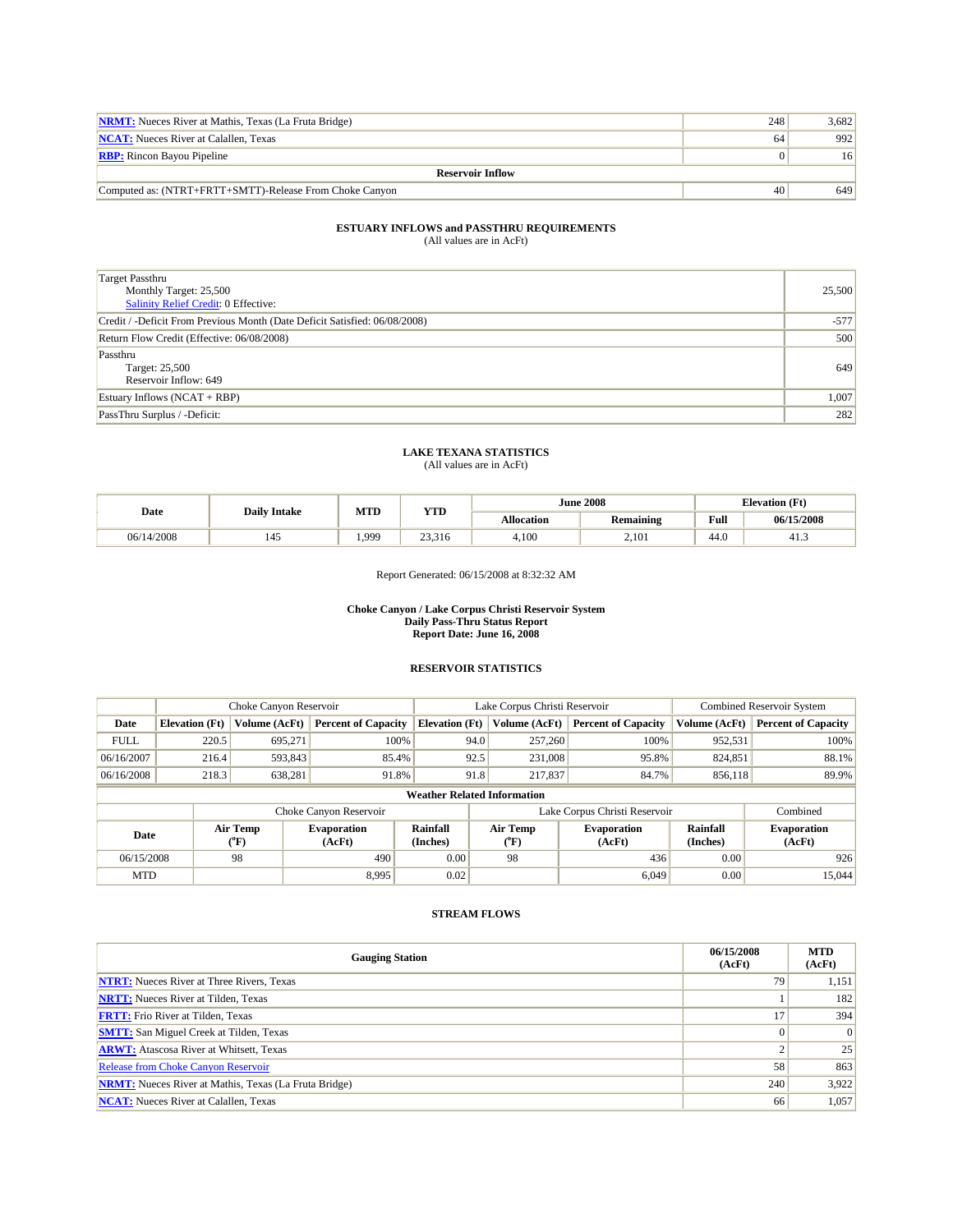| <b>NRMT:</b> Nueces River at Mathis, Texas (La Fruta Bridge) | 248 | 3.682           |  |  |  |  |  |
|--------------------------------------------------------------|-----|-----------------|--|--|--|--|--|
| <b>NCAT:</b> Nueces River at Calallen. Texas                 | 64  | 992             |  |  |  |  |  |
| <b>RBP:</b> Rincon Bayou Pipeline                            |     | 16 <sup>l</sup> |  |  |  |  |  |
| <b>Reservoir Inflow</b>                                      |     |                 |  |  |  |  |  |
| Computed as: (NTRT+FRTT+SMTT)-Release From Choke Canyon      | 40  | 649             |  |  |  |  |  |

| <b>Target Passthru</b><br>Monthly Target: 25,500<br>Salinity Relief Credit: 0 Effective: | 25,500 |
|------------------------------------------------------------------------------------------|--------|
| Credit / -Deficit From Previous Month (Date Deficit Satisfied: 06/08/2008)               | $-577$ |
| Return Flow Credit (Effective: 06/08/2008)                                               | 500    |
| Passthru<br>Target: 25,500<br>Reservoir Inflow: 649                                      | 649    |
| Estuary Inflows $(NCAT + RBP)$                                                           | 1,007  |
| PassThru Surplus / -Deficit:                                                             | 282    |

## **LAKE TEXANA STATISTICS**

(All values are in AcFt)

| Date       | <b>Daily Intake</b> | MTD  | YTD             | <b>June 2008</b>  |           |      | <b>Elevation</b> (Ft) |  |
|------------|---------------------|------|-----------------|-------------------|-----------|------|-----------------------|--|
|            |                     |      |                 | <b>Allocation</b> | Remaining | Full | 06/15/2008            |  |
| 06/14/2008 | 145                 | .999 | 22.21<br>25,510 | 4,100             | 2,101     | 44.0 | 41.5                  |  |

Report Generated: 06/15/2008 at 8:32:32 AM

#### **Choke Canyon / Lake Corpus Christi Reservoir System Daily Pass-Thru Status Report Report Date: June 16, 2008**

## **RESERVOIR STATISTICS**

|             | Choke Canyon Reservoir             |                  | Lake Corpus Christi Reservoir |                       |      |                  | Combined Reservoir System     |                             |                              |  |
|-------------|------------------------------------|------------------|-------------------------------|-----------------------|------|------------------|-------------------------------|-----------------------------|------------------------------|--|
| Date        | <b>Elevation</b> (Ft)              | Volume (AcFt)    | <b>Percent of Capacity</b>    | <b>Elevation (Ft)</b> |      | Volume (AcFt)    | <b>Percent of Capacity</b>    | Volume (AcFt)               | <b>Percent of Capacity</b>   |  |
| <b>FULL</b> | 220.5                              | 695,271          | 100%                          |                       | 94.0 | 257,260          | 100%                          | 952,531                     | 100%                         |  |
| 06/16/2007  | 216.4                              | 593,843          | 85.4%                         |                       | 92.5 | 231,008          | 95.8%                         | 824,851                     | 88.1%                        |  |
| 06/16/2008  | 218.3                              | 638,281          | 91.8%                         |                       | 91.8 | 217,837          | 84.7%                         | 89.9%<br>856,118            |                              |  |
|             | <b>Weather Related Information</b> |                  |                               |                       |      |                  |                               |                             |                              |  |
|             |                                    |                  | Choke Canyon Reservoir        |                       |      |                  | Lake Corpus Christi Reservoir |                             | Combined                     |  |
| Date        |                                    | Air Temp<br>("F) | <b>Evaporation</b><br>(AcFt)  | Rainfall<br>(Inches)  |      | Air Temp<br>("F) | <b>Evaporation</b><br>(AcFt)  | <b>Rainfall</b><br>(Inches) | <b>Evaporation</b><br>(AcFt) |  |
| 06/15/2008  |                                    | 98               | 490                           | 0.00                  |      | 98               | 436                           | 0.00                        | 926                          |  |
| <b>MTD</b>  |                                    |                  | 8,995                         | 0.02                  |      |                  | 6,049                         | 0.00                        | 15,044                       |  |

| <b>Gauging Station</b>                                       | 06/15/2008<br>(AcFt) | <b>MTD</b><br>(AcFt) |
|--------------------------------------------------------------|----------------------|----------------------|
| <b>NTRT:</b> Nueces River at Three Rivers, Texas             | 79                   | 1,151                |
| <b>NRTT:</b> Nueces River at Tilden, Texas                   |                      | 182                  |
| <b>FRTT:</b> Frio River at Tilden, Texas                     |                      | 394                  |
| <b>SMTT:</b> San Miguel Creek at Tilden, Texas               |                      | $\Omega$             |
| <b>ARWT:</b> Atascosa River at Whitsett, Texas               |                      | 25                   |
| <b>Release from Choke Canyon Reservoir</b>                   | 58                   | 863                  |
| <b>NRMT:</b> Nueces River at Mathis, Texas (La Fruta Bridge) | 240                  | 3,922                |
| <b>NCAT:</b> Nueces River at Calallen, Texas                 | 66                   | 1,057                |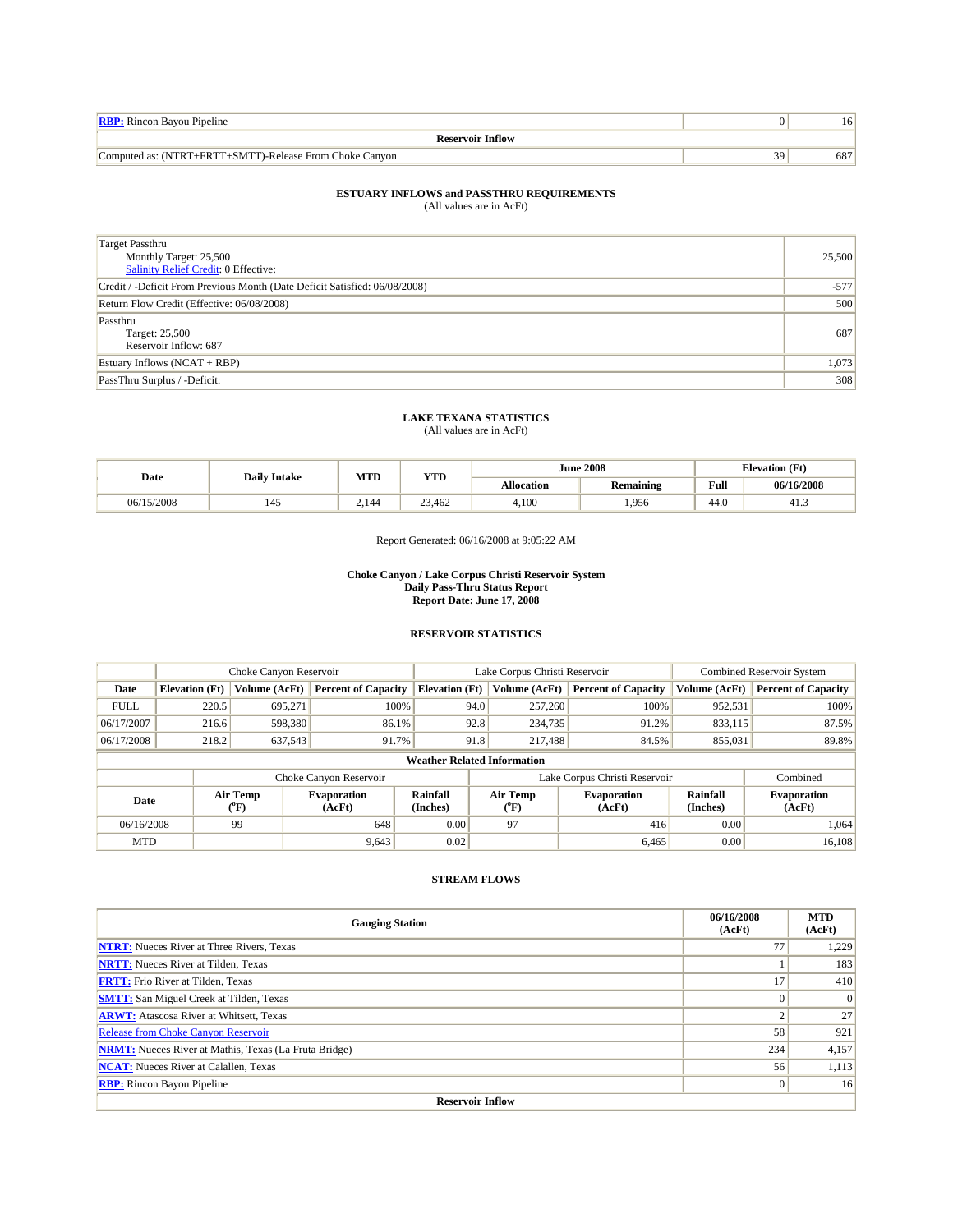| <b>RBP:</b> Rincon Bayou Pipeline                       |     | ، ∂، |
|---------------------------------------------------------|-----|------|
| <b>Reservoir Inflow</b>                                 |     |      |
| Computed as: (NTRT+FRTT+SMTT)-Release From Choke Canyon | 39. | 687  |

| Target Passthru<br>Monthly Target: 25,500<br>Salinity Relief Credit: 0 Effective: | 25,500 |
|-----------------------------------------------------------------------------------|--------|
| Credit / -Deficit From Previous Month (Date Deficit Satisfied: 06/08/2008)        | $-577$ |
| Return Flow Credit (Effective: 06/08/2008)                                        | 500    |
| Passthru<br>Target: 25,500<br>Reservoir Inflow: 687                               | 687    |
| Estuary Inflows $(NCAT + RBP)$                                                    | 1,073  |
| PassThru Surplus / -Deficit:                                                      | 308    |

# **LAKE TEXANA STATISTICS** (All values are in AcFt)

| Date          | <b>Daily Intake</b> | MTD   | YTD    |                   | <b>June 2008</b> |      | <b>Elevation</b> (Ft) |
|---------------|---------------------|-------|--------|-------------------|------------------|------|-----------------------|
|               |                     |       |        | <b>Allocation</b> | <b>Remaining</b> | Full | 06/16/2008            |
| 15/2008<br>06 | 145                 | 2.144 | 23.462 | 4.100             | .956             | 44.0 | 3.41                  |

Report Generated: 06/16/2008 at 9:05:22 AM

#### **Choke Canyon / Lake Corpus Christi Reservoir System Daily Pass-Thru Status Report Report Date: June 17, 2008**

## **RESERVOIR STATISTICS**

|                                    | Choke Canyon Reservoir |                  |                              |                       | Lake Corpus Christi Reservoir |                                         |                               |                      | <b>Combined Reservoir System</b> |  |  |
|------------------------------------|------------------------|------------------|------------------------------|-----------------------|-------------------------------|-----------------------------------------|-------------------------------|----------------------|----------------------------------|--|--|
| Date                               | <b>Elevation</b> (Ft)  | Volume (AcFt)    | <b>Percent of Capacity</b>   | <b>Elevation (Ft)</b> |                               | Volume (AcFt)                           | <b>Percent of Capacity</b>    | Volume (AcFt)        | <b>Percent of Capacity</b>       |  |  |
| <b>FULL</b>                        | 220.5                  | 695.271          | 100%                         |                       | 94.0                          | 257,260                                 | 100%                          | 952,531              | 100%                             |  |  |
| 06/17/2007                         | 216.6                  | 598,380          | 86.1%                        |                       | 92.8                          | 234,735                                 | 91.2%                         | 833,115              | 87.5%                            |  |  |
| 06/17/2008                         | 218.2                  | 637,543          | 91.7%                        |                       | 91.8                          | 217,488                                 | 84.5%                         | 855,031              | 89.8%                            |  |  |
| <b>Weather Related Information</b> |                        |                  |                              |                       |                               |                                         |                               |                      |                                  |  |  |
|                                    |                        |                  | Choke Canyon Reservoir       |                       |                               |                                         | Lake Corpus Christi Reservoir |                      | Combined                         |  |  |
| Date                               |                        | Air Temp<br>(°F) | <b>Evaporation</b><br>(AcFt) | Rainfall<br>(Inches)  |                               | Air Temp<br>$(^{\mathrm{o}}\mathrm{F})$ | <b>Evaporation</b><br>(AcFt)  | Rainfall<br>(Inches) | <b>Evaporation</b><br>(AcFt)     |  |  |
| 06/16/2008                         |                        | 99               | 648                          | 0.00                  |                               | 97                                      | 416                           | 0.00                 | 1.064                            |  |  |
| <b>MTD</b>                         |                        |                  | 9,643                        | 0.02                  |                               |                                         | 6,465                         | 0.00                 | 16,108                           |  |  |

| <b>Gauging Station</b>                                       | 06/16/2008<br>(AcFt) | <b>MTD</b><br>(AcFt) |  |  |  |  |
|--------------------------------------------------------------|----------------------|----------------------|--|--|--|--|
| <b>NTRT:</b> Nueces River at Three Rivers, Texas             |                      | 1.229                |  |  |  |  |
| <b>NRTT:</b> Nueces River at Tilden, Texas                   |                      | 183                  |  |  |  |  |
| <b>FRTT:</b> Frio River at Tilden, Texas                     |                      | 410                  |  |  |  |  |
| <b>SMTT:</b> San Miguel Creek at Tilden, Texas               |                      | $\Omega$             |  |  |  |  |
| <b>ARWT:</b> Atascosa River at Whitsett, Texas               |                      | 27                   |  |  |  |  |
| <b>Release from Choke Canyon Reservoir</b>                   | 58                   | 921                  |  |  |  |  |
| <b>NRMT:</b> Nueces River at Mathis, Texas (La Fruta Bridge) | 234                  | 4,157                |  |  |  |  |
| <b>NCAT:</b> Nueces River at Calallen, Texas                 | 56                   | 1,113                |  |  |  |  |
| <b>RBP:</b> Rincon Bayou Pipeline                            | 0                    | 16                   |  |  |  |  |
| <b>Reservoir Inflow</b>                                      |                      |                      |  |  |  |  |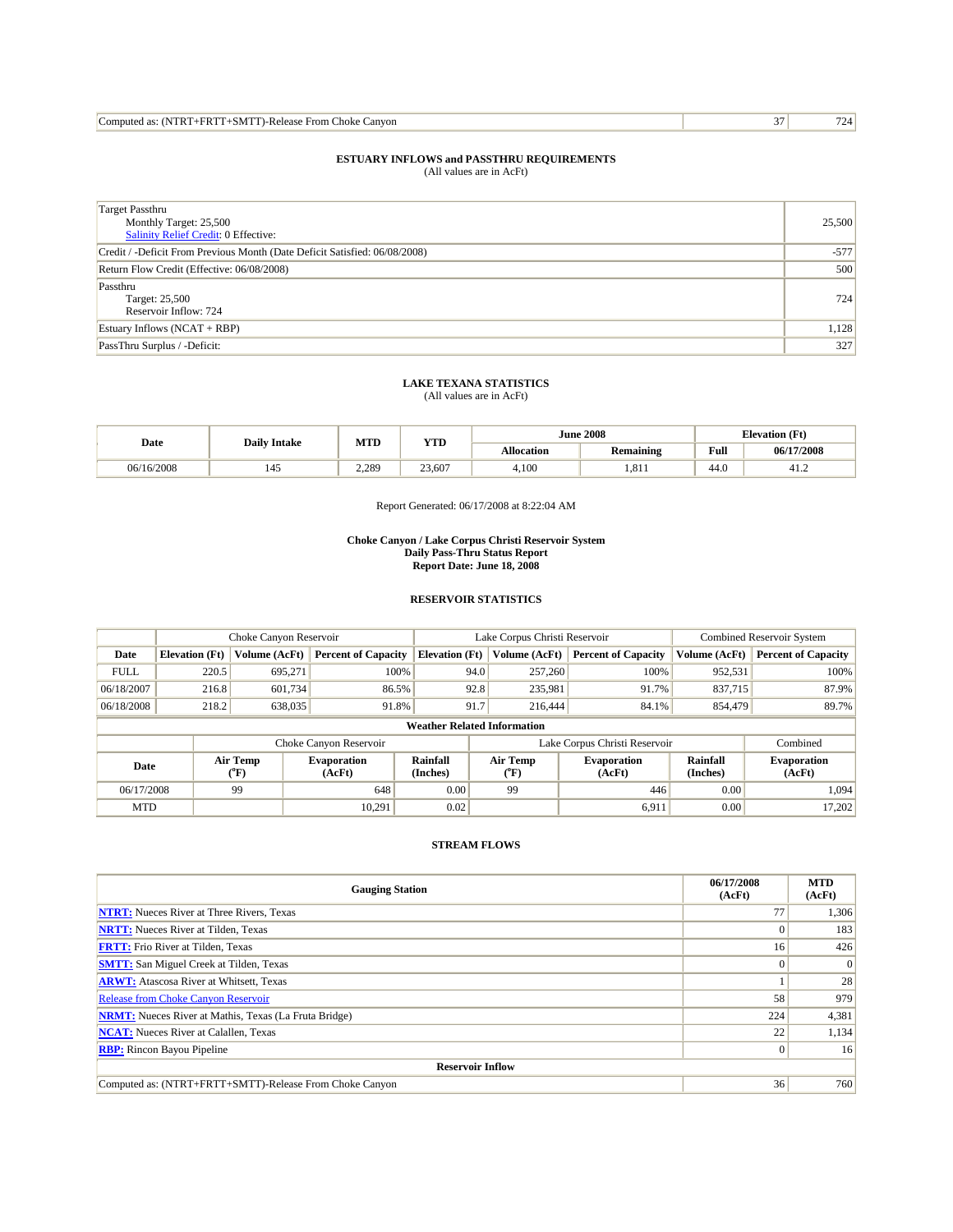| Computed as: (NTRT+FRTT+SMTT)-Release From Choke Canvon | $\sim$ |  |
|---------------------------------------------------------|--------|--|
|---------------------------------------------------------|--------|--|

| <b>Target Passthru</b><br>Monthly Target: 25,500<br>Salinity Relief Credit: 0 Effective: | 25,500 |
|------------------------------------------------------------------------------------------|--------|
| Credit / -Deficit From Previous Month (Date Deficit Satisfied: 06/08/2008)               | $-577$ |
| Return Flow Credit (Effective: 06/08/2008)                                               | 500    |
| Passthru<br>Target: 25,500<br>Reservoir Inflow: 724                                      | 724    |
| Estuary Inflows (NCAT + RBP)                                                             | 1,128  |
| PassThru Surplus / -Deficit:                                                             | 327    |

# **LAKE TEXANA STATISTICS** (All values are in AcFt)

| Date       | <b>Daily Intake</b> | MTD   | YTD    |            | <b>June 2008</b> | <b>Elevation</b> (Ft) |            |
|------------|---------------------|-------|--------|------------|------------------|-----------------------|------------|
|            |                     |       |        | Allocation | <b>Remaining</b> | Full                  | 06/17/2008 |
| 06/16/2008 | 145                 | 2.289 | 23,607 | 4,100      | .811             | 44.0                  | 41.4       |

Report Generated: 06/17/2008 at 8:22:04 AM

#### **Choke Canyon / Lake Corpus Christi Reservoir System Daily Pass-Thru Status Report Report Date: June 18, 2008**

## **RESERVOIR STATISTICS**

| Choke Canyon Reservoir             |                       |                  |                              | Lake Corpus Christi Reservoir |      |                           |                               | <b>Combined Reservoir System</b> |                              |  |
|------------------------------------|-----------------------|------------------|------------------------------|-------------------------------|------|---------------------------|-------------------------------|----------------------------------|------------------------------|--|
| Date                               | <b>Elevation</b> (Ft) | Volume (AcFt)    | <b>Percent of Capacity</b>   | <b>Elevation</b> (Ft)         |      | Volume (AcFt)             | <b>Percent of Capacity</b>    | Volume (AcFt)                    | <b>Percent of Capacity</b>   |  |
| <b>FULL</b>                        | 220.5                 | 695.271          | 100%                         |                               | 94.0 | 257,260                   | 100%                          | 952,531                          | 100%                         |  |
| 06/18/2007                         | 216.8                 | 601,734          | 86.5%                        |                               | 92.8 | 235,981                   | 91.7%                         | 837,715                          | 87.9%                        |  |
| 06/18/2008                         | 218.2                 | 638,035          | 91.8%                        |                               | 91.7 | 216,444                   | 84.1%                         | 854,479                          | 89.7%                        |  |
| <b>Weather Related Information</b> |                       |                  |                              |                               |      |                           |                               |                                  |                              |  |
|                                    |                       |                  | Choke Canyon Reservoir       |                               |      |                           | Lake Corpus Christi Reservoir |                                  | Combined                     |  |
| Date                               |                       | Air Temp<br>(°F) | <b>Evaporation</b><br>(AcFt) | <b>Rainfall</b><br>(Inches)   |      | Air Temp<br>$(^{\circ}F)$ | <b>Evaporation</b><br>(AcFt)  | Rainfall<br>(Inches)             | <b>Evaporation</b><br>(AcFt) |  |
| 06/17/2008                         |                       | 99               | 648                          | 0.00                          |      | 99                        | 446                           | 0.00                             | 1,094                        |  |
| <b>MTD</b>                         |                       |                  | 10.291                       | 0.02                          |      |                           | 6,911                         | 0.00                             | 17,202                       |  |

| <b>Gauging Station</b>                                       | 06/17/2008<br>(AcFt) | <b>MTD</b><br>(AcFt) |  |  |  |  |
|--------------------------------------------------------------|----------------------|----------------------|--|--|--|--|
| <b>NTRT:</b> Nueces River at Three Rivers, Texas             | 77                   | 1,306                |  |  |  |  |
| <b>NRTT:</b> Nueces River at Tilden, Texas                   | 0                    | 183                  |  |  |  |  |
| <b>FRTT:</b> Frio River at Tilden, Texas                     | 16                   | 426                  |  |  |  |  |
| <b>SMTT:</b> San Miguel Creek at Tilden, Texas               | $\Omega$             | 0                    |  |  |  |  |
| <b>ARWT:</b> Atascosa River at Whitsett, Texas               |                      | 28                   |  |  |  |  |
| <b>Release from Choke Canyon Reservoir</b>                   | 58                   | 979                  |  |  |  |  |
| <b>NRMT:</b> Nueces River at Mathis, Texas (La Fruta Bridge) | 224                  | 4,381                |  |  |  |  |
| <b>NCAT:</b> Nueces River at Calallen, Texas                 | 22                   | 1,134                |  |  |  |  |
| <b>RBP:</b> Rincon Bayou Pipeline                            | $\overline{0}$       | 16 <sup>1</sup>      |  |  |  |  |
| <b>Reservoir Inflow</b>                                      |                      |                      |  |  |  |  |
| Computed as: (NTRT+FRTT+SMTT)-Release From Choke Canyon      | 36                   | 760                  |  |  |  |  |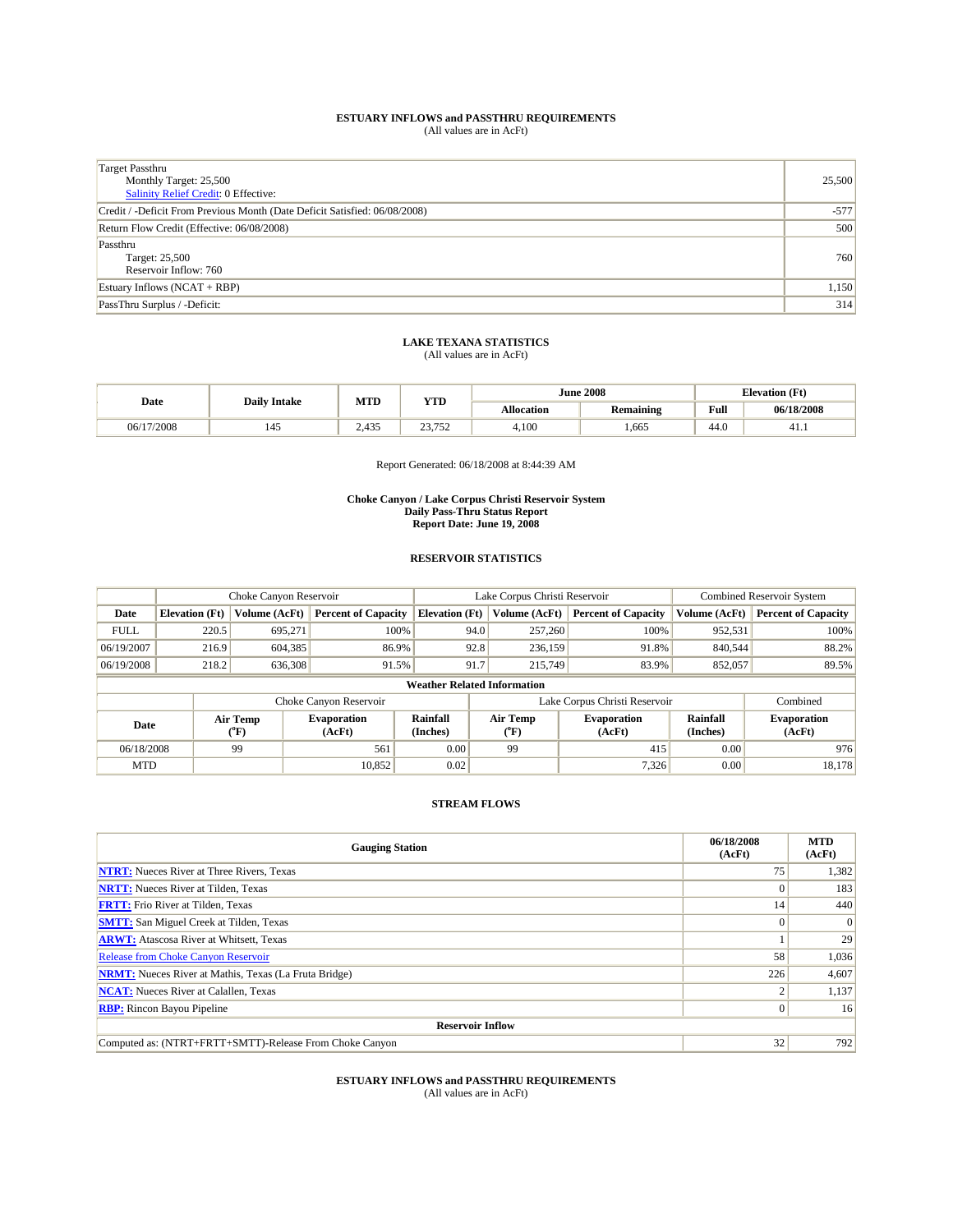| <b>Target Passthru</b><br>Monthly Target: 25,500<br><b>Salinity Relief Credit: 0 Effective:</b> | 25,500 |
|-------------------------------------------------------------------------------------------------|--------|
| Credit / -Deficit From Previous Month (Date Deficit Satisfied: 06/08/2008)                      | $-577$ |
| Return Flow Credit (Effective: 06/08/2008)                                                      | 500    |
| Passthru<br>Target: 25,500<br>Reservoir Inflow: 760                                             | 760    |
| Estuary Inflows $(NCAT + RBP)$                                                                  | 1,150  |
| PassThru Surplus / -Deficit:                                                                    | 314    |

# **LAKE TEXANA STATISTICS** (All values are in AcFt)

| Date       | <b>Daily Intake</b> | MTD   | <b>YTD</b>                     |                   | <b>June 2008</b> |      | <b>Elevation</b> (Ft) |
|------------|---------------------|-------|--------------------------------|-------------------|------------------|------|-----------------------|
|            |                     |       |                                | <b>Allocation</b> | <b>Remaining</b> | Full | 06/18/2008            |
| 06/17/2008 | 145                 | 2,435 | 22.752<br>ے ر<br>. ب<br>$\sim$ | 4,100             | .665             | 44.0 | 41.1                  |

Report Generated: 06/18/2008 at 8:44:39 AM

#### **Choke Canyon / Lake Corpus Christi Reservoir System Daily Pass-Thru Status Report Report Date: June 19, 2008**

## **RESERVOIR STATISTICS**

|                                    | Choke Canyon Reservoir |                  | Lake Corpus Christi Reservoir |                       |      |                               | Combined Reservoir System    |                      |                              |
|------------------------------------|------------------------|------------------|-------------------------------|-----------------------|------|-------------------------------|------------------------------|----------------------|------------------------------|
| Date                               | <b>Elevation</b> (Ft)  | Volume (AcFt)    | <b>Percent of Capacity</b>    | <b>Elevation</b> (Ft) |      | Volume (AcFt)                 | <b>Percent of Capacity</b>   | Volume (AcFt)        | <b>Percent of Capacity</b>   |
| <b>FULL</b>                        | 220.5                  | 695.271          | 100%                          |                       | 94.0 | 257,260                       | 100%                         | 952,531              | 100%                         |
| 06/19/2007                         | 216.9                  | 604,385          | 86.9%                         |                       | 92.8 | 236,159                       | 91.8%                        | 840,544              | 88.2%                        |
| 06/19/2008                         | 218.2                  | 636,308          | 91.5%                         |                       | 91.7 | 215,749                       | 83.9%                        | 852,057              | 89.5%                        |
| <b>Weather Related Information</b> |                        |                  |                               |                       |      |                               |                              |                      |                              |
|                                    |                        |                  | Choke Canyon Reservoir        |                       |      | Lake Corpus Christi Reservoir |                              | Combined             |                              |
| Date                               |                        | Air Temp<br>("F) | <b>Evaporation</b><br>(AcFt)  | Rainfall<br>(Inches)  |      | Air Temp<br>$(^{\circ}F)$     | <b>Evaporation</b><br>(AcFt) | Rainfall<br>(Inches) | <b>Evaporation</b><br>(AcFt) |
| 06/18/2008                         |                        | 99               | 561                           | 0.00                  |      | 99                            | 415                          | 0.00                 | 976                          |
| <b>MTD</b>                         |                        |                  | 10.852                        | 0.02                  |      |                               | 7,326                        | 0.00                 | 18,178                       |

### **STREAM FLOWS**

| <b>Gauging Station</b>                                       | 06/18/2008<br>(AcFt) | <b>MTD</b><br>(AcFt) |
|--------------------------------------------------------------|----------------------|----------------------|
| <b>NTRT:</b> Nueces River at Three Rivers, Texas             | 75                   | 1,382                |
| <b>NRTT:</b> Nueces River at Tilden, Texas                   | $\Omega$             | 183                  |
| <b>FRTT:</b> Frio River at Tilden, Texas                     | 14                   | 440                  |
| <b>SMTT:</b> San Miguel Creek at Tilden, Texas               | $\Omega$             | 0                    |
| <b>ARWT:</b> Atascosa River at Whitsett, Texas               |                      | 29                   |
| <b>Release from Choke Canyon Reservoir</b>                   | 58                   | 1,036                |
| <b>NRMT:</b> Nueces River at Mathis, Texas (La Fruta Bridge) | 226                  | 4,607                |
| <b>NCAT:</b> Nueces River at Calallen, Texas                 |                      | 1,137                |
| <b>RBP:</b> Rincon Bayou Pipeline                            | $\Omega$             | 16 <sup>1</sup>      |
| <b>Reservoir Inflow</b>                                      |                      |                      |
| Computed as: (NTRT+FRTT+SMTT)-Release From Choke Canyon      | 32                   | 792                  |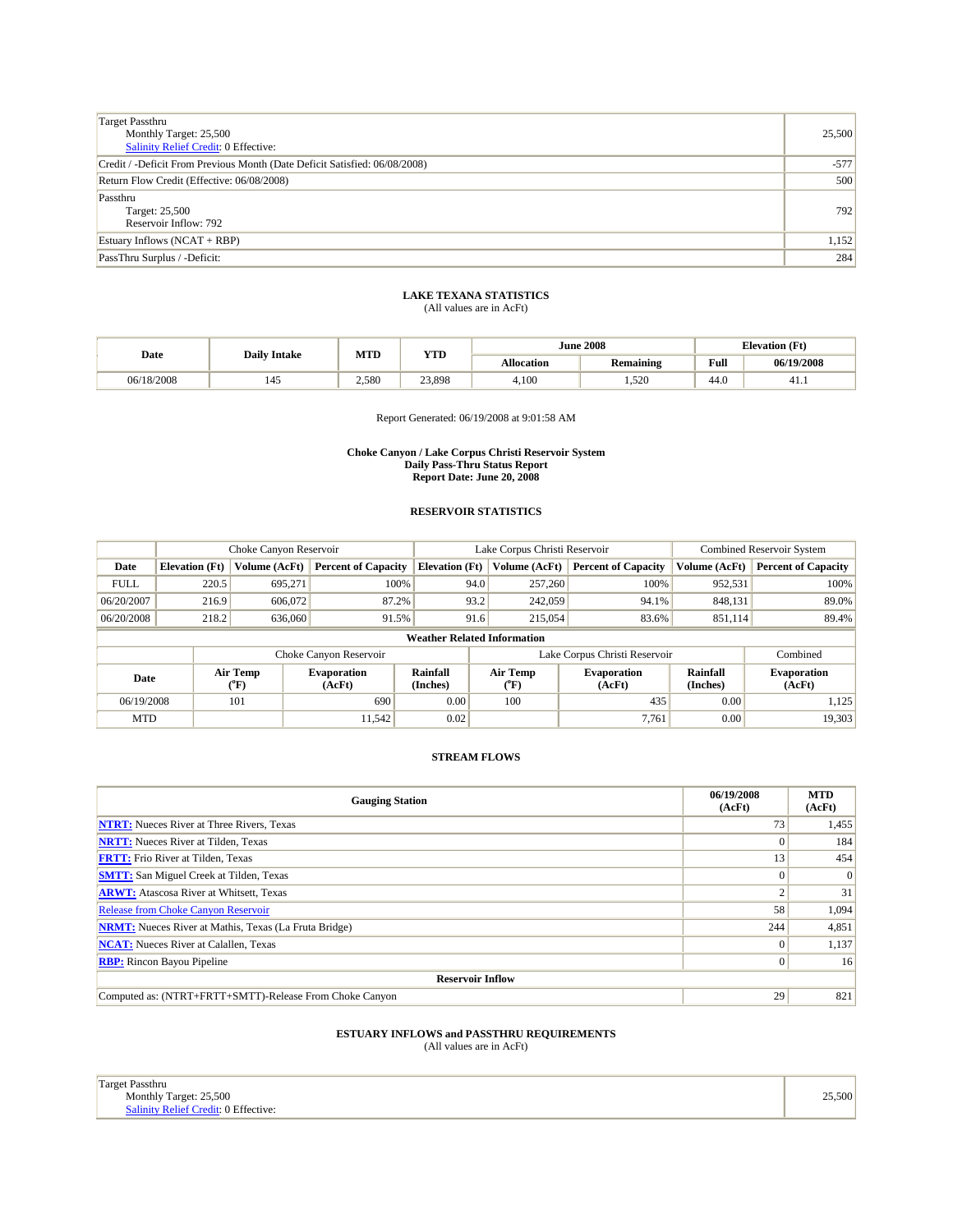| <b>Target Passthru</b><br>Monthly Target: 25,500<br><b>Salinity Relief Credit: 0 Effective:</b> | 25,500 |
|-------------------------------------------------------------------------------------------------|--------|
| Credit / -Deficit From Previous Month (Date Deficit Satisfied: 06/08/2008)                      | $-577$ |
| Return Flow Credit (Effective: 06/08/2008)                                                      | 500    |
| Passthru<br>Target: 25,500<br>Reservoir Inflow: 792                                             | 792    |
| Estuary Inflows $(NCAT + RBP)$                                                                  | 1,152  |
| PassThru Surplus / -Deficit:                                                                    | 284    |

| Date       | <b>Daily Intake</b> | MTD   | VTT<br>1 I.D |            | <b>June 2008</b> | <b>Elevation</b> (Ft)<br>$\mathbf{r}$ |            |
|------------|---------------------|-------|--------------|------------|------------------|---------------------------------------|------------|
|            |                     |       |              | Allocation | <b>Remaining</b> | Full                                  | 06/19/2008 |
| 06/18/2008 | 145<br>__           | 2.580 | 23,898       | 4.100      | 1,520            | 44.0                                  | 41.1       |

Report Generated: 06/19/2008 at 9:01:58 AM

#### **Choke Canyon / Lake Corpus Christi Reservoir System Daily Pass-Thru Status Report Report Date: June 20, 2008**

## **RESERVOIR STATISTICS**

|                                    | Choke Canyon Reservoir |                           |                              |                             | Lake Corpus Christi Reservoir |                               |                              |                             | <b>Combined Reservoir System</b> |  |
|------------------------------------|------------------------|---------------------------|------------------------------|-----------------------------|-------------------------------|-------------------------------|------------------------------|-----------------------------|----------------------------------|--|
| Date                               | <b>Elevation</b> (Ft)  | <b>Volume (AcFt)</b>      | <b>Percent of Capacity</b>   | <b>Elevation</b> (Ft)       |                               | Volume (AcFt)                 | <b>Percent of Capacity</b>   | Volume (AcFt)               | <b>Percent of Capacity</b>       |  |
| <b>FULL</b>                        | 220.5                  | 695.271                   | 100%                         |                             | 94.0                          | 257,260                       | 100%                         | 952,531                     | 100%                             |  |
| 06/20/2007                         | 216.9                  | 606,072                   | 87.2%                        |                             | 93.2                          | 242,059                       | 94.1%                        | 848,131                     | 89.0%                            |  |
| 06/20/2008                         | 218.2                  | 636,060                   | 91.5%                        |                             | 91.6                          | 215,054                       | 83.6%                        | 851,114                     | 89.4%                            |  |
| <b>Weather Related Information</b> |                        |                           |                              |                             |                               |                               |                              |                             |                                  |  |
|                                    |                        |                           | Choke Canyon Reservoir       |                             |                               | Lake Corpus Christi Reservoir |                              | Combined                    |                                  |  |
| Date                               |                        | Air Temp<br>$(^{\circ}F)$ | <b>Evaporation</b><br>(AcFt) | <b>Rainfall</b><br>(Inches) |                               | Air Temp<br>$(^{\circ}F)$     | <b>Evaporation</b><br>(AcFt) | <b>Rainfall</b><br>(Inches) | <b>Evaporation</b><br>(AcFt)     |  |
| 06/19/2008                         |                        | 101                       | 690                          | 0.00                        |                               | 100                           | 435                          | 0.00                        | 1,125                            |  |
| <b>MTD</b>                         |                        |                           | 11.542                       | 0.02                        |                               |                               | 7,761                        | 0.00                        | 19,303                           |  |

### **STREAM FLOWS**

| <b>Gauging Station</b>                                       | 06/19/2008<br>(AcFt) | <b>MTD</b><br>(AcFt) |
|--------------------------------------------------------------|----------------------|----------------------|
| <b>NTRT:</b> Nueces River at Three Rivers, Texas             | 73                   | 1,455                |
| <b>NRTT:</b> Nueces River at Tilden, Texas                   | $\Omega$             | 184                  |
| <b>FRTT:</b> Frio River at Tilden, Texas                     | 13                   | 454                  |
| <b>SMTT:</b> San Miguel Creek at Tilden, Texas               | $\Omega$             | $\mathbf{0}$         |
| <b>ARWT:</b> Atascosa River at Whitsett, Texas               |                      | 31                   |
| <b>Release from Choke Canyon Reservoir</b>                   | 58                   | 1,094                |
| <b>NRMT:</b> Nueces River at Mathis, Texas (La Fruta Bridge) | 244                  | 4,851                |
| <b>NCAT:</b> Nueces River at Calallen, Texas                 |                      | 1,137                |
| <b>RBP:</b> Rincon Bayou Pipeline                            | $\Omega$             | 16                   |
| <b>Reservoir Inflow</b>                                      |                      |                      |
| Computed as: (NTRT+FRTT+SMTT)-Release From Choke Canyon      | 29                   | 821                  |

| Target Passthru                      |        |
|--------------------------------------|--------|
| Monthly Target: 25,500               | 25,500 |
| Salinity Relief Credit: 0 Effective: |        |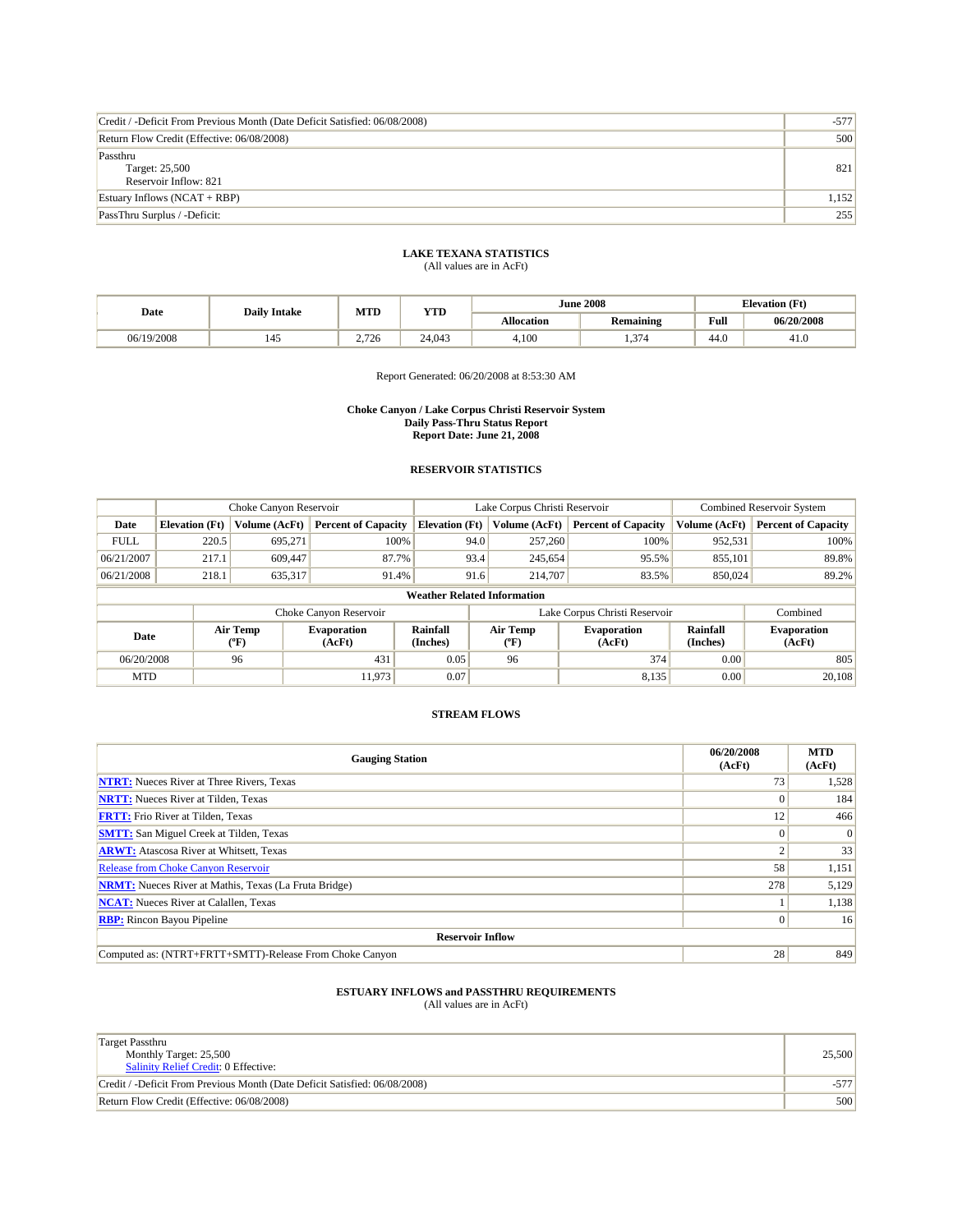| Credit / -Deficit From Previous Month (Date Deficit Satisfied: 06/08/2008) | $-577'$ |
|----------------------------------------------------------------------------|---------|
| Return Flow Credit (Effective: 06/08/2008)                                 | 500     |
| Passthru<br>Target: 25,500<br>Reservoir Inflow: 821                        | 821     |
| Estuary Inflows $(NCAT + RBP)$                                             | 1,152   |
| PassThru Surplus / -Deficit:                                               | 255     |

## **LAKE TEXANA STATISTICS**

(All values are in AcFt)

|            | <b>Daily Intake</b> | MTD   | <b>YTD</b> |                   | <b>June 2008</b> | <b>Elevation</b> (Ft) |            |
|------------|---------------------|-------|------------|-------------------|------------------|-----------------------|------------|
| Date       |                     |       |            | <b>Allocation</b> | <b>Remaining</b> | Full                  | 06/20/2008 |
| 06/19/2008 | 145                 | 2.726 | 24,043     | 4.100             | 1.374            | 44.0                  | 41.U       |

Report Generated: 06/20/2008 at 8:53:30 AM

#### **Choke Canyon / Lake Corpus Christi Reservoir System Daily Pass-Thru Status Report Report Date: June 21, 2008**

### **RESERVOIR STATISTICS**

|                                    | Choke Canyon Reservoir |               |                            |                       | Lake Corpus Christi Reservoir | <b>Combined Reservoir System</b> |               |                            |
|------------------------------------|------------------------|---------------|----------------------------|-----------------------|-------------------------------|----------------------------------|---------------|----------------------------|
| Date                               | <b>Elevation</b> (Ft)  | Volume (AcFt) | <b>Percent of Capacity</b> | <b>Elevation (Ft)</b> | Volume (AcFt)                 | <b>Percent of Capacity</b>       | Volume (AcFt) | <b>Percent of Capacity</b> |
| <b>FULL</b>                        | 220.5                  | 695.271       | 100%                       | 94.0                  | 257,260                       | 100%                             | 952,531       | 100%                       |
| 06/21/2007                         | 217.1                  | 609,447       | 87.7%                      | 93.4                  | 245,654                       | 95.5%                            | 855,101       | 89.8%                      |
| 06/21/2008                         | 218.1                  | 635.317       | 91.4%                      | 91.6                  | 214,707                       | 83.5%                            | 850,024       | 89.2%                      |
| <b>Weather Related Information</b> |                        |               |                            |                       |                               |                                  |               |                            |

|            |                  | Choke Canvon Reservoir       |                      | Lake Corpus Christi Reservoir | Combined                     |                             |                              |
|------------|------------------|------------------------------|----------------------|-------------------------------|------------------------------|-----------------------------|------------------------------|
| Date       | Air Temp<br>(°F) | <b>Evaporation</b><br>(AcFt) | Rainfall<br>(Inches) | Air Temp<br>$(^{0}F)$         | <b>Evaporation</b><br>(AcFt) | <b>Rainfall</b><br>(Inches) | <b>Evaporation</b><br>(AcFt) |
| 06/20/2008 | 96               | 431                          | 0.05                 | 96                            | 374                          | 0.00                        | 805                          |
| <b>MTD</b> |                  | 1.973                        | 0.07                 |                               | 8.135                        | 0.00                        | 20,108                       |

### **STREAM FLOWS**

| <b>Gauging Station</b>                                       | 06/20/2008<br>(AcFt) | <b>MTD</b><br>(AcFt) |  |  |  |  |
|--------------------------------------------------------------|----------------------|----------------------|--|--|--|--|
| <b>NTRT:</b> Nueces River at Three Rivers, Texas             | 73                   | 1,528                |  |  |  |  |
| <b>NRTT:</b> Nueces River at Tilden, Texas                   |                      | 184                  |  |  |  |  |
| <b>FRTT:</b> Frio River at Tilden, Texas                     | 12                   | 466                  |  |  |  |  |
| <b>SMTT:</b> San Miguel Creek at Tilden, Texas               | 0                    | $\Omega$             |  |  |  |  |
| <b>ARWT:</b> Atascosa River at Whitsett, Texas               |                      | 33                   |  |  |  |  |
| <b>Release from Choke Canyon Reservoir</b>                   | 58                   | 1,151                |  |  |  |  |
| <b>NRMT:</b> Nueces River at Mathis, Texas (La Fruta Bridge) | 278                  | 5,129                |  |  |  |  |
| <b>NCAT:</b> Nueces River at Calallen, Texas                 |                      | 1,138                |  |  |  |  |
| <b>RBP:</b> Rincon Bayou Pipeline                            | $\vert 0 \vert$      | 16                   |  |  |  |  |
| <b>Reservoir Inflow</b>                                      |                      |                      |  |  |  |  |
| Computed as: (NTRT+FRTT+SMTT)-Release From Choke Canyon      | 28                   | 849                  |  |  |  |  |

| <b>Target Passthru</b><br>Monthly Target: 25,500<br><b>Salinity Relief Credit: 0 Effective:</b> | 25,500 |
|-------------------------------------------------------------------------------------------------|--------|
| Credit / -Deficit From Previous Month (Date Deficit Satisfied: 06/08/2008)                      |        |
| Return Flow Credit (Effective: 06/08/2008)                                                      | 500    |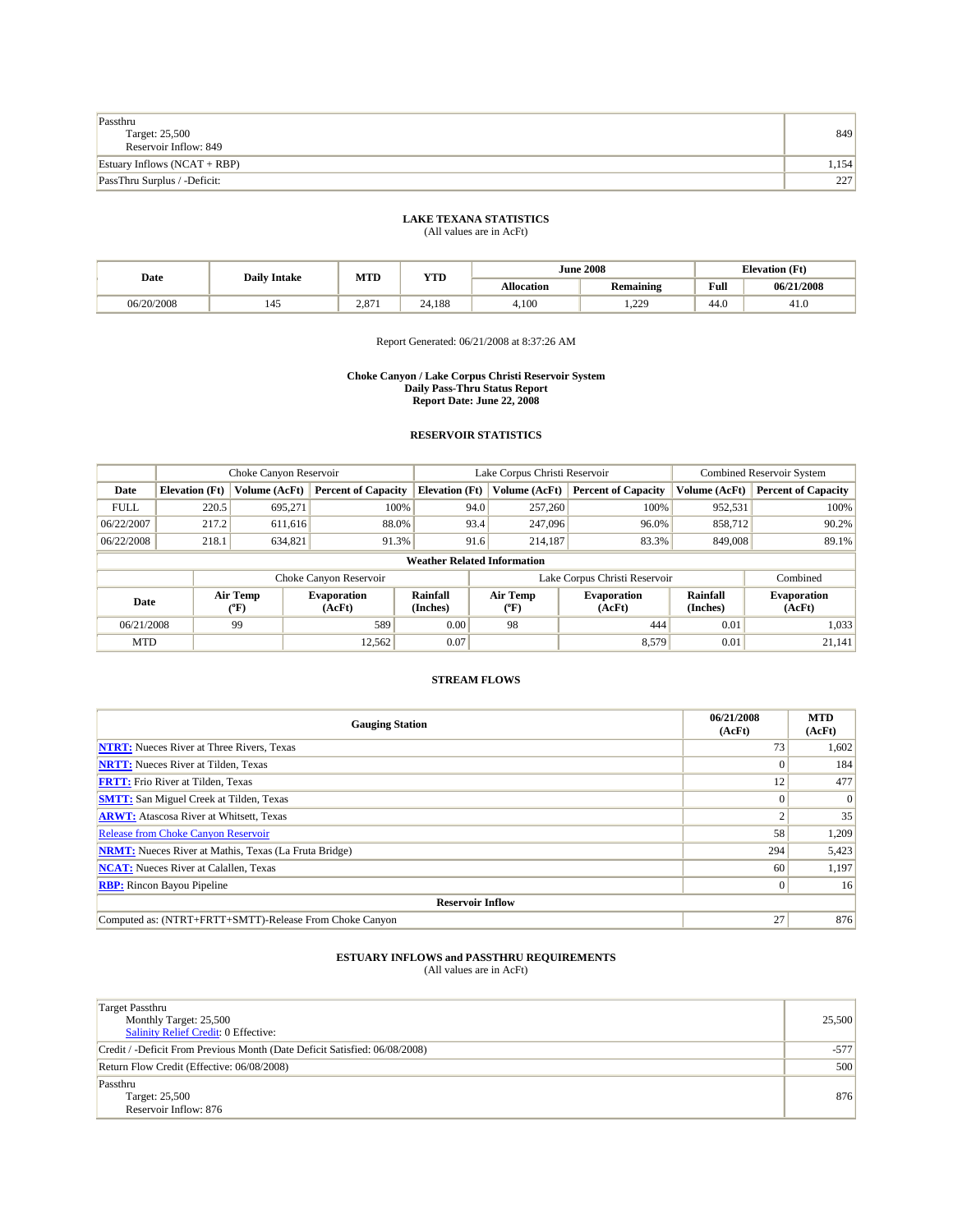| Passthru<br>Target: 25,500<br>Reservoir Inflow: 849 | 849     |
|-----------------------------------------------------|---------|
| Estuary Inflows $(NCAT + RBP)$                      | ا 154.، |
| PassThru Surplus / -Deficit:                        | 227     |

|            | <b>Daily Intake</b> | MTD   | YTD    |                   | <b>June 2008</b>                | <b>Elevation</b> (Ft) |            |
|------------|---------------------|-------|--------|-------------------|---------------------------------|-----------------------|------------|
| Date       |                     |       |        | <b>Allocation</b> | <b>Remaining</b>                | Full                  | 06/21/2008 |
| 06/20/2008 | 145                 | 2.871 | 24.188 | 4,100             | 229<br>$\overline{\phantom{a}}$ | 44.0                  | 41.V       |

Report Generated: 06/21/2008 at 8:37:26 AM

#### **Choke Canyon / Lake Corpus Christi Reservoir System Daily Pass-Thru Status Report Report Date: June 22, 2008**

### **RESERVOIR STATISTICS**

|             | Choke Canyon Reservoir |                  | Lake Corpus Christi Reservoir |                                    |                               |                                         | <b>Combined Reservoir System</b> |                      |                              |
|-------------|------------------------|------------------|-------------------------------|------------------------------------|-------------------------------|-----------------------------------------|----------------------------------|----------------------|------------------------------|
| Date        | <b>Elevation</b> (Ft)  | Volume (AcFt)    | <b>Percent of Capacity</b>    | <b>Elevation</b> (Ft)              |                               | Volume (AcFt)                           | <b>Percent of Capacity</b>       | Volume (AcFt)        | <b>Percent of Capacity</b>   |
| <b>FULL</b> | 220.5                  | 695.271          | 100%                          |                                    | 94.0                          | 257,260                                 | 100%                             | 952,531              | 100%                         |
| 06/22/2007  | 217.2                  | 611,616          | 88.0%                         |                                    | 93.4                          | 247,096                                 | 96.0%                            | 858,712              | 90.2%                        |
| 06/22/2008  | 218.1                  | 634,821          | 91.3%                         |                                    | 91.6                          | 214.187                                 | 83.3%                            | 849,008              | 89.1%                        |
|             |                        |                  |                               | <b>Weather Related Information</b> |                               |                                         |                                  |                      |                              |
|             |                        |                  | Choke Canyon Reservoir        |                                    | Lake Corpus Christi Reservoir |                                         |                                  |                      | Combined                     |
| Date        |                        | Air Temp<br>(°F) | <b>Evaporation</b><br>(AcFt)  | Rainfall<br>(Inches)               |                               | Air Temp<br>$(^{\mathrm{o}}\mathrm{F})$ | <b>Evaporation</b><br>(AcFt)     | Rainfall<br>(Inches) | <b>Evaporation</b><br>(AcFt) |
| 06/21/2008  |                        | 99               | 589                           | 0.00                               |                               | 98                                      | 444                              | 0.01                 | 1,033                        |

### **STREAM FLOWS**

MTD  $|$  12,562 0.07 0.07 8,579 0.01 21,141

| <b>Gauging Station</b>                                       | 06/21/2008<br>(AcFt) | <b>MTD</b><br>(AcFt) |
|--------------------------------------------------------------|----------------------|----------------------|
| <b>NTRT:</b> Nueces River at Three Rivers, Texas             | 73                   | 1,602                |
| <b>NRTT:</b> Nueces River at Tilden, Texas                   |                      | 184                  |
| <b>FRTT:</b> Frio River at Tilden, Texas                     | 12                   | 477                  |
| <b>SMTT:</b> San Miguel Creek at Tilden, Texas               |                      | $\Omega$             |
| <b>ARWT:</b> Atascosa River at Whitsett, Texas               |                      | 35                   |
| <b>Release from Choke Canyon Reservoir</b>                   | 58                   | 1,209                |
| <b>NRMT:</b> Nueces River at Mathis, Texas (La Fruta Bridge) | 294                  | 5,423                |
| <b>NCAT:</b> Nueces River at Calallen, Texas                 | 60                   | 1,197                |
| <b>RBP:</b> Rincon Bayou Pipeline                            |                      | 16                   |
| <b>Reservoir Inflow</b>                                      |                      |                      |
| Computed as: (NTRT+FRTT+SMTT)-Release From Choke Canyon      | 27                   | 876                  |

# **ESTUARY INFLOWS and PASSTHRU REQUIREMENTS**<br>(All values are in AcFt)

Target Passthru Monthly Target: 25,500 Salinity Relief Credit: 0 Effective: 25,500 Credit / -Deficit From Previous Month (Date Deficit Satisfied: 06/08/2008) -577 Return Flow Credit (Effective: 06/08/2008) 500 Passthru Target: 25,500 Reservoir Inflow: 876 876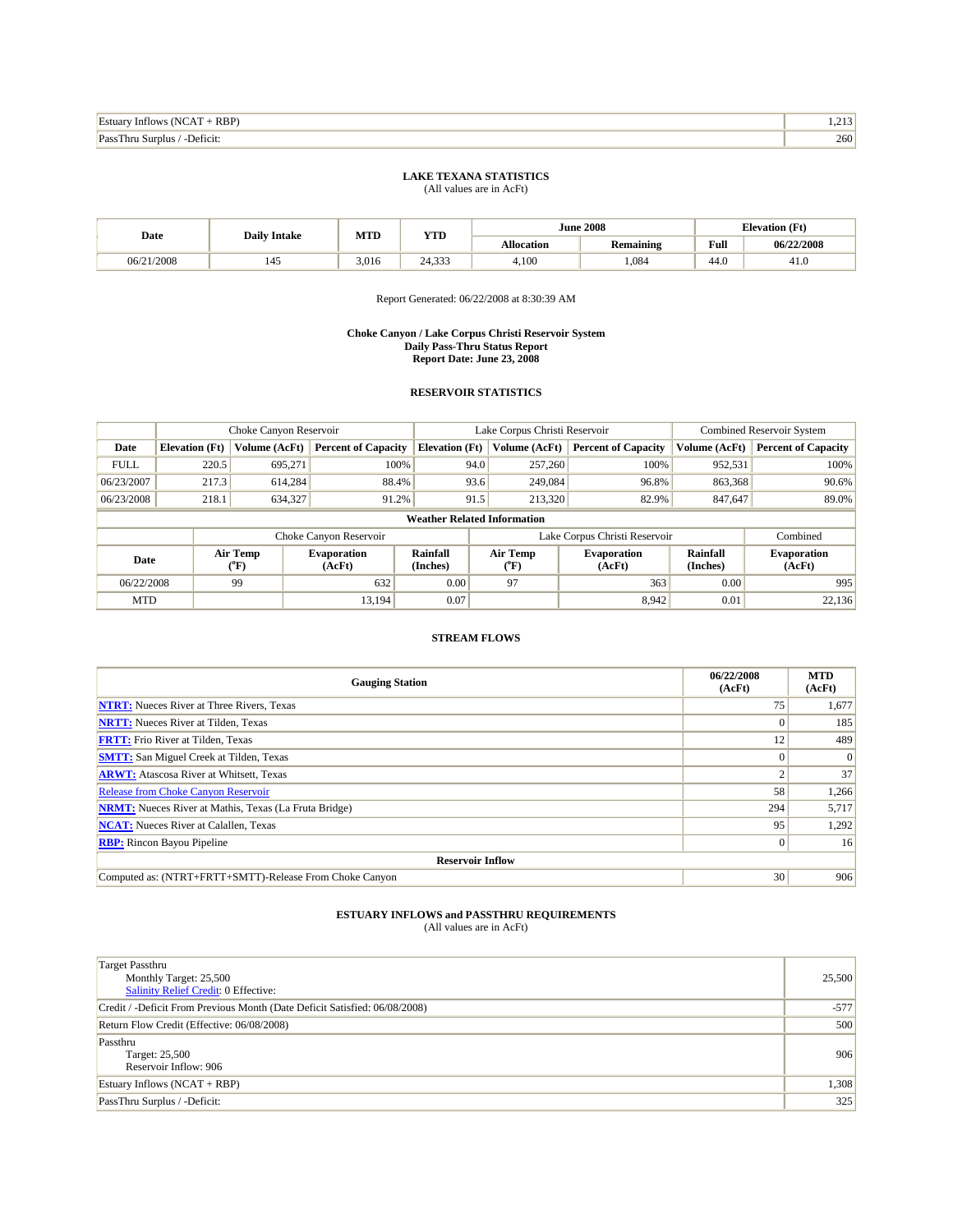| Im.<br>RBP<br>m<br>Inflows<br>Estuar<br>NO<br>$\sim$ $\sim$ $\sim$ $\sim$ $\sim$ $\sim$ | .<br>$\sim$  |
|-----------------------------------------------------------------------------------------|--------------|
| Pace<br>Deficit:<br>SUT'                                                                | 260'<br>$ -$ |

| Date       | <b>Daily Intake</b> | MTD   | YTD    |            | <b>June 2008</b> | <b>Elevation</b> (Ft) |            |
|------------|---------------------|-------|--------|------------|------------------|-----------------------|------------|
|            |                     |       |        | Allocation | Remaining        | Full                  | 06/22/2008 |
| 06/21/2008 | ⊥−⊷                 | 3,016 | 24,333 | 4,100      | ,084             | 44.0                  | 41.U       |

Report Generated: 06/22/2008 at 8:30:39 AM

#### **Choke Canyon / Lake Corpus Christi Reservoir System Daily Pass-Thru Status Report Report Date: June 23, 2008**

## **RESERVOIR STATISTICS**

|             | Choke Canyon Reservoir |                  |                            |                                    | Lake Corpus Christi Reservoir     | <b>Combined Reservoir System</b> |                             |                              |
|-------------|------------------------|------------------|----------------------------|------------------------------------|-----------------------------------|----------------------------------|-----------------------------|------------------------------|
| Date        | <b>Elevation</b> (Ft)  | Volume (AcFt)    | <b>Percent of Capacity</b> | <b>Elevation</b> (Ft)              | Volume (AcFt)                     | <b>Percent of Capacity</b>       | Volume (AcFt)               | <b>Percent of Capacity</b>   |
| <b>FULL</b> | 220.5                  | 695,271          | 100%                       | 94.0                               | 257,260                           | 100%                             | 952,531                     | 100%                         |
| 06/23/2007  | 217.3                  | 614,284          | 88.4%                      | 93.6                               | 249,084                           | 96.8%                            | 863,368                     | 90.6%                        |
| 06/23/2008  | 218.1                  | 634,327          | 91.2%                      | 91.5                               | 213,320                           | 82.9%                            | 847,647                     | 89.0%                        |
|             |                        |                  |                            | <b>Weather Related Information</b> |                                   |                                  |                             |                              |
|             |                        |                  | Choke Canyon Reservoir     |                                    |                                   | Lake Corpus Christi Reservoir    |                             | Combined                     |
| Date        |                        | Air Temp<br>(°F) | Evaporation<br>(AcFt)      | Rainfall<br>(Inches)               | Air Temp<br>$({}^{\circ}{\rm F})$ | <b>Evaporation</b><br>(AcFt)     | <b>Rainfall</b><br>(Inches) | <b>Evaporation</b><br>(AcFt) |
| 06/22/2008  |                        | 99               | 632                        | 0.00                               | 97                                | 363                              | 0.00                        | 995                          |

### **STREAM FLOWS**

MTD  $|$  13,194 0.07 8,942 0.01 22,136

| <b>Gauging Station</b>                                       | 06/22/2008<br>(AcFt) | <b>MTD</b><br>(AcFt) |  |  |  |  |
|--------------------------------------------------------------|----------------------|----------------------|--|--|--|--|
| <b>NTRT:</b> Nueces River at Three Rivers, Texas             | 75                   | 1,677                |  |  |  |  |
| <b>NRTT:</b> Nueces River at Tilden, Texas                   |                      | 185                  |  |  |  |  |
| <b>FRTT:</b> Frio River at Tilden, Texas                     | 12                   | 489                  |  |  |  |  |
| <b>SMTT:</b> San Miguel Creek at Tilden, Texas               |                      | $\Omega$             |  |  |  |  |
| <b>ARWT:</b> Atascosa River at Whitsett, Texas               |                      | 37                   |  |  |  |  |
| <b>Release from Choke Canyon Reservoir</b>                   | 58                   | 1,266                |  |  |  |  |
| <b>NRMT:</b> Nueces River at Mathis, Texas (La Fruta Bridge) | 294                  | 5,717                |  |  |  |  |
| <b>NCAT:</b> Nueces River at Calallen, Texas                 | 95                   | 1,292                |  |  |  |  |
| <b>RBP:</b> Rincon Bayou Pipeline                            |                      | 16                   |  |  |  |  |
| <b>Reservoir Inflow</b>                                      |                      |                      |  |  |  |  |
| Computed as: (NTRT+FRTT+SMTT)-Release From Choke Canyon      | 30                   | 906                  |  |  |  |  |

| <b>Target Passthru</b><br>Monthly Target: 25,500<br>Salinity Relief Credit: 0 Effective: | 25,500 |
|------------------------------------------------------------------------------------------|--------|
| Credit / -Deficit From Previous Month (Date Deficit Satisfied: 06/08/2008)               | $-577$ |
| Return Flow Credit (Effective: 06/08/2008)                                               | 500    |
| Passthru<br>Target: 25,500<br>Reservoir Inflow: 906                                      | 906    |
| Estuary Inflows $(NCAT + RBP)$                                                           | 1,308  |
| PassThru Surplus / -Deficit:                                                             | 325    |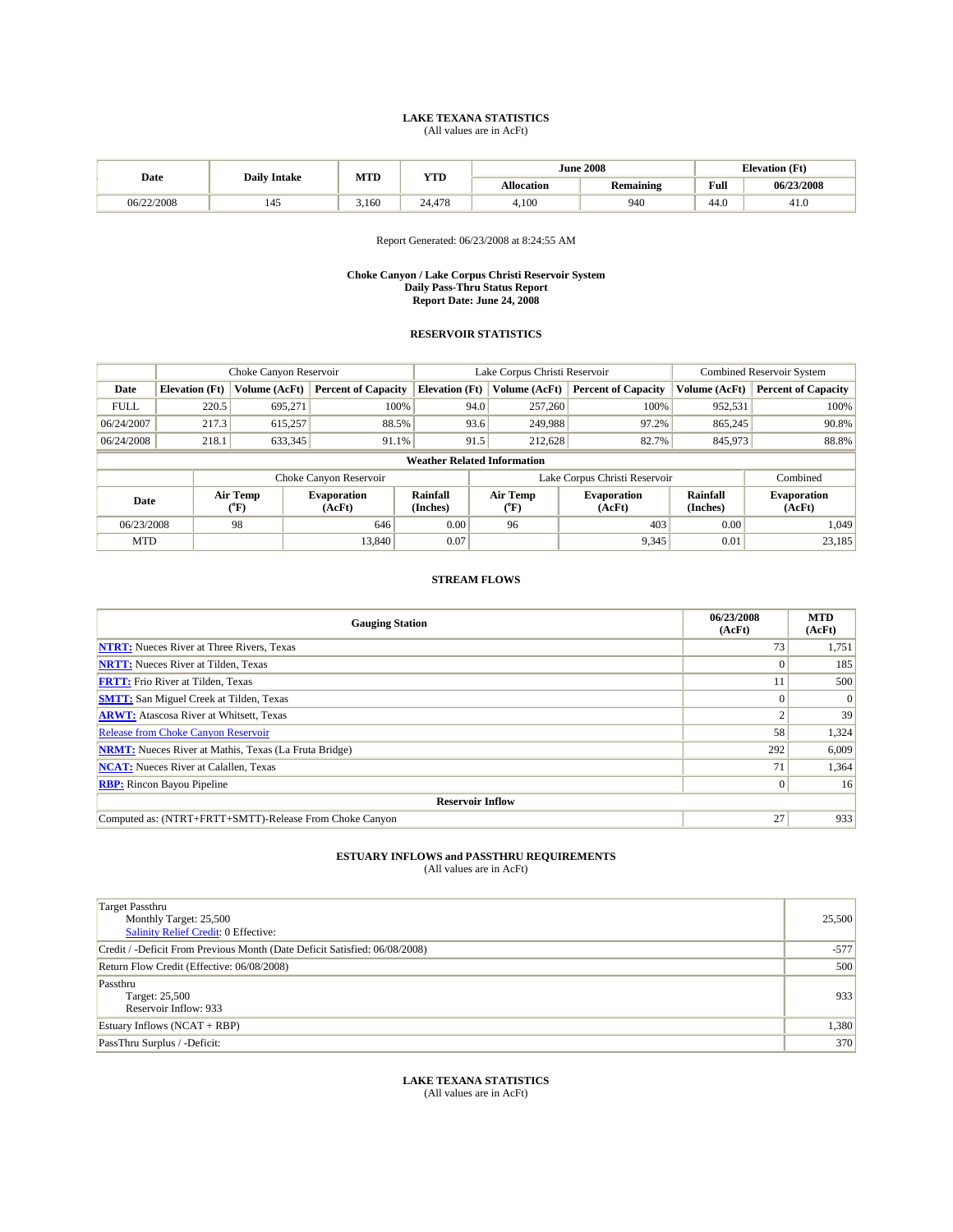|            | <b>Daily Intake</b> | MTD   | <b>YTD</b> |                   | <b>June 2008</b> | <b>Elevation</b> (Ft) |            |
|------------|---------------------|-------|------------|-------------------|------------------|-----------------------|------------|
| Date       |                     |       |            | <b>Allocation</b> | Remaining        | Full                  | 06/23/2008 |
| 06/22/2008 | 145                 | 3,160 | 24.478     | 4,100             | 940              | 44.0                  | 41.U       |

Report Generated: 06/23/2008 at 8:24:55 AM

#### **Choke Canyon / Lake Corpus Christi Reservoir System Daily Pass-Thru Status Report Report Date: June 24, 2008**

### **RESERVOIR STATISTICS**

|             | Choke Canyon Reservoir |                  | Lake Corpus Christi Reservoir |                                    |                               |                           | <b>Combined Reservoir System</b> |                      |                              |
|-------------|------------------------|------------------|-------------------------------|------------------------------------|-------------------------------|---------------------------|----------------------------------|----------------------|------------------------------|
| Date        | <b>Elevation</b> (Ft)  | Volume (AcFt)    | <b>Percent of Capacity</b>    | <b>Elevation</b> (Ft)              |                               | Volume (AcFt)             | <b>Percent of Capacity</b>       | Volume (AcFt)        | <b>Percent of Capacity</b>   |
| <b>FULL</b> | 220.5                  | 695,271          | 100%                          |                                    | 94.0                          | 257,260                   | 100%                             | 952,531              | 100%                         |
| 06/24/2007  | 217.3                  | 615,257          | 88.5%                         |                                    | 93.6                          | 249,988                   | 97.2%                            | 865,245              | 90.8%                        |
| 06/24/2008  | 218.1                  | 633,345          | 91.1%                         |                                    | 91.5                          | 212,628                   | 82.7%                            | 845,973              | 88.8%                        |
|             |                        |                  |                               | <b>Weather Related Information</b> |                               |                           |                                  |                      |                              |
|             |                        |                  | Choke Canyon Reservoir        |                                    | Lake Corpus Christi Reservoir |                           |                                  |                      | Combined                     |
| Date        |                        | Air Temp<br>(°F) | <b>Evaporation</b><br>(AcFt)  | Rainfall<br>(Inches)               |                               | Air Temp<br>$(^{\circ}F)$ | <b>Evaporation</b><br>(AcFt)     | Rainfall<br>(Inches) | <b>Evaporation</b><br>(AcFt) |
| 06/23/2008  |                        | 98               | 646                           | 0.00                               |                               | 96                        | 403                              | 0.00                 | 1.049                        |
| <b>MTD</b>  |                        |                  | 13.840                        | 0.07                               |                               |                           | 9,345                            | 0.01                 | 23,185                       |

### **STREAM FLOWS**

| <b>Gauging Station</b>                                       | 06/23/2008<br>(AcFt) | <b>MTD</b><br>(AcFt) |  |  |  |  |
|--------------------------------------------------------------|----------------------|----------------------|--|--|--|--|
| <b>NTRT:</b> Nueces River at Three Rivers, Texas             | 73                   | 1,751                |  |  |  |  |
| <b>NRTT:</b> Nueces River at Tilden, Texas                   |                      | 185                  |  |  |  |  |
| <b>FRTT:</b> Frio River at Tilden, Texas                     | 11                   | 500                  |  |  |  |  |
| <b>SMTT:</b> San Miguel Creek at Tilden, Texas               |                      | $\vert 0 \vert$      |  |  |  |  |
| <b>ARWT:</b> Atascosa River at Whitsett, Texas               | ◠                    | 39                   |  |  |  |  |
| <b>Release from Choke Canyon Reservoir</b>                   | 58                   | 1,324                |  |  |  |  |
| <b>NRMT:</b> Nueces River at Mathis, Texas (La Fruta Bridge) | 292                  | 6,009                |  |  |  |  |
| <b>NCAT:</b> Nueces River at Calallen, Texas                 | 71                   | 1,364                |  |  |  |  |
| <b>RBP:</b> Rincon Bayou Pipeline                            | $\Omega$             | 16                   |  |  |  |  |
| <b>Reservoir Inflow</b>                                      |                      |                      |  |  |  |  |
| Computed as: (NTRT+FRTT+SMTT)-Release From Choke Canyon      | 27                   | 933                  |  |  |  |  |

# **ESTUARY INFLOWS and PASSTHRU REQUIREMENTS**<br>(All values are in AcFt)

| <b>Target Passthru</b><br>Monthly Target: 25,500<br><b>Salinity Relief Credit: 0 Effective:</b> | 25,500 |
|-------------------------------------------------------------------------------------------------|--------|
| Credit / -Deficit From Previous Month (Date Deficit Satisfied: 06/08/2008)                      | $-577$ |
| Return Flow Credit (Effective: 06/08/2008)                                                      | 500    |
| Passthru<br>Target: 25,500<br>Reservoir Inflow: 933                                             | 933    |
| Estuary Inflows $(NCAT + RBP)$                                                                  | 1,380  |
| PassThru Surplus / -Deficit:                                                                    | 370    |

**LAKE TEXANA STATISTICS** (All values are in AcFt)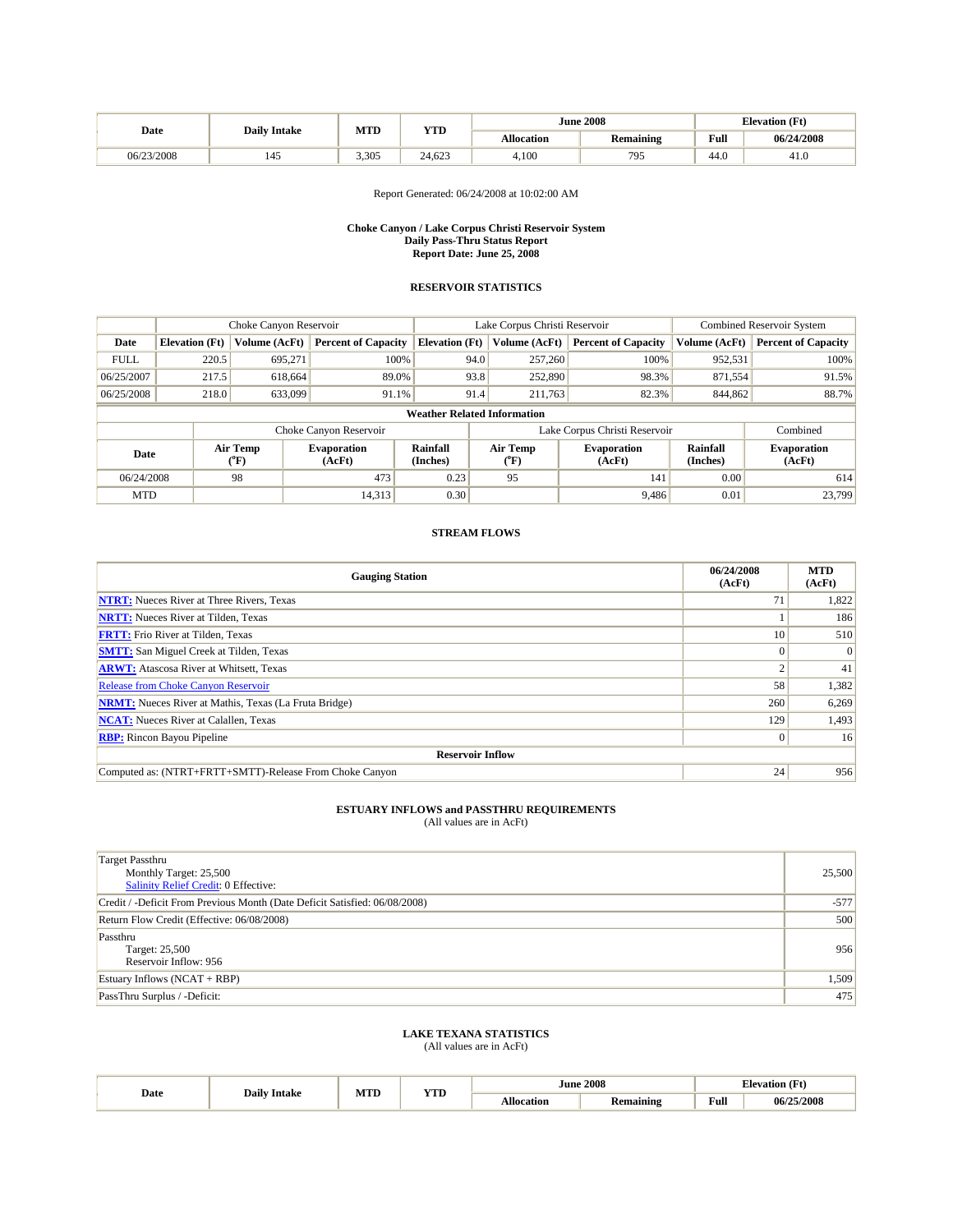|            | <b>Daily Intake</b> | MTD   | VTF    |            | <b>June 2008</b> |      | <b>Elevation</b> (Ft) |
|------------|---------------------|-------|--------|------------|------------------|------|-----------------------|
| Date       |                     |       | 1.LD   | Allocation | Remaining        | Full | 06/24/2008            |
| 06/23/2008 | 145                 | 3.305 | 24.623 | 4,100      | 795<br>- 22      | 44.0 | 41.U                  |

### Report Generated: 06/24/2008 at 10:02:00 AM

#### **Choke Canyon / Lake Corpus Christi Reservoir System Daily Pass-Thru Status Report Report Date: June 25, 2008**

### **RESERVOIR STATISTICS**

|                                    | Choke Canyon Reservoir |                  |                              |                       | Lake Corpus Christi Reservoir |                           |                               |                      | <b>Combined Reservoir System</b> |  |  |
|------------------------------------|------------------------|------------------|------------------------------|-----------------------|-------------------------------|---------------------------|-------------------------------|----------------------|----------------------------------|--|--|
| Date                               | <b>Elevation</b> (Ft)  | Volume (AcFt)    | <b>Percent of Capacity</b>   | <b>Elevation</b> (Ft) |                               | Volume (AcFt)             | <b>Percent of Capacity</b>    | Volume (AcFt)        | <b>Percent of Capacity</b>       |  |  |
| <b>FULL</b>                        | 220.5                  | 695,271          | 100%                         |                       | 94.0                          | 257,260                   | 100%                          | 952,531              | 100%                             |  |  |
| 06/25/2007                         | 217.5                  | 618.664          | 89.0%                        |                       | 93.8                          | 252,890                   | 98.3%                         | 871,554              | 91.5%                            |  |  |
| 06/25/2008                         | 218.0                  | 633,099          | 91.1%                        |                       | 91.4                          | 211,763                   | 82.3%                         | 844,862              | 88.7%                            |  |  |
| <b>Weather Related Information</b> |                        |                  |                              |                       |                               |                           |                               |                      |                                  |  |  |
|                                    |                        |                  | Choke Canyon Reservoir       |                       |                               |                           | Lake Corpus Christi Reservoir |                      | Combined                         |  |  |
| Date                               |                        | Air Temp<br>("F) | <b>Evaporation</b><br>(AcFt) | Rainfall<br>(Inches)  |                               | Air Temp<br>$(^{\circ}F)$ | <b>Evaporation</b><br>(AcFt)  | Rainfall<br>(Inches) | <b>Evaporation</b><br>(AcFt)     |  |  |
| 06/24/2008                         |                        | 98               | 473                          | 0.23                  |                               | 95                        | 141                           | 0.00                 | 614                              |  |  |
| <b>MTD</b>                         |                        |                  | 14,313                       | 0.30                  |                               |                           | 9,486                         | 0.01                 | 23,799                           |  |  |

## **STREAM FLOWS**

| <b>Gauging Station</b>                                       | 06/24/2008<br>(AcFt) | <b>MTD</b><br>(AcFt) |
|--------------------------------------------------------------|----------------------|----------------------|
| <b>NTRT:</b> Nueces River at Three Rivers, Texas             | 71                   | 1,822                |
| <b>NRTT:</b> Nueces River at Tilden, Texas                   |                      | 186                  |
| <b>FRTT:</b> Frio River at Tilden, Texas                     | 10                   | 510                  |
| <b>SMTT:</b> San Miguel Creek at Tilden, Texas               | 0                    | $\overline{0}$       |
| <b>ARWT:</b> Atascosa River at Whitsett, Texas               |                      | 41                   |
| <b>Release from Choke Canyon Reservoir</b>                   | 58                   | 1,382                |
| <b>NRMT:</b> Nueces River at Mathis, Texas (La Fruta Bridge) | 260                  | 6,269                |
| <b>NCAT:</b> Nueces River at Calallen, Texas                 | 129                  | 1,493                |
| <b>RBP:</b> Rincon Bayou Pipeline                            | 0                    | 16                   |
| <b>Reservoir Inflow</b>                                      |                      |                      |
| Computed as: (NTRT+FRTT+SMTT)-Release From Choke Canyon      | 24                   | 956                  |

# **ESTUARY INFLOWS and PASSTHRU REQUIREMENTS**<br>(All values are in AcFt)

| Target Passthru<br>Monthly Target: 25,500<br>Salinity Relief Credit: 0 Effective: | 25,500 |
|-----------------------------------------------------------------------------------|--------|
| Credit / -Deficit From Previous Month (Date Deficit Satisfied: 06/08/2008)        | $-577$ |
| Return Flow Credit (Effective: 06/08/2008)                                        | 500    |
| Passthru<br>Target: 25,500<br>Reservoir Inflow: 956                               | 956    |
| Estuary Inflows $(NCAT + RBP)$                                                    | 1,509  |
| PassThru Surplus / -Deficit:                                                      | 475    |

## **LAKE TEXANA STATISTICS**

| Date | Intake            | MTD | <b>YTD</b> | June '<br>. | 2008<br>. |      | tlevation      |
|------|-------------------|-----|------------|-------------|-----------|------|----------------|
|      | Dail <sup>,</sup> |     |            | A Hoeation  | Remaining | Full | 5/2008<br>06/2 |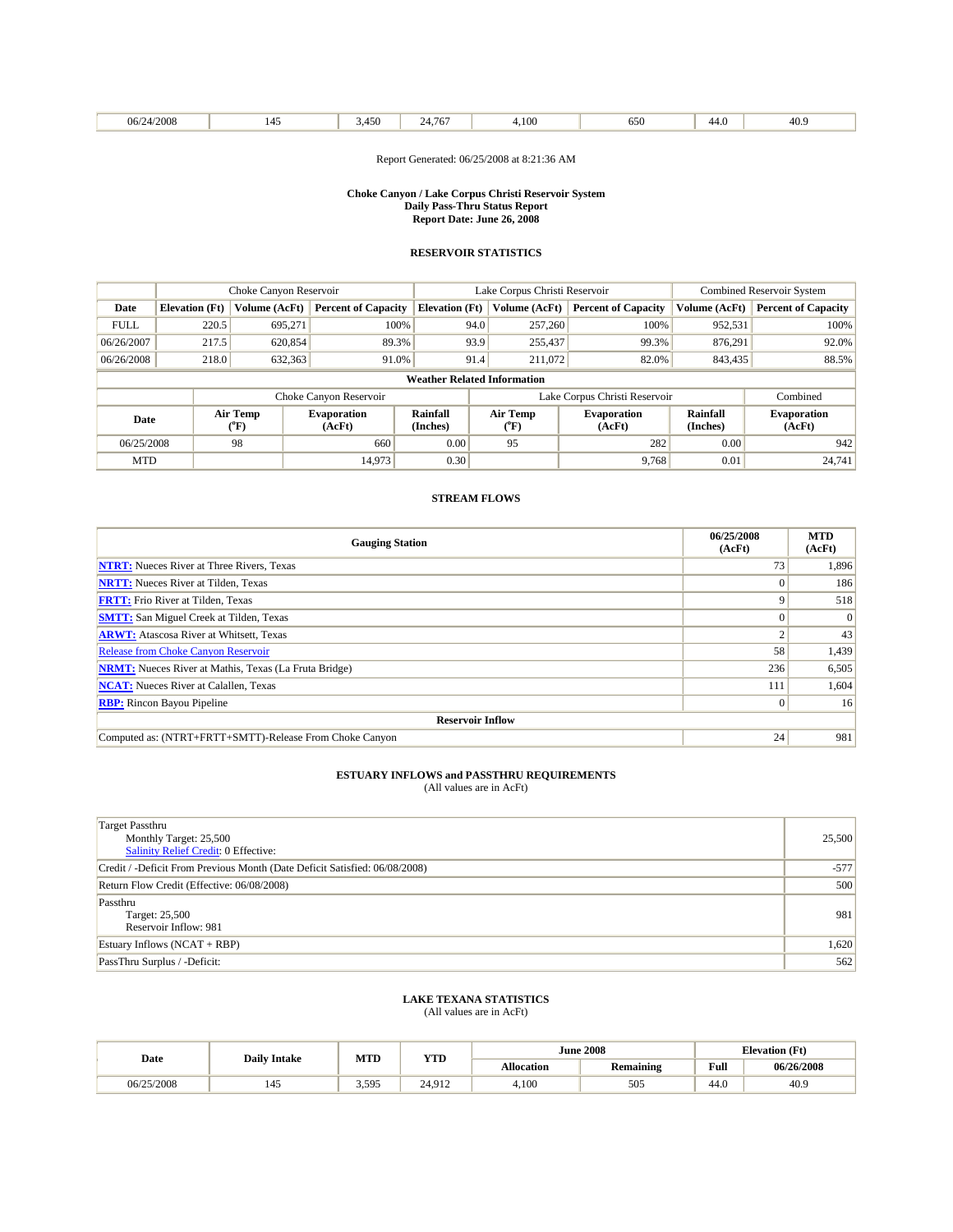| /2008<br>06/<br>. |  | $1 - \alpha$<br>$+50$<br>. . | 767<br>. | 100<br>$\cdots$ | 650<br>. | ᠇… | 40'<br>$+0.5$ |
|-------------------|--|------------------------------|----------|-----------------|----------|----|---------------|
|-------------------|--|------------------------------|----------|-----------------|----------|----|---------------|

Report Generated: 06/25/2008 at 8:21:36 AM

#### **Choke Canyon / Lake Corpus Christi Reservoir System Daily Pass-Thru Status Report Report Date: June 26, 2008**

### **RESERVOIR STATISTICS**

|                                    | Choke Canyon Reservoir |                                | Lake Corpus Christi Reservoir |                       |      |                           | Combined Reservoir System     |                      |                              |
|------------------------------------|------------------------|--------------------------------|-------------------------------|-----------------------|------|---------------------------|-------------------------------|----------------------|------------------------------|
| Date                               | <b>Elevation</b> (Ft)  | Volume (AcFt)                  | <b>Percent of Capacity</b>    | <b>Elevation</b> (Ft) |      | Volume (AcFt)             | <b>Percent of Capacity</b>    | Volume (AcFt)        | <b>Percent of Capacity</b>   |
| <b>FULL</b>                        | 220.5                  | 695.271                        | 100%                          |                       | 94.0 | 257,260                   | 100%                          | 952,531              | 100%                         |
| 06/26/2007                         | 217.5                  | 620,854                        | 89.3%                         |                       | 93.9 | 255,437                   | 99.3%                         | 876.291              | 92.0%                        |
| 06/26/2008                         | 218.0                  | 632,363                        | 91.0%                         |                       | 91.4 | 211,072                   | 82.0%                         | 843,435              | 88.5%                        |
| <b>Weather Related Information</b> |                        |                                |                               |                       |      |                           |                               |                      |                              |
|                                    |                        |                                | Choke Canyon Reservoir        |                       |      |                           | Lake Corpus Christi Reservoir |                      | Combined                     |
| Date                               |                        | Air Temp<br>$(^{o}\mathrm{F})$ | <b>Evaporation</b><br>(AcFt)  | Rainfall<br>(Inches)  |      | Air Temp<br>$(^{\circ}F)$ | <b>Evaporation</b><br>(AcFt)  | Rainfall<br>(Inches) | <b>Evaporation</b><br>(AcFt) |
| 06/25/2008                         |                        | 98                             | 660                           | 0.00                  |      | 95                        | 282                           | 0.00                 | 942                          |
| <b>MTD</b>                         |                        |                                | 14.973                        | 0.30                  |      |                           | 9,768                         | 0.01                 | 24,741                       |

## **STREAM FLOWS**

| <b>Gauging Station</b>                                       | 06/25/2008<br>(AcFt) | <b>MTD</b><br>(AcFt) |  |  |  |
|--------------------------------------------------------------|----------------------|----------------------|--|--|--|
| <b>NTRT:</b> Nueces River at Three Rivers, Texas             | 73                   | 1,896                |  |  |  |
| <b>NRTT:</b> Nueces River at Tilden, Texas                   |                      | 186                  |  |  |  |
| <b>FRTT:</b> Frio River at Tilden, Texas                     |                      | 518                  |  |  |  |
| <b>SMTT:</b> San Miguel Creek at Tilden, Texas               |                      |                      |  |  |  |
| <b>ARWT:</b> Atascosa River at Whitsett, Texas               |                      | 43                   |  |  |  |
| <b>Release from Choke Canyon Reservoir</b>                   | 58                   | 1,439                |  |  |  |
| <b>NRMT:</b> Nueces River at Mathis, Texas (La Fruta Bridge) | 236                  | 6,505                |  |  |  |
| <b>NCAT:</b> Nueces River at Calallen, Texas                 | 111                  | 1,604                |  |  |  |
| <b>RBP:</b> Rincon Bayou Pipeline                            | 0                    | 16                   |  |  |  |
| <b>Reservoir Inflow</b>                                      |                      |                      |  |  |  |
| Computed as: (NTRT+FRTT+SMTT)-Release From Choke Canyon      | 24                   | 981                  |  |  |  |

# **ESTUARY INFLOWS and PASSTHRU REQUIREMENTS**<br>(All values are in AcFt)

| <b>Target Passthru</b><br>Monthly Target: 25,500<br>Salinity Relief Credit: 0 Effective: | 25,500 |
|------------------------------------------------------------------------------------------|--------|
| Credit / -Deficit From Previous Month (Date Deficit Satisfied: 06/08/2008)               | $-577$ |
| Return Flow Credit (Effective: 06/08/2008)                                               | 500    |
| Passthru<br>Target: 25,500<br>Reservoir Inflow: 981                                      | 981    |
| Estuary Inflows $(NCAT + RBP)$                                                           | 1,620  |
| PassThru Surplus / -Deficit:                                                             | 562    |

## **LAKE TEXANA STATISTICS**

| Date       | <b>Daily Intake</b> | MTD   | YTD    |                   | <b>June 2008</b> |      | <b>Elevation</b> (Ft) |
|------------|---------------------|-------|--------|-------------------|------------------|------|-----------------------|
|            |                     |       |        | <b>Allocation</b> | <b>Remaining</b> | Full | 06/26/2008            |
| 06/25/2008 | 145                 | 3.595 | 24.912 | 4.100             | 505              | 44.0 | 40.9                  |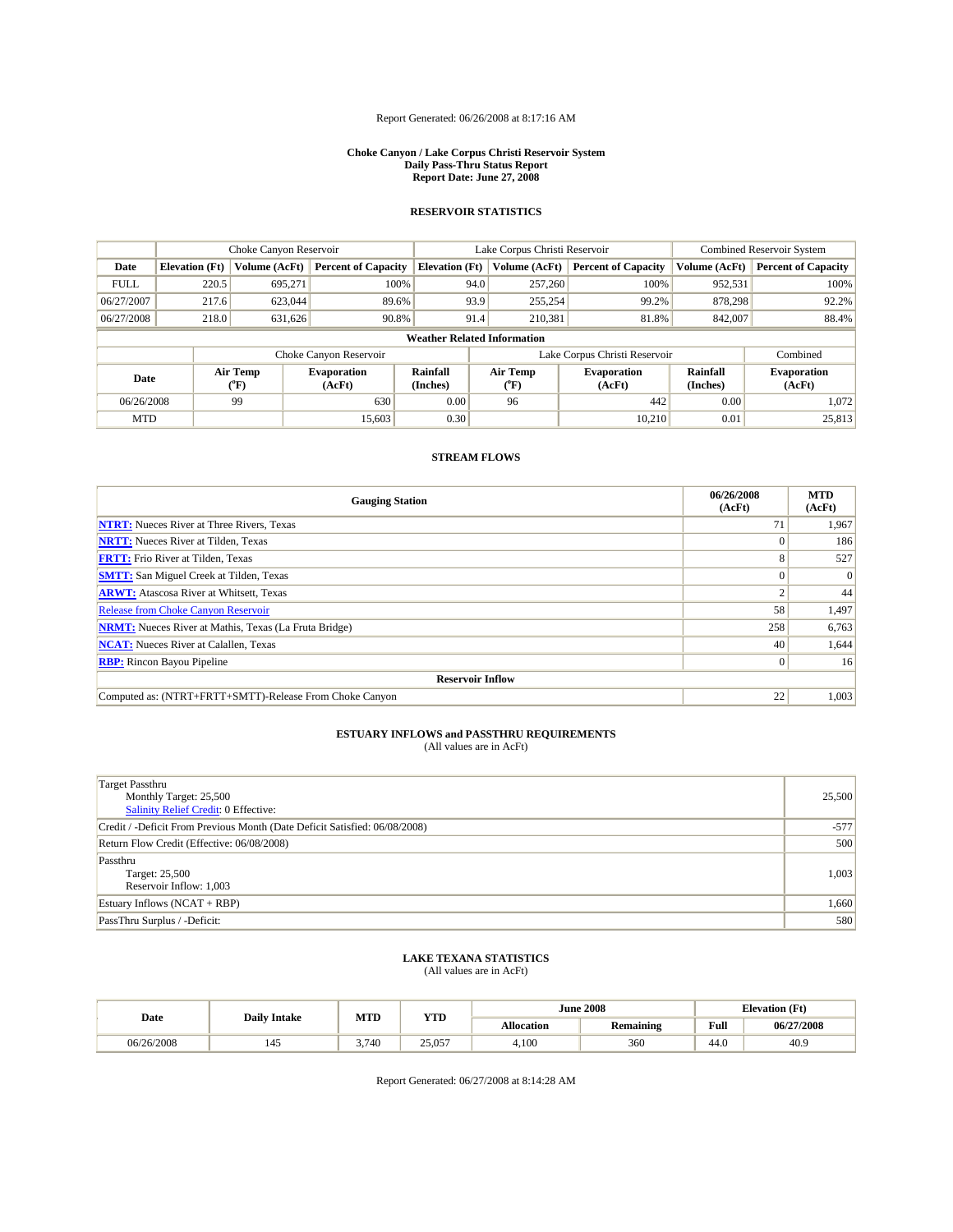## Report Generated: 06/26/2008 at 8:17:16 AM

#### **Choke Canyon / Lake Corpus Christi Reservoir System Daily Pass-Thru Status Report Report Date: June 27, 2008**

## **RESERVOIR STATISTICS**

|                                    | Choke Canyon Reservoir |                  | Lake Corpus Christi Reservoir |                       |      |                                   | <b>Combined Reservoir System</b> |                             |                              |
|------------------------------------|------------------------|------------------|-------------------------------|-----------------------|------|-----------------------------------|----------------------------------|-----------------------------|------------------------------|
| Date                               | <b>Elevation</b> (Ft)  | Volume (AcFt)    | <b>Percent of Capacity</b>    | <b>Elevation</b> (Ft) |      | Volume (AcFt)                     | <b>Percent of Capacity</b>       | Volume (AcFt)               | <b>Percent of Capacity</b>   |
| <b>FULL</b>                        | 220.5                  | 695,271          | 100%                          |                       | 94.0 | 257,260                           | 100%                             | 952,531                     | 100%                         |
| 06/27/2007                         | 217.6                  | 623,044          | 89.6%                         |                       | 93.9 | 255,254                           | 99.2%                            | 878,298                     | 92.2%                        |
| 06/27/2008                         | 218.0                  | 631,626          | 90.8%                         |                       | 91.4 | 210,381                           | 81.8%                            | 842,007                     | 88.4%                        |
| <b>Weather Related Information</b> |                        |                  |                               |                       |      |                                   |                                  |                             |                              |
|                                    |                        |                  | Choke Canyon Reservoir        |                       |      |                                   | Lake Corpus Christi Reservoir    |                             | Combined                     |
| Date                               |                        | Air Temp<br>(°F) | <b>Evaporation</b><br>(AcFt)  | Rainfall<br>(Inches)  |      | Air Temp<br>$({}^{\circ}{\rm F})$ | <b>Evaporation</b><br>(AcFt)     | <b>Rainfall</b><br>(Inches) | <b>Evaporation</b><br>(AcFt) |
| 06/26/2008                         |                        | 99               | 630                           | 0.00                  |      | 96                                | 442                              | 0.00                        | 1,072                        |
| <b>MTD</b>                         |                        |                  | 15.603                        | 0.30                  |      |                                   | 10,210                           | 0.01                        | 25,813                       |

### **STREAM FLOWS**

| <b>Gauging Station</b>                                       | 06/26/2008<br>(AcFt) | <b>MTD</b><br>(AcFt) |
|--------------------------------------------------------------|----------------------|----------------------|
| <b>NTRT:</b> Nueces River at Three Rivers, Texas             | 71                   | 1,967                |
| <b>NRTT:</b> Nueces River at Tilden, Texas                   |                      | 186                  |
| <b>FRTT:</b> Frio River at Tilden, Texas                     |                      | 527                  |
| <b>SMTT:</b> San Miguel Creek at Tilden, Texas               |                      | $\vert 0 \vert$      |
| <b>ARWT:</b> Atascosa River at Whitsett, Texas               |                      | 44                   |
| <b>Release from Choke Canyon Reservoir</b>                   | 58                   | 1,497                |
| <b>NRMT:</b> Nueces River at Mathis, Texas (La Fruta Bridge) | 258                  | 6,763                |
| <b>NCAT:</b> Nueces River at Calallen, Texas                 | 40                   | 1,644                |
| <b>RBP:</b> Rincon Bayou Pipeline                            |                      | 16                   |
| <b>Reservoir Inflow</b>                                      |                      |                      |
| Computed as: (NTRT+FRTT+SMTT)-Release From Choke Canyon      | 22                   | 1,003                |

## **ESTUARY INFLOWS and PASSTHRU REQUIREMENTS**<br>(All values are in AcFt)

| Target Passthru<br>Monthly Target: 25,500<br>Salinity Relief Credit: 0 Effective: | 25,500 |
|-----------------------------------------------------------------------------------|--------|
| Credit / -Deficit From Previous Month (Date Deficit Satisfied: 06/08/2008)        | $-577$ |
| Return Flow Credit (Effective: 06/08/2008)                                        | 500    |
| Passthru<br>Target: 25,500<br>Reservoir Inflow: 1,003                             | 1,003  |
| Estuary Inflows $(NCAT + RBP)$                                                    | 1,660  |
| PassThru Surplus / -Deficit:                                                      | 580    |

# **LAKE TEXANA STATISTICS** (All values are in AcFt)

| Date       | <b>Daily Intake</b> | MTD   | VTT    |            | <b>June 2008</b> | <b>Elevation</b> (Ft) |            |
|------------|---------------------|-------|--------|------------|------------------|-----------------------|------------|
|            |                     |       | 1 L.D  | Allocation | Remaining        | Full                  | 06/27/2008 |
| 06/26/2008 | 145                 | 3.740 | 25,057 | 4,100      | 360              | 44.0                  | 40.9       |

Report Generated: 06/27/2008 at 8:14:28 AM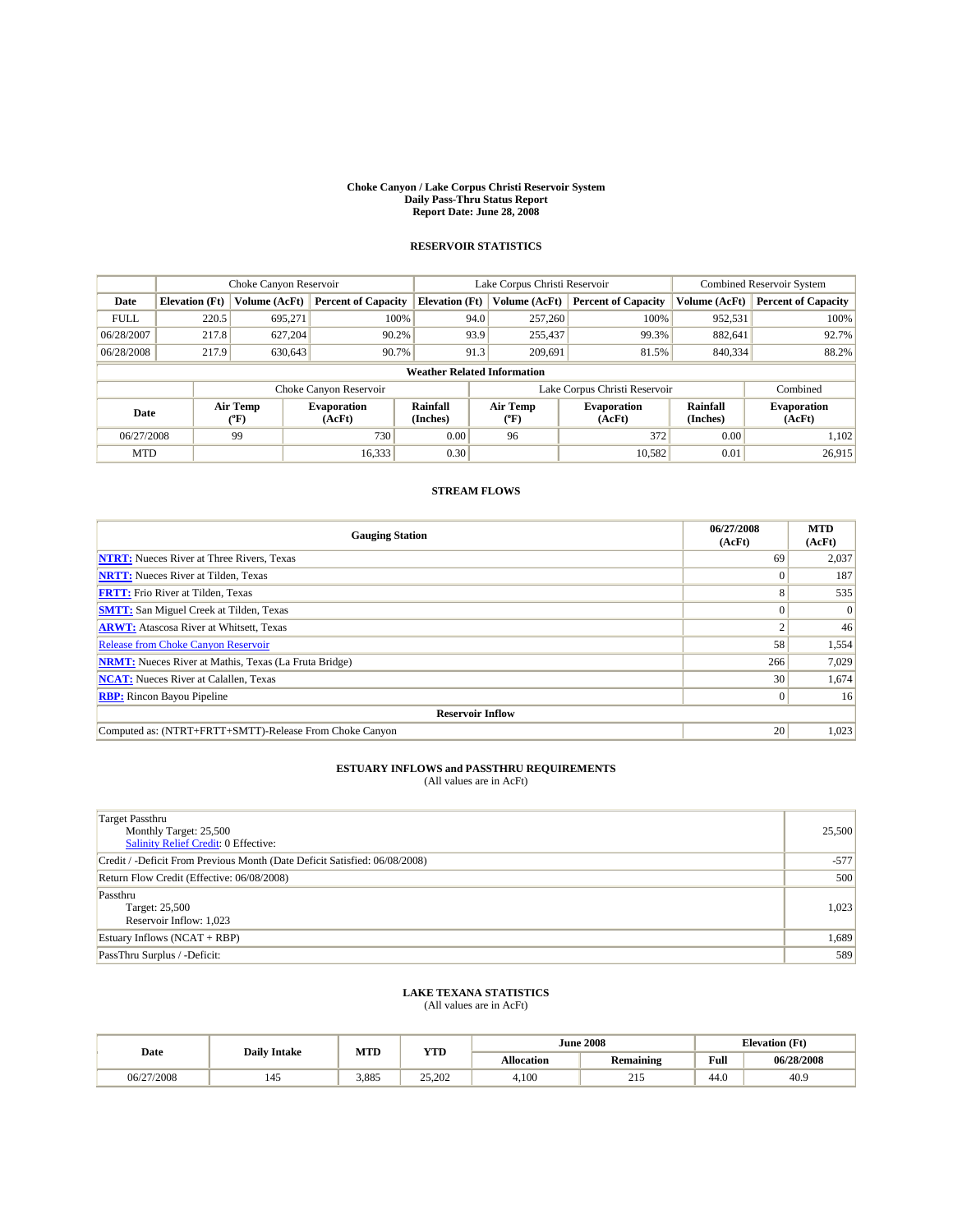#### **Choke Canyon / Lake Corpus Christi Reservoir System Daily Pass-Thru Status Report Report Date: June 28, 2008**

## **RESERVOIR STATISTICS**

|                                    |                       | Choke Canyon Reservoir |                              | Lake Corpus Christi Reservoir |                  |  |                               | <b>Combined Reservoir System</b> |                              |  |
|------------------------------------|-----------------------|------------------------|------------------------------|-------------------------------|------------------|--|-------------------------------|----------------------------------|------------------------------|--|
| Date                               | <b>Elevation</b> (Ft) | Volume (AcFt)          | <b>Percent of Capacity</b>   | <b>Elevation</b> (Ft)         | Volume (AcFt)    |  | <b>Percent of Capacity</b>    | Volume (AcFt)                    | <b>Percent of Capacity</b>   |  |
| <b>FULL</b>                        | 220.5                 | 695.271                | 100%                         |                               | 94.0<br>257,260  |  | 100%                          | 952,531                          | 100%                         |  |
| 06/28/2007                         | 217.8                 | 627.204                | 90.2%                        |                               | 93.9<br>255,437  |  | 99.3%                         | 882.641                          | 92.7%                        |  |
| 06/28/2008                         | 217.9                 | 630,643                | 90.7%                        |                               | 91.3<br>209,691  |  | 81.5%                         | 840,334                          | 88.2%                        |  |
| <b>Weather Related Information</b> |                       |                        |                              |                               |                  |  |                               |                                  |                              |  |
|                                    |                       |                        | Choke Canyon Reservoir       |                               |                  |  | Lake Corpus Christi Reservoir |                                  | Combined                     |  |
| Date                               |                       | Air Temp<br>(°F)       | <b>Evaporation</b><br>(AcFt) | Rainfall<br>(Inches)          | Air Temp<br>(°F) |  | <b>Evaporation</b><br>(AcFt)  | Rainfall<br>(Inches)             | <b>Evaporation</b><br>(AcFt) |  |
| 06/27/2008                         |                       | 99                     | 730                          | 0.00                          | 96               |  | 372                           | 0.00                             | 1.102                        |  |
| <b>MTD</b>                         |                       |                        | 16,333                       | 0.30                          |                  |  | 10.582                        | 0.01                             | 26,915                       |  |

## **STREAM FLOWS**

| <b>Gauging Station</b>                                       | 06/27/2008<br>(AcFt) | <b>MTD</b><br>(AcFt) |
|--------------------------------------------------------------|----------------------|----------------------|
| <b>NTRT:</b> Nueces River at Three Rivers, Texas             | 69                   | 2,037                |
| <b>NRTT:</b> Nueces River at Tilden, Texas                   |                      | 187                  |
| <b>FRTT:</b> Frio River at Tilden, Texas                     |                      | 535                  |
| <b>SMTT:</b> San Miguel Creek at Tilden, Texas               |                      | $\Omega$             |
| <b>ARWT:</b> Atascosa River at Whitsett, Texas               |                      | 46                   |
| <b>Release from Choke Canyon Reservoir</b>                   | 58                   | 1,554                |
| <b>NRMT:</b> Nueces River at Mathis, Texas (La Fruta Bridge) | 266                  | 7,029                |
| <b>NCAT:</b> Nueces River at Calallen, Texas                 | 30                   | 1,674                |
| <b>RBP:</b> Rincon Bayou Pipeline                            |                      | 16                   |
| <b>Reservoir Inflow</b>                                      |                      |                      |
| Computed as: (NTRT+FRTT+SMTT)-Release From Choke Canyon      | 20                   | 1,023                |

## **ESTUARY INFLOWS and PASSTHRU REQUIREMENTS**<br>(All values are in AcFt)

| <b>Target Passthru</b><br>Monthly Target: 25,500<br>Salinity Relief Credit: 0 Effective: | 25,500 |
|------------------------------------------------------------------------------------------|--------|
| Credit / -Deficit From Previous Month (Date Deficit Satisfied: 06/08/2008)               | $-577$ |
| Return Flow Credit (Effective: 06/08/2008)                                               | 500    |
| Passthru<br>Target: 25,500<br>Reservoir Inflow: 1,023                                    | 1,023  |
| Estuary Inflows $(NCAT + RBP)$                                                           | 1,689  |
| PassThru Surplus / -Deficit:                                                             | 589    |

## **LAKE TEXANA STATISTICS**

| Date       | <b>Daily Intake</b> | MTD   | ww               |                   | <b>June 2008</b> | <b>Elevation (Ft)</b> |            |
|------------|---------------------|-------|------------------|-------------------|------------------|-----------------------|------------|
|            |                     |       | 1 I.D            | <b>Allocation</b> | Remaining        | Full                  | 06/28/2008 |
| 06/27/2008 | 145                 | 3,885 | 25.202<br>29.ZUZ | 4.100             | $-1$             | 44.0                  | 40.9       |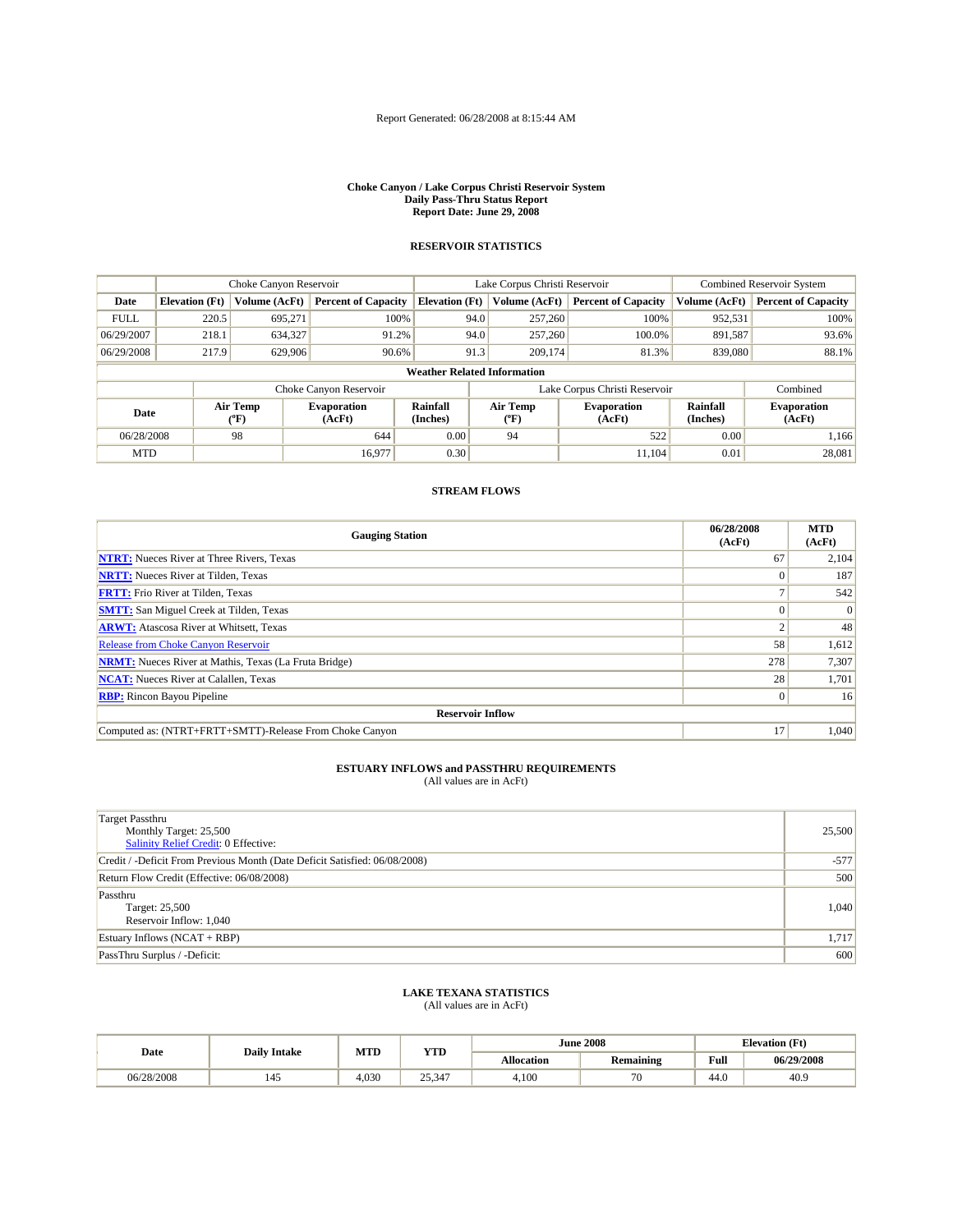## Report Generated: 06/28/2008 at 8:15:44 AM

#### **Choke Canyon / Lake Corpus Christi Reservoir System Daily Pass-Thru Status Report Report Date: June 29, 2008**

## **RESERVOIR STATISTICS**

|                                    |                       |                  | Lake Corpus Christi Reservoir |                             |      |                  | <b>Combined Reservoir System</b> |                             |                              |
|------------------------------------|-----------------------|------------------|-------------------------------|-----------------------------|------|------------------|----------------------------------|-----------------------------|------------------------------|
| Date                               | <b>Elevation</b> (Ft) | Volume (AcFt)    | <b>Percent of Capacity</b>    | <b>Elevation</b> (Ft)       |      | Volume (AcFt)    | <b>Percent of Capacity</b>       | Volume (AcFt)               | <b>Percent of Capacity</b>   |
| <b>FULL</b>                        | 220.5                 | 695.271          |                               | 100%                        | 94.0 | 257,260          | 100%                             | 952,531                     | 100%                         |
| 06/29/2007                         | 218.1                 | 634,327          | 91.2%                         |                             | 94.0 | 257,260          | 100.0%                           | 891,587                     | 93.6%                        |
| 06/29/2008                         | 217.9                 | 629,906          | 90.6%                         |                             | 91.3 | 209,174          | 81.3%                            | 839,080                     | 88.1%                        |
| <b>Weather Related Information</b> |                       |                  |                               |                             |      |                  |                                  |                             |                              |
|                                    |                       |                  | Choke Canyon Reservoir        |                             |      |                  | Lake Corpus Christi Reservoir    |                             | Combined                     |
| Date                               |                       | Air Temp<br>(°F) | <b>Evaporation</b><br>(AcFt)  | <b>Rainfall</b><br>(Inches) |      | Air Temp<br>(°F) | <b>Evaporation</b><br>(AcFt)     | <b>Rainfall</b><br>(Inches) | <b>Evaporation</b><br>(AcFt) |
| 06/28/2008                         |                       | 98               | 644                           | 0.00                        |      | 94               | 522                              | 0.00                        | 1,166                        |
| <b>MTD</b>                         |                       |                  | 16,977                        | 0.30                        |      |                  | 11.104                           | 0.01                        | 28,081                       |

## **STREAM FLOWS**

| <b>Gauging Station</b>                                       | 06/28/2008<br>(AcFt) | <b>MTD</b><br>(AcFt) |
|--------------------------------------------------------------|----------------------|----------------------|
| <b>NTRT:</b> Nueces River at Three Rivers, Texas             | 67                   | 2,104                |
| <b>NRTT:</b> Nueces River at Tilden, Texas                   |                      | 187                  |
| <b>FRTT:</b> Frio River at Tilden, Texas                     |                      | 542                  |
| <b>SMTT:</b> San Miguel Creek at Tilden, Texas               |                      | $\Omega$             |
| <b>ARWT:</b> Atascosa River at Whitsett, Texas               |                      | 48                   |
| <b>Release from Choke Canyon Reservoir</b>                   | 58                   | 1,612                |
| <b>NRMT:</b> Nueces River at Mathis, Texas (La Fruta Bridge) | 278                  | 7,307                |
| <b>NCAT:</b> Nueces River at Calallen, Texas                 | 28                   | 1,701                |
| <b>RBP:</b> Rincon Bayou Pipeline                            |                      | 16                   |
| <b>Reservoir Inflow</b>                                      |                      |                      |
| Computed as: (NTRT+FRTT+SMTT)-Release From Choke Canyon      | 17                   | 1,040                |

## **ESTUARY INFLOWS and PASSTHRU REQUIREMENTS**<br>(All values are in AcFt)

| Target Passthru<br>Monthly Target: 25,500<br>Salinity Relief Credit: 0 Effective: | 25,500 |
|-----------------------------------------------------------------------------------|--------|
| Credit / -Deficit From Previous Month (Date Deficit Satisfied: 06/08/2008)        | $-577$ |
| Return Flow Credit (Effective: 06/08/2008)                                        | 500    |
| Passthru<br>Target: 25,500<br>Reservoir Inflow: 1,040                             | 1,040  |
| Estuary Inflows $(NCAT + RBP)$                                                    | 1,717  |
| PassThru Surplus / -Deficit:                                                      | 600    |

## **LAKE TEXANA STATISTICS**

| Date       | <b>Daily Intake</b> | MTD   | wm     |                   | <b>June 2008</b> | <b>Elevation</b> (Ft) |            |
|------------|---------------------|-------|--------|-------------------|------------------|-----------------------|------------|
|            |                     |       | 1 I.D  | <b>Allocation</b> | <b>Remaining</b> | Full                  | 06/29/2008 |
| 06/28/2008 | 145                 | 4.030 | 25,347 | 4,100             | 70               | 44.0                  | 40.9       |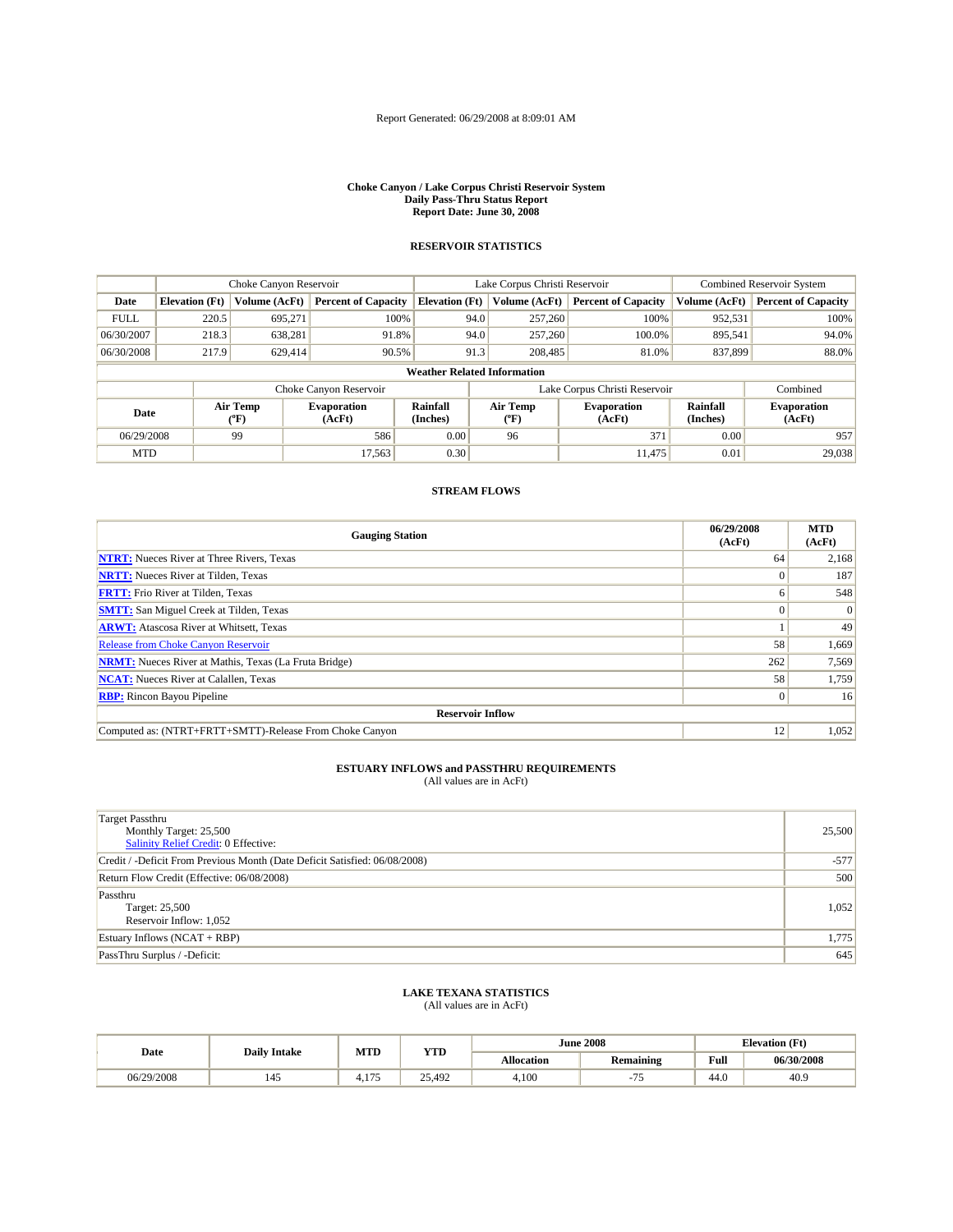#### **Choke Canyon / Lake Corpus Christi Reservoir System Daily Pass-Thru Status Report Report Date: June 30, 2008**

## **RESERVOIR STATISTICS**

|                                    | Choke Canyon Reservoir |                                | Lake Corpus Christi Reservoir |                       |      |                               | Combined Reservoir System    |                             |                              |  |
|------------------------------------|------------------------|--------------------------------|-------------------------------|-----------------------|------|-------------------------------|------------------------------|-----------------------------|------------------------------|--|
| Date                               | <b>Elevation</b> (Ft)  | Volume (AcFt)                  | <b>Percent of Capacity</b>    | <b>Elevation (Ft)</b> |      | Volume (AcFt)                 | <b>Percent of Capacity</b>   | Volume (AcFt)               | <b>Percent of Capacity</b>   |  |
| <b>FULL</b>                        | 220.5                  | 695.271                        | 100%                          |                       | 94.0 | 257,260                       | 100%                         | 952,531                     | 100%                         |  |
| 06/30/2007                         | 218.3                  | 638,281                        | 91.8%                         |                       | 94.0 | 257,260                       | 100.0%                       | 895,541                     | 94.0%                        |  |
| 06/30/2008                         | 217.9                  | 629,414                        | 90.5%                         |                       | 91.3 | 208,485                       | 81.0%                        | 837,899                     | 88.0%                        |  |
| <b>Weather Related Information</b> |                        |                                |                               |                       |      |                               |                              |                             |                              |  |
| Choke Canyon Reservoir             |                        |                                |                               |                       |      | Lake Corpus Christi Reservoir | Combined                     |                             |                              |  |
| Date                               |                        | Air Temp<br>$({}^o\mathrm{F})$ | <b>Evaporation</b><br>(AcFt)  | Rainfall<br>(Inches)  |      | Air Temp<br>(°F)              | <b>Evaporation</b><br>(AcFt) | <b>Rainfall</b><br>(Inches) | <b>Evaporation</b><br>(AcFt) |  |
| 06/29/2008                         |                        | 99                             | 586                           | 0.00                  |      | 96                            | 371                          | 0.00                        | 957                          |  |
| <b>MTD</b>                         |                        |                                | 17.563                        | 0.30                  |      |                               | 11.475                       | 0.01                        | 29,038                       |  |

## **STREAM FLOWS**

| <b>Gauging Station</b>                                       | 06/29/2008<br>(AcFt) | <b>MTD</b><br>(AcFt) |  |  |
|--------------------------------------------------------------|----------------------|----------------------|--|--|
| <b>NTRT:</b> Nueces River at Three Rivers, Texas             | 64                   | 2,168                |  |  |
| <b>NRTT:</b> Nueces River at Tilden, Texas                   |                      | 187                  |  |  |
| <b>FRTT:</b> Frio River at Tilden, Texas                     |                      | 548                  |  |  |
| <b>SMTT:</b> San Miguel Creek at Tilden, Texas               |                      | $\Omega$             |  |  |
| <b>ARWT:</b> Atascosa River at Whitsett, Texas               |                      | 49                   |  |  |
| <b>Release from Choke Canyon Reservoir</b>                   | 58                   | 1,669                |  |  |
| <b>NRMT:</b> Nueces River at Mathis, Texas (La Fruta Bridge) | 262                  | 7,569                |  |  |
| <b>NCAT:</b> Nueces River at Calallen, Texas                 | 58                   | 1,759                |  |  |
| <b>RBP:</b> Rincon Bayou Pipeline                            |                      | 16                   |  |  |
| <b>Reservoir Inflow</b>                                      |                      |                      |  |  |
| Computed as: (NTRT+FRTT+SMTT)-Release From Choke Canyon      | 12                   | 1,052                |  |  |

## **ESTUARY INFLOWS and PASSTHRU REQUIREMENTS**<br>(All values are in AcFt)

| Target Passthru<br>Monthly Target: 25,500<br>Salinity Relief Credit: 0 Effective: | 25,500 |
|-----------------------------------------------------------------------------------|--------|
| Credit / -Deficit From Previous Month (Date Deficit Satisfied: 06/08/2008)        | $-577$ |
| Return Flow Credit (Effective: 06/08/2008)                                        | 500    |
| Passthru<br>Target: 25,500<br>Reservoir Inflow: 1,052                             | 1,052  |
| Estuary Inflows $(NCAT + RBP)$                                                    | 1,775  |
| PassThru Surplus / -Deficit:                                                      | 645    |

## **LAKE TEXANA STATISTICS**

| Date       | <b>Daily Intake</b> | MTD                 | YTD    | <b>June 2008</b>  |                  | <b>Elevation</b> (Ft) |            |
|------------|---------------------|---------------------|--------|-------------------|------------------|-----------------------|------------|
|            |                     |                     |        | <b>Allocation</b> | <b>Remaining</b> | Full                  | 06/30/2008 |
| 06/29/2008 | 145                 | 175<br>. . <i>.</i> | 25,492 | 4,100             | --<br>$\sim$     | 44.0                  | 40.9       |